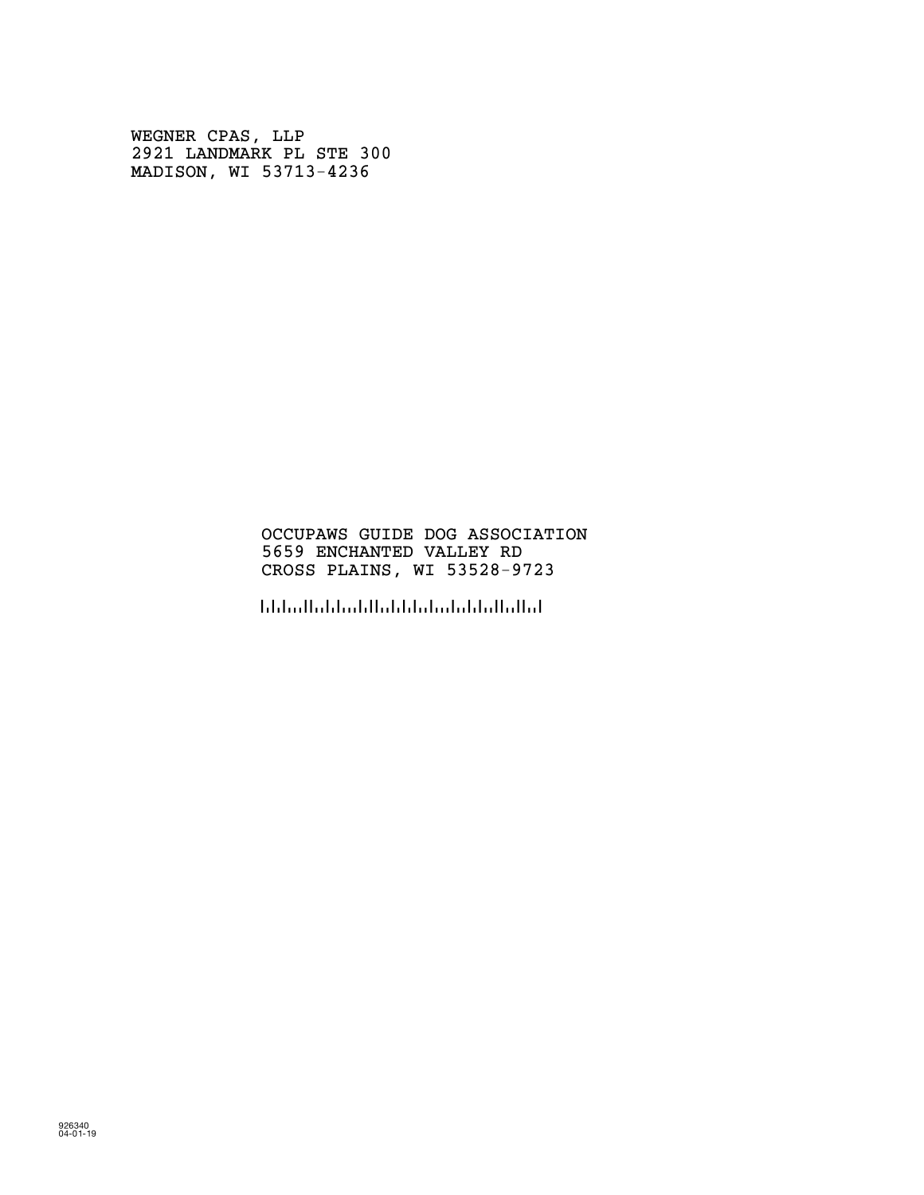WEGNER CPAS, LLP 2921 LANDMARK PL STE 300 MADISON, WI 53713-4236

#### OCCUPAWS GUIDE DOG ASSOCIATION 5659 ENCHANTED VALLEY RD CROSS PLAINS, WI 53528-9723

!5352897236!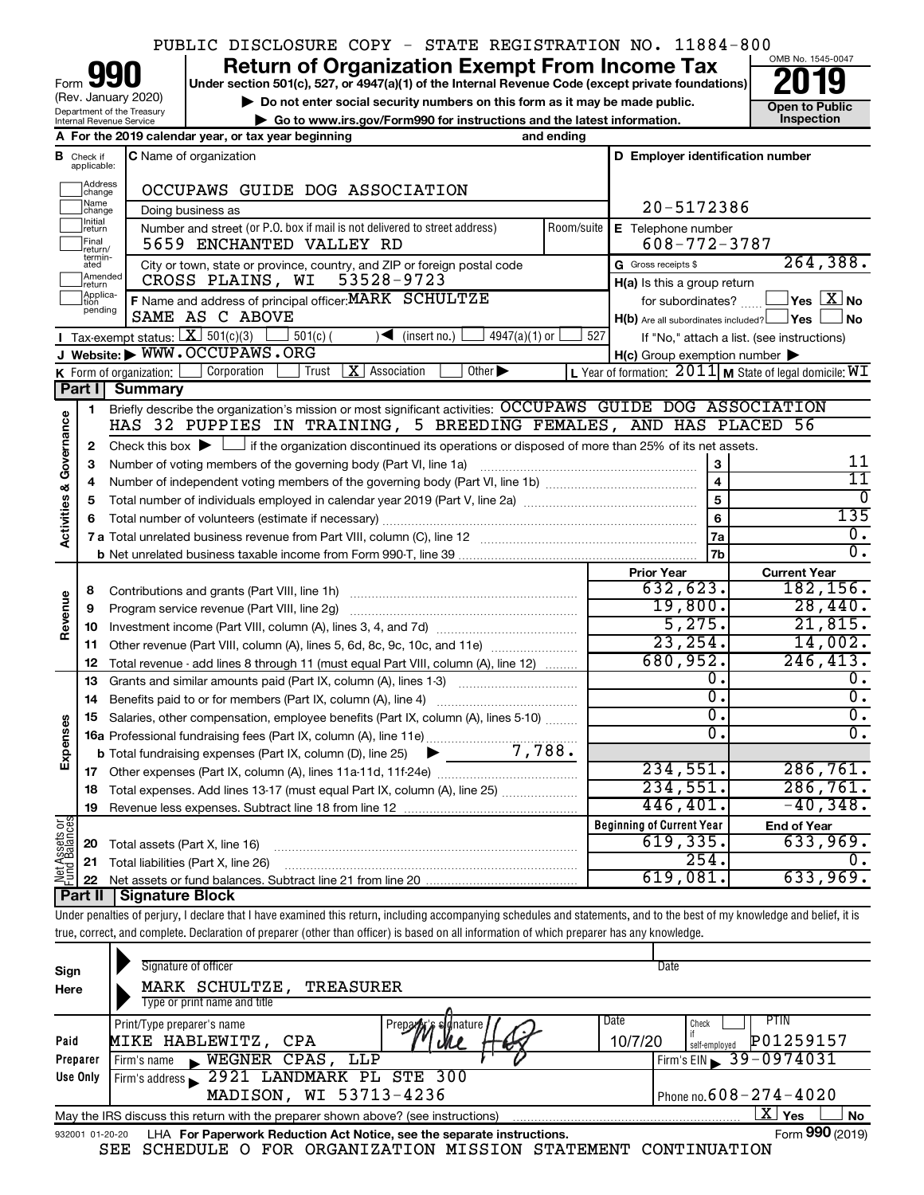## PUBLIC DISCLOSURE COPY - STATE REGISTRATION NO. 11884-800

Department of the Treasury Internal Revenue Service Form (Rev. January 2020)

# **your Section 501(c), 527, or 4947(a)(1) of the Internal Revenue Code (except private foundations) 2019**

**b** Do not enter social security numbers on this form as it may be made public.<br> **Go to www.irs.gov/Form990 for instructions and the latest information. This impection | Go to www.irs.gov/Form990 for instructions and the latest information. Inspection**



|                         |                         | A For the 2019 calendar year, or tax year beginning                                                                                                       | and ending     |                                                     |                                                             |
|-------------------------|-------------------------|-----------------------------------------------------------------------------------------------------------------------------------------------------------|----------------|-----------------------------------------------------|-------------------------------------------------------------|
| В                       | Check if<br>applicable: | <b>C</b> Name of organization                                                                                                                             |                | D Employer identification number                    |                                                             |
|                         | Address<br>change       | OCCUPAWS GUIDE DOG ASSOCIATION                                                                                                                            |                |                                                     |                                                             |
|                         | Name<br>change          | Doing business as                                                                                                                                         |                | 20-5172386                                          |                                                             |
|                         | Initial<br>return       | Number and street (or P.O. box if mail is not delivered to street address)                                                                                | Room/suite     | E Telephone number                                  |                                                             |
|                         | Final<br>return/        | 5659 ENCHANTED VALLEY RD                                                                                                                                  |                | $608 - 772 - 3787$                                  |                                                             |
|                         | termin-<br>ated         | City or town, state or province, country, and ZIP or foreign postal code                                                                                  |                | G Gross receipts \$                                 | 264, 388.                                                   |
|                         | Amended<br>return       | 53528-9723<br>CROSS PLAINS, WI                                                                                                                            |                | $H(a)$ is this a group return                       |                                                             |
|                         | Applica-<br>pending     | F Name and address of principal officer: MARK SCHULTZE                                                                                                    |                | for subordinates?                                   | $\overline{\ }$ Yes $\overline{\phantom{a}X}$ No            |
|                         |                         | SAME AS C ABOVE                                                                                                                                           |                | H(b) Are all subordinates included? Ves             | ∫No                                                         |
|                         |                         | <b>I</b> Tax-exempt status: $X \overline{301(c)(3)}$<br>$501(c)$ (<br>$\sqrt{\frac{1}{1}}$ (insert no.)<br>$4947(a)(1)$ or<br>J Website: WWW.OCCUPAWS.ORG | 527            |                                                     | If "No," attach a list. (see instructions)                  |
|                         |                         | Other $\blacktriangleright$<br>Corporation<br>$\vert$ <b>X</b> $\vert$ Association<br>K Form of organization: $\vert$<br>Trust                            |                | $H(c)$ Group exemption number $\blacktriangleright$ |                                                             |
|                         | Part I                  | Summary                                                                                                                                                   |                |                                                     | L Year of formation: $2011$ M State of legal domicile: $WT$ |
|                         | 1                       | Briefly describe the organization's mission or most significant activities: OCCUPAWS GUIDE DOG ASSOCIATION                                                |                |                                                     |                                                             |
|                         |                         | HAS 32 PUPPIES IN TRAINING, 5 BREEDING FEMALES, AND HAS PLACED 56                                                                                         |                |                                                     |                                                             |
| Activities & Governance | 2                       | Check this box $\blacktriangleright$ $\Box$ if the organization discontinued its operations or disposed of more than 25% of its net assets.               |                |                                                     |                                                             |
|                         | 3                       | Number of voting members of the governing body (Part VI, line 1a)                                                                                         |                | 3                                                   | 11                                                          |
|                         | 4                       |                                                                                                                                                           | $\overline{4}$ | $\overline{11}$                                     |                                                             |
|                         | 5                       |                                                                                                                                                           |                | $\overline{5}$                                      | 0                                                           |
|                         | 6                       |                                                                                                                                                           |                | 6                                                   | 135                                                         |
|                         |                         |                                                                                                                                                           |                | 7a                                                  | $\overline{0}$ .                                            |
|                         |                         |                                                                                                                                                           |                | 7b                                                  | $\overline{0}$ .                                            |
|                         |                         |                                                                                                                                                           |                | <b>Prior Year</b>                                   | <b>Current Year</b>                                         |
|                         | 8                       |                                                                                                                                                           |                | 632,623.                                            | 182, 156.                                                   |
| Revenue                 | 9                       | Program service revenue (Part VIII, line 2g)                                                                                                              |                | 19,800.                                             | 28,440.                                                     |
|                         | 10                      |                                                                                                                                                           |                | 5,275.                                              | 21,815.                                                     |
|                         | 11                      | Other revenue (Part VIII, column (A), lines 5, 6d, 8c, 9c, 10c, and 11e)                                                                                  |                | 23, 254.                                            | 14,002.                                                     |
|                         | 12                      | Total revenue - add lines 8 through 11 (must equal Part VIII, column (A), line 12)                                                                        |                | 680,952.<br>$\overline{0}$ .                        | 246, 413.<br>0.                                             |
|                         | 13                      | Grants and similar amounts paid (Part IX, column (A), lines 1-3)                                                                                          |                | $\overline{0}$ .                                    | $\overline{0}$ .                                            |
|                         | 14<br>15                | Benefits paid to or for members (Part IX, column (A), line 4)<br>Salaries, other compensation, employee benefits (Part IX, column (A), lines 5-10)        |                | $\overline{0}$ .                                    | $\overline{0}$ .                                            |
| Expenses                |                         |                                                                                                                                                           |                | Ο.                                                  | $\overline{0}$ .                                            |
|                         |                         | 7,788.<br><b>b</b> Total fundraising expenses (Part IX, column (D), line 25)<br>$\blacktriangleright$ $\_\_$                                              |                |                                                     |                                                             |
|                         |                         |                                                                                                                                                           |                | 234,551.                                            | 286,761.                                                    |
|                         |                         | 18 Total expenses. Add lines 13-17 (must equal Part IX, column (A), line 25)                                                                              |                | 234,551.                                            | 286,761.                                                    |
|                         | 19                      |                                                                                                                                                           |                | 446,401.                                            | $-40,348.$                                                  |
|                         |                         |                                                                                                                                                           |                | <b>Beginning of Current Year</b>                    | <b>End of Year</b>                                          |
| t Assets or             |                         | <b>20</b> Total assets (Part X, line 16)                                                                                                                  |                | 619,335.                                            | 633,969.                                                    |
|                         |                         | 21 Total liabilities (Part X, line 26)                                                                                                                    |                | 254.                                                | 0.                                                          |
| Jer                     | 22                      |                                                                                                                                                           |                | 619,081.                                            | 633,969.                                                    |
|                         |                         | <b>Part II   Signature Block</b>                                                                                                                          |                |                                                     |                                                             |

Under penalties of perjury, I declare that I have examined this return, including accompanying schedules and statements, and to the best of my knowledge and belief, it is true, correct, and complete. Declaration of preparer (other than officer) is based on all information of which preparer has any knowledge.

| Sign<br>Here     | Signature of officer<br>MARK SCHULTZE,<br>TREASURER<br>Type or print name and title                                                                                                                                 | Date                                                                                        |
|------------------|---------------------------------------------------------------------------------------------------------------------------------------------------------------------------------------------------------------------|---------------------------------------------------------------------------------------------|
| Paid<br>Preparer | Date<br>Print/Type preparer's name<br>Prepara signature<br>10/7/20<br>MIKE HABLEWITZ, CPA<br>WEGNER CPAS, LLP<br>Firm's name<br>$\blacksquare$                                                                      | PIIN<br>Check<br>P01259157<br>self-employed<br>$\frac{1}{2}$ Firm's EIN $\geq 39 - 0974031$ |
| Use Only         | 2921 LANDMARK PL STE 300<br>Firm's address<br>MADISON, WI 53713-4236                                                                                                                                                | Phone no. $608 - 274 - 4020$                                                                |
| 932001 01-20-20  | May the IRS discuss this return with the preparer shown above? (see instructions)<br>LHA For Paperwork Reduction Act Notice, see the separate instructions.<br>SCHEDULE O FOR ORGANIZATION MISSION STATEMENT<br>SEE | X  <br>No<br>Yes<br>Form 990 (2019)<br>CONTINUATION                                         |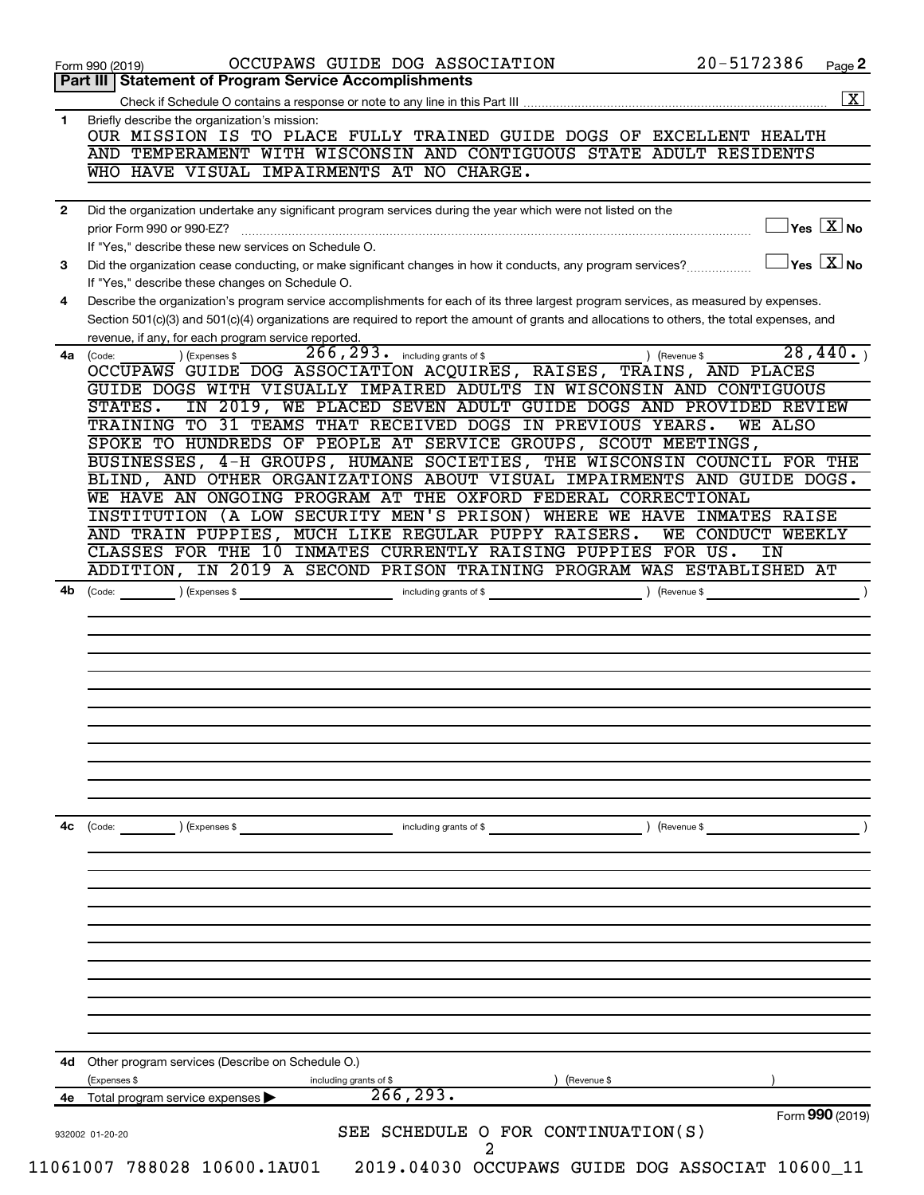|              | Form 990 (2019)                                                                   | OCCUPAWS GUIDE DOG ASSOCIATION                                                                                                                                                                                                                                                       | 20-5172386<br>Page 2                                               |
|--------------|-----------------------------------------------------------------------------------|--------------------------------------------------------------------------------------------------------------------------------------------------------------------------------------------------------------------------------------------------------------------------------------|--------------------------------------------------------------------|
|              | Part III   Statement of Program Service Accomplishments                           |                                                                                                                                                                                                                                                                                      | $\boxed{\text{X}}$                                                 |
| 1            | Briefly describe the organization's mission:                                      |                                                                                                                                                                                                                                                                                      |                                                                    |
|              |                                                                                   | OUR MISSION IS TO PLACE FULLY TRAINED GUIDE DOGS OF EXCELLENT HEALTH<br>AND TEMPERAMENT WITH WISCONSIN AND CONTIGUOUS STATE ADULT RESIDENTS                                                                                                                                          |                                                                    |
|              |                                                                                   | WHO HAVE VISUAL IMPAIRMENTS AT NO CHARGE.                                                                                                                                                                                                                                            |                                                                    |
| $\mathbf{2}$ |                                                                                   | Did the organization undertake any significant program services during the year which were not listed on the                                                                                                                                                                         |                                                                    |
|              | prior Form 990 or 990-EZ?<br>If "Yes," describe these new services on Schedule O. |                                                                                                                                                                                                                                                                                      | $\sqrt{\mathsf{Yes}\ \mathbf{X}}$ No                               |
| 3            | If "Yes," describe these changes on Schedule O.                                   | Did the organization cease conducting, or make significant changes in how it conducts, any program services?                                                                                                                                                                         | $\sqrt{\mathsf{Yes}\mathord{\;\mathbb{X}}\mathord{\;\mathsf{No}}}$ |
| 4            |                                                                                   | Describe the organization's program service accomplishments for each of its three largest program services, as measured by expenses.<br>Section 501(c)(3) and 501(c)(4) organizations are required to report the amount of grants and allocations to others, the total expenses, and |                                                                    |
| 4a l         | revenue, if any, for each program service reported<br>) (Expenses \$<br>(Code:    | 266, 293. including grants of \$                                                                                                                                                                                                                                                     | $\overline{28,440}$ .<br>) (Revenue \$                             |
|              |                                                                                   | OCCUPAWS GUIDE DOG ASSOCIATION ACQUIRES, RAISES, TRAINS, AND PLACES<br>GUIDE DOGS WITH VISUALLY IMPAIRED ADULTS IN WISCONSIN AND CONTIGUOUS                                                                                                                                          |                                                                    |
|              | STATES.                                                                           | IN 2019, WE PLACED SEVEN ADULT GUIDE DOGS AND PROVIDED REVIEW                                                                                                                                                                                                                        |                                                                    |
|              |                                                                                   | TRAINING TO 31 TEAMS THAT RECEIVED DOGS IN PREVIOUS YEARS.<br>SPOKE TO HUNDREDS OF PEOPLE AT SERVICE GROUPS, SCOUT MEETINGS,                                                                                                                                                         | WE ALSO                                                            |
|              |                                                                                   | BUSINESSES, 4-H GROUPS, HUMANE SOCIETIES, THE WISCONSIN COUNCIL FOR THE                                                                                                                                                                                                              |                                                                    |
|              |                                                                                   | BLIND, AND OTHER ORGANIZATIONS ABOUT VISUAL IMPAIRMENTS AND GUIDE DOGS.                                                                                                                                                                                                              |                                                                    |
|              |                                                                                   | WE HAVE AN ONGOING PROGRAM AT THE OXFORD FEDERAL CORRECTIONAL                                                                                                                                                                                                                        |                                                                    |
|              |                                                                                   | INSTITUTION (A LOW SECURITY MEN'S PRISON) WHERE WE HAVE INMATES RAISE                                                                                                                                                                                                                |                                                                    |
|              |                                                                                   | AND TRAIN PUPPIES, MUCH LIKE REGULAR PUPPY RAISERS.                                                                                                                                                                                                                                  | WE CONDUCT WEEKLY                                                  |
|              |                                                                                   | CLASSES FOR THE 10 INMATES CURRENTLY RAISING PUPPIES FOR US.                                                                                                                                                                                                                         | IN                                                                 |
|              |                                                                                   | ADDITION, IN 2019 A SECOND PRISON TRAINING PROGRAM WAS ESTABLISHED AT                                                                                                                                                                                                                |                                                                    |
|              |                                                                                   |                                                                                                                                                                                                                                                                                      |                                                                    |
|              |                                                                                   |                                                                                                                                                                                                                                                                                      |                                                                    |
|              |                                                                                   |                                                                                                                                                                                                                                                                                      |                                                                    |
|              |                                                                                   |                                                                                                                                                                                                                                                                                      |                                                                    |
|              |                                                                                   |                                                                                                                                                                                                                                                                                      |                                                                    |
|              | ) (Expenses \$<br>(Code:                                                          | including grants of \$                                                                                                                                                                                                                                                               | ) (Revenue \$                                                      |
|              |                                                                                   |                                                                                                                                                                                                                                                                                      |                                                                    |
|              |                                                                                   |                                                                                                                                                                                                                                                                                      |                                                                    |
|              |                                                                                   |                                                                                                                                                                                                                                                                                      |                                                                    |
|              |                                                                                   |                                                                                                                                                                                                                                                                                      |                                                                    |
|              | Other program services (Describe on Schedule O.)                                  |                                                                                                                                                                                                                                                                                      |                                                                    |
| 4c<br>4d     | (Expenses \$                                                                      | including grants of \$<br>(Revenue \$                                                                                                                                                                                                                                                |                                                                    |
| 4е           | Total program service expenses<br>932002 01-20-20                                 | 266, 293.<br>SEE SCHEDULE O FOR CONTINUATION(S)                                                                                                                                                                                                                                      | Form 990 (2019)                                                    |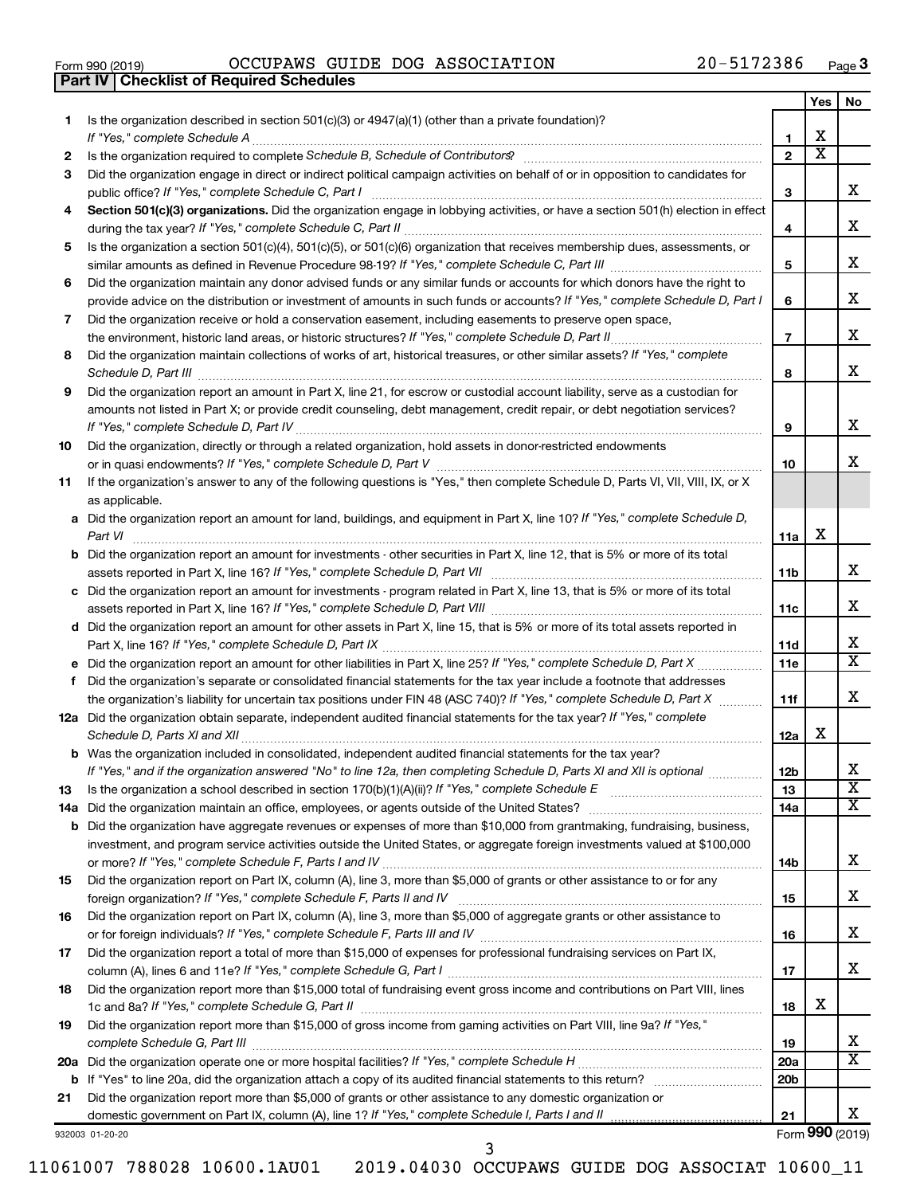|  | Form 990 (2019) |  |
|--|-----------------|--|
|  |                 |  |

**Part IV Checklist of Required Schedules**

Form 990 (2019)  $OCCUPANS$   $GUIDE$   $DOG$   $ASSOCIATION$   $20-5172386$   $Page$ 

|     |                                                                                                                                                                                                                                     |                 | Yes                     | No                           |
|-----|-------------------------------------------------------------------------------------------------------------------------------------------------------------------------------------------------------------------------------------|-----------------|-------------------------|------------------------------|
| 1   | Is the organization described in section $501(c)(3)$ or $4947(a)(1)$ (other than a private foundation)?<br>If "Yes," complete Schedule A                                                                                            | 1               | x                       |                              |
| 2   |                                                                                                                                                                                                                                     | $\overline{2}$  | $\overline{\textbf{x}}$ |                              |
| 3   | Did the organization engage in direct or indirect political campaign activities on behalf of or in opposition to candidates for                                                                                                     |                 |                         |                              |
|     | public office? If "Yes," complete Schedule C, Part I                                                                                                                                                                                | З               |                         | x.                           |
| 4   | Section 501(c)(3) organizations. Did the organization engage in lobbying activities, or have a section 501(h) election in effect                                                                                                    |                 |                         |                              |
|     |                                                                                                                                                                                                                                     | 4               |                         | х                            |
| 5   | Is the organization a section 501(c)(4), 501(c)(5), or 501(c)(6) organization that receives membership dues, assessments, or                                                                                                        |                 |                         |                              |
|     |                                                                                                                                                                                                                                     | 5               |                         | x                            |
| 6   | Did the organization maintain any donor advised funds or any similar funds or accounts for which donors have the right to                                                                                                           |                 |                         |                              |
|     | provide advice on the distribution or investment of amounts in such funds or accounts? If "Yes," complete Schedule D, Part I                                                                                                        | 6               |                         | х                            |
| 7   | Did the organization receive or hold a conservation easement, including easements to preserve open space,                                                                                                                           |                 |                         |                              |
|     | the environment, historic land areas, or historic structures? If "Yes," complete Schedule D, Part II                                                                                                                                | $\overline{7}$  |                         | x.                           |
| 8   | Did the organization maintain collections of works of art, historical treasures, or other similar assets? If "Yes," complete                                                                                                        |                 |                         |                              |
|     |                                                                                                                                                                                                                                     | 8               |                         | x                            |
| 9   | Did the organization report an amount in Part X, line 21, for escrow or custodial account liability, serve as a custodian for                                                                                                       |                 |                         |                              |
|     | amounts not listed in Part X; or provide credit counseling, debt management, credit repair, or debt negotiation services?                                                                                                           |                 |                         |                              |
|     |                                                                                                                                                                                                                                     | 9               |                         | х                            |
| 10  | Did the organization, directly or through a related organization, hold assets in donor-restricted endowments                                                                                                                        |                 |                         |                              |
|     |                                                                                                                                                                                                                                     | 10              |                         | x.                           |
| 11  | If the organization's answer to any of the following questions is "Yes," then complete Schedule D, Parts VI, VII, VIII, IX, or X                                                                                                    |                 |                         |                              |
|     | as applicable.                                                                                                                                                                                                                      |                 |                         |                              |
|     | a Did the organization report an amount for land, buildings, and equipment in Part X, line 10? If "Yes," complete Schedule D,                                                                                                       |                 | х                       |                              |
|     | Part VI<br><b>b</b> Did the organization report an amount for investments - other securities in Part X, line 12, that is 5% or more of its total                                                                                    | 11a             |                         |                              |
|     |                                                                                                                                                                                                                                     | 11b             |                         | x                            |
|     | c Did the organization report an amount for investments - program related in Part X, line 13, that is 5% or more of its total                                                                                                       |                 |                         |                              |
|     |                                                                                                                                                                                                                                     | 11c             |                         | x.                           |
|     | d Did the organization report an amount for other assets in Part X, line 15, that is 5% or more of its total assets reported in                                                                                                     |                 |                         |                              |
|     |                                                                                                                                                                                                                                     | 11d             |                         | X                            |
|     |                                                                                                                                                                                                                                     | 11e             |                         | X                            |
| f.  | Did the organization's separate or consolidated financial statements for the tax year include a footnote that addresses                                                                                                             |                 |                         |                              |
|     | the organization's liability for uncertain tax positions under FIN 48 (ASC 740)? If "Yes," complete Schedule D, Part X                                                                                                              | 11f             |                         | x.                           |
|     | 12a Did the organization obtain separate, independent audited financial statements for the tax year? If "Yes," complete                                                                                                             |                 |                         |                              |
|     | Schedule D, Parts XI and XII                                                                                                                                                                                                        | 12a             | x                       |                              |
|     | <b>b</b> Was the organization included in consolidated, independent audited financial statements for the tax year?                                                                                                                  |                 |                         |                              |
|     | If "Yes," and if the organization answered "No" to line 12a, then completing Schedule D, Parts XI and XII is optional                                                                                                               | 12 <sub>b</sub> |                         | х<br>$\overline{\texttt{x}}$ |
| 13  | Is the organization a school described in section $170(b)(1)(A)(ii)$ ? If "Yes," complete Schedule E                                                                                                                                | 13              |                         | x                            |
|     | 14a Did the organization maintain an office, employees, or agents outside of the United States?<br><b>b</b> Did the organization have aggregate revenues or expenses of more than \$10,000 from grantmaking, fundraising, business, | 14a             |                         |                              |
|     | investment, and program service activities outside the United States, or aggregate foreign investments valued at \$100,000                                                                                                          |                 |                         |                              |
|     |                                                                                                                                                                                                                                     | 14b             |                         | х                            |
| 15  | Did the organization report on Part IX, column (A), line 3, more than \$5,000 of grants or other assistance to or for any                                                                                                           |                 |                         |                              |
|     |                                                                                                                                                                                                                                     | 15              |                         | х                            |
| 16  | Did the organization report on Part IX, column (A), line 3, more than \$5,000 of aggregate grants or other assistance to                                                                                                            |                 |                         |                              |
|     |                                                                                                                                                                                                                                     | 16              |                         | х                            |
| 17  | Did the organization report a total of more than \$15,000 of expenses for professional fundraising services on Part IX,                                                                                                             |                 |                         |                              |
|     |                                                                                                                                                                                                                                     | 17              |                         | x                            |
| 18  | Did the organization report more than \$15,000 total of fundraising event gross income and contributions on Part VIII, lines                                                                                                        |                 |                         |                              |
|     |                                                                                                                                                                                                                                     | 18              | x                       |                              |
| 19  | Did the organization report more than \$15,000 of gross income from gaming activities on Part VIII, line 9a? If "Yes,"                                                                                                              |                 |                         |                              |
|     |                                                                                                                                                                                                                                     | 19              |                         | X.                           |
| 20a |                                                                                                                                                                                                                                     | 20a             |                         | х                            |
|     |                                                                                                                                                                                                                                     | 20 <sub>b</sub> |                         |                              |
| 21  | Did the organization report more than \$5,000 of grants or other assistance to any domestic organization or                                                                                                                         |                 |                         |                              |
|     |                                                                                                                                                                                                                                     | 21              |                         | x                            |

3

932003 01-20-20

Form (2019) **990**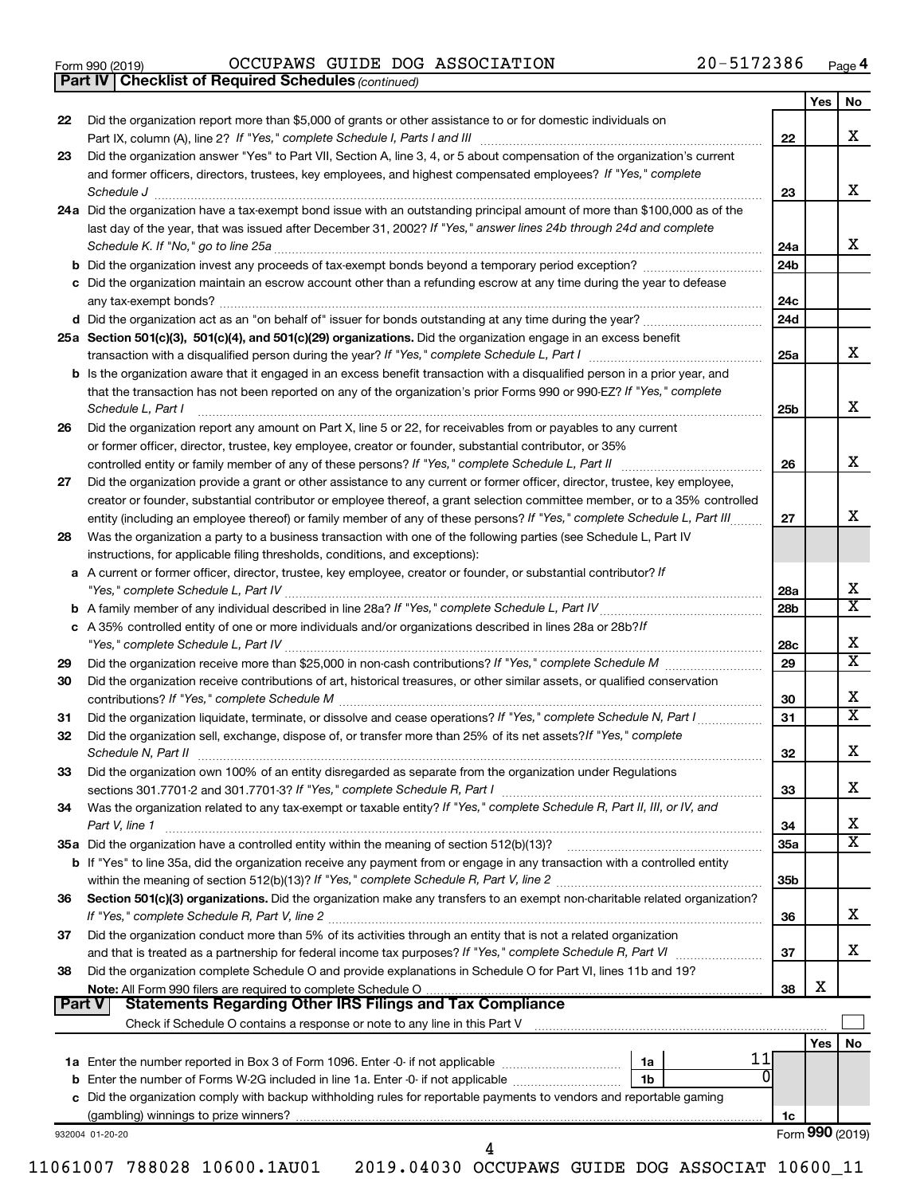| Form 990 (2019) |  |  |
|-----------------|--|--|
|                 |  |  |

*(continued)* **Part IV Checklist of Required Schedules**

Form 990 (2019)  $OCCUPANS$   $GUIDE$   $DOG$   $ASSOCIATION$   $20-5172386$   $Page$ 

|        |                                                                                                                                     |                 | Yes | No                           |
|--------|-------------------------------------------------------------------------------------------------------------------------------------|-----------------|-----|------------------------------|
| 22     | Did the organization report more than \$5,000 of grants or other assistance to or for domestic individuals on                       |                 |     |                              |
|        |                                                                                                                                     | 22              |     | х                            |
| 23     | Did the organization answer "Yes" to Part VII, Section A, line 3, 4, or 5 about compensation of the organization's current          |                 |     |                              |
|        | and former officers, directors, trustees, key employees, and highest compensated employees? If "Yes," complete                      |                 |     |                              |
|        | Schedule J <b>Execute Schedule Schedule Schedule Schedule</b> J <b>Execute Schedule J Execute Schedule J</b>                        | 23              |     | х                            |
|        | 24a Did the organization have a tax-exempt bond issue with an outstanding principal amount of more than \$100,000 as of the         |                 |     |                              |
|        | last day of the year, that was issued after December 31, 2002? If "Yes," answer lines 24b through 24d and complete                  |                 |     |                              |
|        |                                                                                                                                     | 24a             |     | х                            |
|        |                                                                                                                                     | 24 <sub>b</sub> |     |                              |
|        | c Did the organization maintain an escrow account other than a refunding escrow at any time during the year to defease              |                 |     |                              |
|        |                                                                                                                                     | 24c             |     |                              |
|        |                                                                                                                                     | 24d             |     |                              |
|        | 25a Section 501(c)(3), 501(c)(4), and 501(c)(29) organizations. Did the organization engage in an excess benefit                    |                 |     |                              |
|        |                                                                                                                                     | 25a             |     | х                            |
|        | <b>b</b> Is the organization aware that it engaged in an excess benefit transaction with a disqualified person in a prior year, and |                 |     |                              |
|        | that the transaction has not been reported on any of the organization's prior Forms 990 or 990-EZ? If "Yes," complete               |                 |     |                              |
|        | Schedule L, Part I                                                                                                                  | 25b             |     | x                            |
| 26     | Did the organization report any amount on Part X, line 5 or 22, for receivables from or payables to any current                     |                 |     |                              |
|        | or former officer, director, trustee, key employee, creator or founder, substantial contributor, or 35%                             |                 |     |                              |
|        |                                                                                                                                     | 26              |     | х                            |
| 27     | Did the organization provide a grant or other assistance to any current or former officer, director, trustee, key employee,         |                 |     |                              |
|        | creator or founder, substantial contributor or employee thereof, a grant selection committee member, or to a 35% controlled         |                 |     |                              |
|        |                                                                                                                                     | 27              |     | x                            |
|        | entity (including an employee thereof) or family member of any of these persons? If "Yes," complete Schedule L, Part III            |                 |     |                              |
| 28     | Was the organization a party to a business transaction with one of the following parties (see Schedule L, Part IV                   |                 |     |                              |
|        | instructions, for applicable filing thresholds, conditions, and exceptions):                                                        |                 |     |                              |
|        | a A current or former officer, director, trustee, key employee, creator or founder, or substantial contributor? If                  |                 |     | х                            |
|        |                                                                                                                                     | 28a             |     | $\overline{\text{X}}$        |
|        |                                                                                                                                     | 28 <sub>b</sub> |     |                              |
|        | c A 35% controlled entity of one or more individuals and/or organizations described in lines 28a or 28b?If                          |                 |     | х                            |
|        |                                                                                                                                     | 28c             |     | $\overline{\text{x}}$        |
| 29     |                                                                                                                                     | 29              |     |                              |
| 30     | Did the organization receive contributions of art, historical treasures, or other similar assets, or qualified conservation         |                 |     |                              |
|        |                                                                                                                                     | 30              |     | х<br>$\overline{\texttt{x}}$ |
| 31     | Did the organization liquidate, terminate, or dissolve and cease operations? If "Yes," complete Schedule N, Part I                  | 31              |     |                              |
| 32     | Did the organization sell, exchange, dispose of, or transfer more than 25% of its net assets? If "Yes," complete                    |                 |     |                              |
|        |                                                                                                                                     | 32              |     | х                            |
| 33     | Did the organization own 100% of an entity disregarded as separate from the organization under Regulations                          |                 |     |                              |
|        |                                                                                                                                     | 33              |     | x                            |
| 34     | Was the organization related to any tax-exempt or taxable entity? If "Yes," complete Schedule R, Part II, III, or IV, and           |                 |     |                              |
|        | Part V, line 1                                                                                                                      | 34              |     | х                            |
|        |                                                                                                                                     | 35a             |     | $\overline{\textbf{X}}$      |
|        | b If "Yes" to line 35a, did the organization receive any payment from or engage in any transaction with a controlled entity         |                 |     |                              |
|        |                                                                                                                                     | 35 <sub>b</sub> |     |                              |
| 36     | Section 501(c)(3) organizations. Did the organization make any transfers to an exempt non-charitable related organization?          |                 |     |                              |
|        |                                                                                                                                     | 36              |     | х                            |
| 37     | Did the organization conduct more than 5% of its activities through an entity that is not a related organization                    |                 |     |                              |
|        |                                                                                                                                     | 37              |     | x                            |
| 38     | Did the organization complete Schedule O and provide explanations in Schedule O for Part VI, lines 11b and 19?                      |                 |     |                              |
|        |                                                                                                                                     | 38              | х   |                              |
| Part V |                                                                                                                                     |                 |     |                              |
|        |                                                                                                                                     |                 |     |                              |
|        |                                                                                                                                     |                 | Yes | No                           |
|        | 11<br>1a                                                                                                                            |                 |     |                              |
|        | 1b                                                                                                                                  |                 |     |                              |
|        | c Did the organization comply with backup withholding rules for reportable payments to vendors and reportable gaming                |                 |     |                              |
|        |                                                                                                                                     | 1c              |     |                              |
|        | 932004 01-20-20                                                                                                                     |                 |     | Form 990 (2019)              |
|        | 4                                                                                                                                   |                 |     |                              |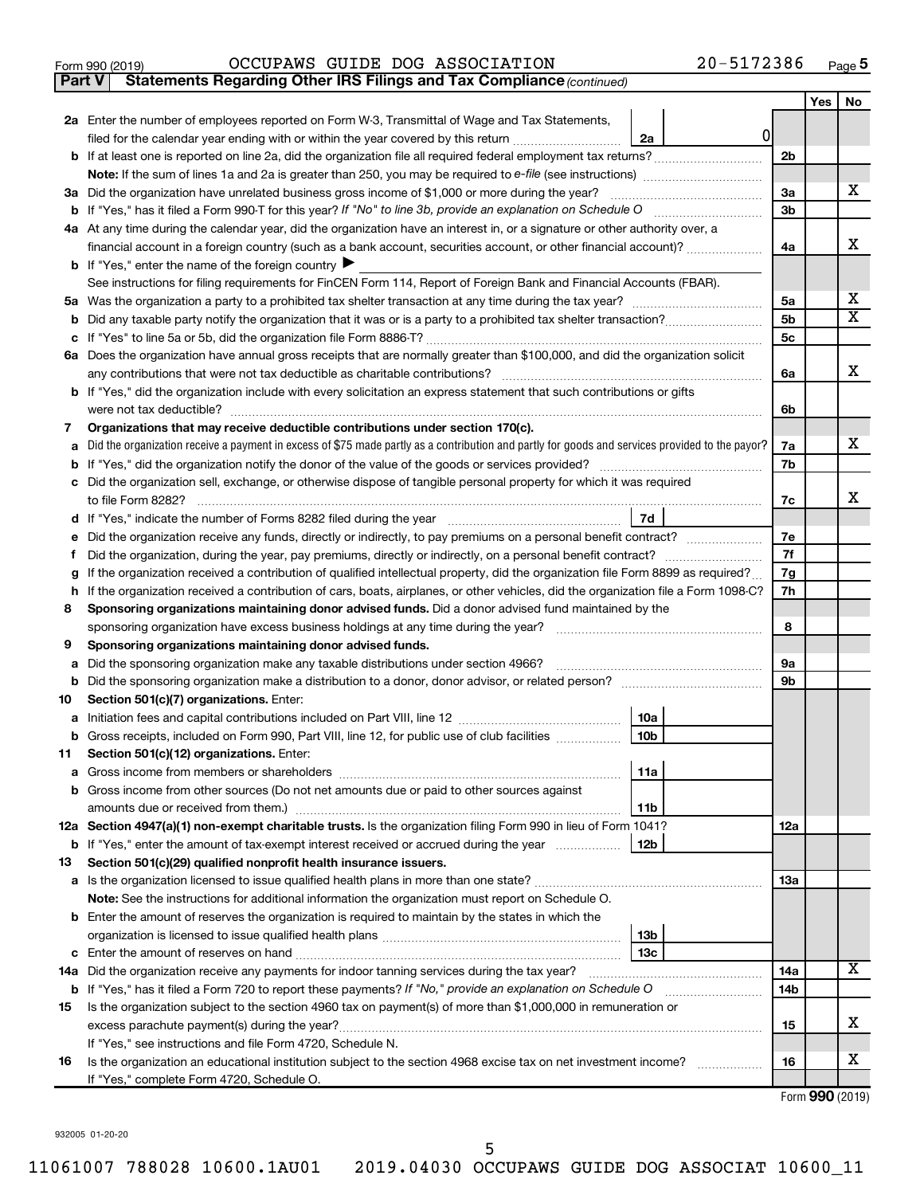|  | Form 990 (2019) |
|--|-----------------|
|  |                 |

**Part V** Statements Regarding Other IRS Filings and Tax Compliance (continued)

|        |                                                                                                                                                                                                                                            |     | Yes | No                      |
|--------|--------------------------------------------------------------------------------------------------------------------------------------------------------------------------------------------------------------------------------------------|-----|-----|-------------------------|
|        | 2a Enter the number of employees reported on Form W-3, Transmittal of Wage and Tax Statements,                                                                                                                                             |     |     |                         |
|        | $\overline{0}$<br>filed for the calendar year ending with or within the year covered by this return <i>manumumumum</i><br>2a                                                                                                               |     |     |                         |
|        |                                                                                                                                                                                                                                            | 2b  |     |                         |
|        |                                                                                                                                                                                                                                            |     |     |                         |
|        | 3a Did the organization have unrelated business gross income of \$1,000 or more during the year?                                                                                                                                           | 3a  |     | x                       |
|        |                                                                                                                                                                                                                                            | 3b  |     |                         |
|        | 4a At any time during the calendar year, did the organization have an interest in, or a signature or other authority over, a                                                                                                               |     |     |                         |
|        | financial account in a foreign country (such as a bank account, securities account, or other financial account)?                                                                                                                           | 4a  |     | х                       |
|        | <b>b</b> If "Yes," enter the name of the foreign country $\blacktriangleright$                                                                                                                                                             |     |     |                         |
|        | See instructions for filing requirements for FinCEN Form 114, Report of Foreign Bank and Financial Accounts (FBAR).                                                                                                                        |     |     |                         |
| 5а     |                                                                                                                                                                                                                                            | 5a  |     | x                       |
| b      |                                                                                                                                                                                                                                            | 5b  |     | $\overline{\mathbf{X}}$ |
|        |                                                                                                                                                                                                                                            | 5с  |     |                         |
|        | 6a Does the organization have annual gross receipts that are normally greater than \$100,000, and did the organization solicit                                                                                                             |     |     |                         |
|        |                                                                                                                                                                                                                                            | 6a  |     | х                       |
|        | <b>b</b> If "Yes," did the organization include with every solicitation an express statement that such contributions or gifts                                                                                                              |     |     |                         |
|        |                                                                                                                                                                                                                                            | 6b  |     |                         |
| 7      | Organizations that may receive deductible contributions under section 170(c).                                                                                                                                                              |     |     |                         |
| a      | Did the organization receive a payment in excess of \$75 made partly as a contribution and partly for goods and services provided to the payor?                                                                                            | 7a  |     | x                       |
|        |                                                                                                                                                                                                                                            | 7b  |     |                         |
|        | c Did the organization sell, exchange, or otherwise dispose of tangible personal property for which it was required                                                                                                                        |     |     |                         |
|        |                                                                                                                                                                                                                                            | 7c  |     | х                       |
|        | 7d<br>d If "Yes," indicate the number of Forms 8282 filed during the year [11, 11, 11, 11, 11, 11]                                                                                                                                         |     |     |                         |
| е      | Did the organization receive any funds, directly or indirectly, to pay premiums on a personal benefit contract?                                                                                                                            | 7e  |     |                         |
| f      | Did the organization, during the year, pay premiums, directly or indirectly, on a personal benefit contract?                                                                                                                               | 7f  |     |                         |
| g      | If the organization received a contribution of qualified intellectual property, did the organization file Form 8899 as required?                                                                                                           | 7g  |     |                         |
| h<br>8 | If the organization received a contribution of cars, boats, airplanes, or other vehicles, did the organization file a Form 1098-C?<br>Sponsoring organizations maintaining donor advised funds. Did a donor advised fund maintained by the | 7h  |     |                         |
|        |                                                                                                                                                                                                                                            | 8   |     |                         |
| 9      | Sponsoring organizations maintaining donor advised funds.                                                                                                                                                                                  |     |     |                         |
| a      | Did the sponsoring organization make any taxable distributions under section 4966?                                                                                                                                                         | 9а  |     |                         |
| b      |                                                                                                                                                                                                                                            | 9b  |     |                         |
| 10     | Section 501(c)(7) organizations. Enter:                                                                                                                                                                                                    |     |     |                         |
| a      | 10a                                                                                                                                                                                                                                        |     |     |                         |
|        | <b>b</b> Gross receipts, included on Form 990, Part VIII, line 12, for public use of club facilities<br>10 <sub>b</sub>                                                                                                                    |     |     |                         |
|        | 11 Section 501(c)(12) organizations. Enter:                                                                                                                                                                                                |     |     |                         |
|        | 11a                                                                                                                                                                                                                                        |     |     |                         |
|        | <b>b</b> Gross income from other sources (Do not net amounts due or paid to other sources against                                                                                                                                          |     |     |                         |
|        | 11b                                                                                                                                                                                                                                        |     |     |                         |
|        | 12a Section 4947(a)(1) non-exempt charitable trusts. Is the organization filing Form 990 in lieu of Form 1041?                                                                                                                             | 12a |     |                         |
|        | b If "Yes," enter the amount of tax-exempt interest received or accrued during the year<br>12 <sub>b</sub>                                                                                                                                 |     |     |                         |
| 13     | Section 501(c)(29) qualified nonprofit health insurance issuers.                                                                                                                                                                           |     |     |                         |
|        | a Is the organization licensed to issue qualified health plans in more than one state?                                                                                                                                                     | 13a |     |                         |
|        | Note: See the instructions for additional information the organization must report on Schedule O.                                                                                                                                          |     |     |                         |
|        | <b>b</b> Enter the amount of reserves the organization is required to maintain by the states in which the                                                                                                                                  |     |     |                         |
|        | 13 <sub>b</sub>                                                                                                                                                                                                                            |     |     |                         |
|        | 13c                                                                                                                                                                                                                                        |     |     |                         |
|        | 14a Did the organization receive any payments for indoor tanning services during the tax year?                                                                                                                                             | 14a |     | x                       |
|        | <b>b</b> If "Yes," has it filed a Form 720 to report these payments? If "No," provide an explanation on Schedule O                                                                                                                         | 14b |     |                         |
| 15     | Is the organization subject to the section 4960 tax on payment(s) of more than \$1,000,000 in remuneration or                                                                                                                              |     |     |                         |
|        |                                                                                                                                                                                                                                            | 15  |     | x                       |
|        | If "Yes," see instructions and file Form 4720, Schedule N.                                                                                                                                                                                 |     |     | x                       |
| 16     | Is the organization an educational institution subject to the section 4968 excise tax on net investment income?                                                                                                                            | 16  |     |                         |
|        | If "Yes," complete Form 4720, Schedule O.                                                                                                                                                                                                  |     |     |                         |

Form (2019) **990**

932005 01-20-20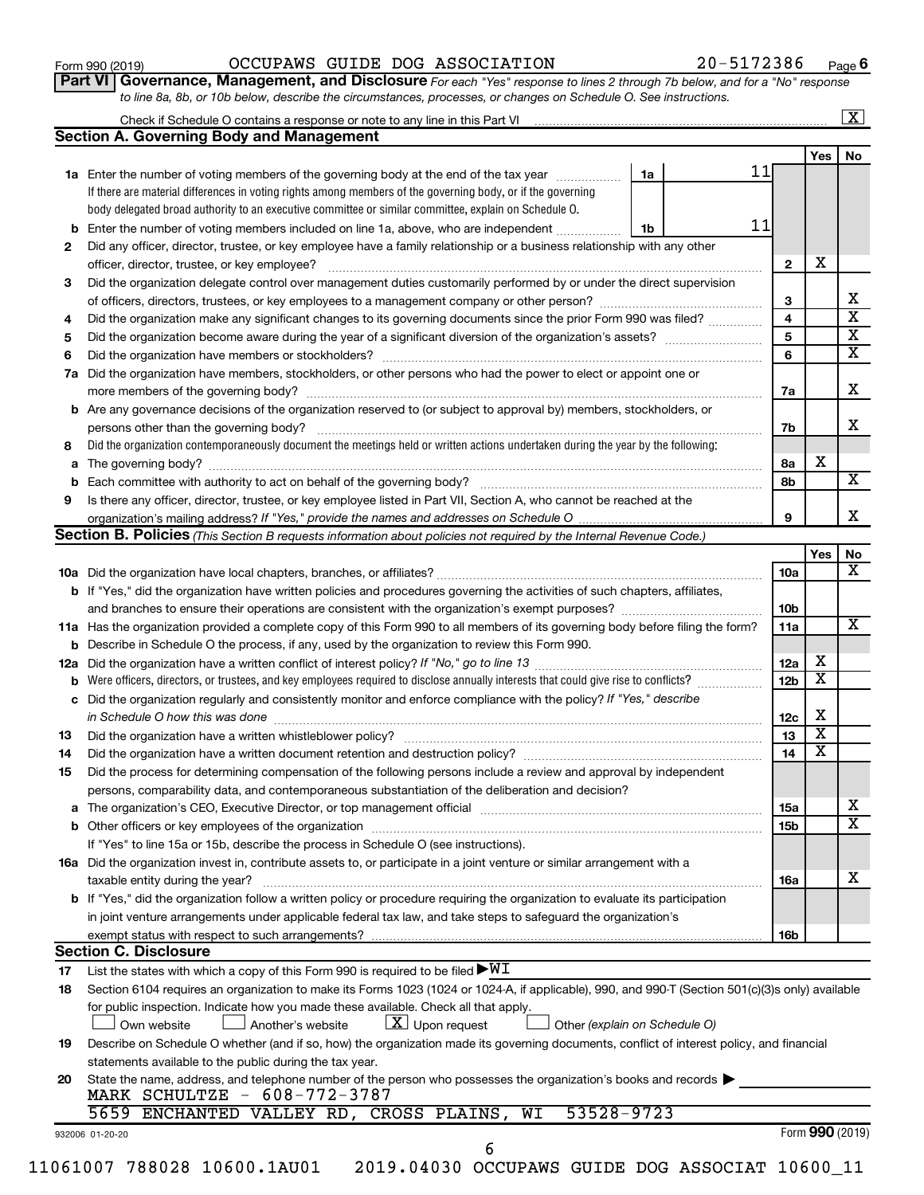| Form 990 (2019) |  |
|-----------------|--|
|-----------------|--|

#### Form 990 (2019)  $OCCUPANS$   $GUIDE$   $DOG$   $ASSOCIATION$   $20-5172386$   $Page$

**Part VI** Governance, Management, and Disclosure For each "Yes" response to lines 2 through 7b below, and for a "No" response *to line 8a, 8b, or 10b below, describe the circumstances, processes, or changes on Schedule O. See instructions.*

|     | <b>Section A. Governing Body and Management</b>                                                                                                  |                               |                 |                         |  |
|-----|--------------------------------------------------------------------------------------------------------------------------------------------------|-------------------------------|-----------------|-------------------------|--|
|     |                                                                                                                                                  |                               |                 | <b>Yes</b>              |  |
|     | 1a Enter the number of voting members of the governing body at the end of the tax year                                                           | 1a                            | 11              |                         |  |
|     | If there are material differences in voting rights among members of the governing body, or if the governing                                      |                               |                 |                         |  |
|     | body delegated broad authority to an executive committee or similar committee, explain on Schedule O.                                            |                               |                 |                         |  |
|     | <b>b</b> Enter the number of voting members included on line 1a, above, who are independent                                                      | 1b                            | 11              |                         |  |
| 2   | Did any officer, director, trustee, or key employee have a family relationship or a business relationship with any other                         |                               |                 |                         |  |
|     | officer, director, trustee, or key employee?                                                                                                     |                               | $\mathbf{2}$    | х                       |  |
| 3   | Did the organization delegate control over management duties customarily performed by or under the direct supervision                            |                               |                 |                         |  |
|     |                                                                                                                                                  |                               | 3               |                         |  |
| 4   | Did the organization make any significant changes to its governing documents since the prior Form 990 was filed?                                 |                               | $\overline{4}$  |                         |  |
| 5   |                                                                                                                                                  |                               | 5               |                         |  |
| 6   |                                                                                                                                                  |                               | 6               |                         |  |
| 7a  | Did the organization have members, stockholders, or other persons who had the power to elect or appoint one or                                   |                               |                 |                         |  |
|     |                                                                                                                                                  |                               | 7a              |                         |  |
|     | <b>b</b> Are any governance decisions of the organization reserved to (or subject to approval by) members, stockholders, or                      |                               |                 |                         |  |
|     | persons other than the governing body?                                                                                                           |                               | 7b              |                         |  |
| 8   | Did the organization contemporaneously document the meetings held or written actions undertaken during the year by the following:                |                               |                 |                         |  |
|     |                                                                                                                                                  |                               | 8a              | х                       |  |
|     |                                                                                                                                                  |                               | 8b              |                         |  |
| 9   | Is there any officer, director, trustee, or key employee listed in Part VII, Section A, who cannot be reached at the                             |                               |                 |                         |  |
|     | organization's mailing address? If "Yes," provide the names and addresses on Schedule O manual content content                                   |                               | 9               |                         |  |
|     | Section B. Policies (This Section B requests information about policies not required by the Internal Revenue Code.)                              |                               |                 |                         |  |
|     |                                                                                                                                                  |                               |                 | Yes                     |  |
|     |                                                                                                                                                  |                               | 10a             |                         |  |
|     | <b>b</b> If "Yes," did the organization have written policies and procedures governing the activities of such chapters, affiliates,              |                               |                 |                         |  |
|     |                                                                                                                                                  |                               | 10b             |                         |  |
|     | 11a Has the organization provided a complete copy of this Form 990 to all members of its governing body before filing the form?                  |                               | 11a             |                         |  |
|     | <b>b</b> Describe in Schedule O the process, if any, used by the organization to review this Form 990.                                           |                               |                 |                         |  |
| 12a |                                                                                                                                                  |                               | 12a             | x                       |  |
| b   |                                                                                                                                                  |                               | 12 <sub>b</sub> | $\overline{\textbf{x}}$ |  |
|     | c Did the organization regularly and consistently monitor and enforce compliance with the policy? If "Yes," describe                             |                               |                 |                         |  |
|     | in Schedule O how this was done manufactured and continuum and contact the was done manufactured and contact t                                   |                               | 12c             | х                       |  |
| 13  |                                                                                                                                                  |                               | 13              | $\overline{\textbf{x}}$ |  |
| 14  | Did the organization have a written document retention and destruction policy? [11] manufaction manufaction in                                   |                               | 14              | $\overline{\textbf{x}}$ |  |
| 15  | Did the process for determining compensation of the following persons include a review and approval by independent                               |                               |                 |                         |  |
|     | persons, comparability data, and contemporaneous substantiation of the deliberation and decision?                                                |                               |                 |                         |  |
|     |                                                                                                                                                  |                               | 15a             |                         |  |
|     |                                                                                                                                                  |                               | 15b             |                         |  |
|     | If "Yes" to line 15a or 15b, describe the process in Schedule O (see instructions).                                                              |                               |                 |                         |  |
|     | 16a Did the organization invest in, contribute assets to, or participate in a joint venture or similar arrangement with a                        |                               |                 |                         |  |
|     | taxable entity during the year?                                                                                                                  |                               | 16a             |                         |  |
|     | b If "Yes," did the organization follow a written policy or procedure requiring the organization to evaluate its participation                   |                               |                 |                         |  |
|     | in joint venture arrangements under applicable federal tax law, and take steps to safeguard the organization's                                   |                               |                 |                         |  |
|     | exempt status with respect to such arrangements?                                                                                                 |                               | 16b             |                         |  |
|     | <b>Section C. Disclosure</b>                                                                                                                     |                               |                 |                         |  |
| 17  | List the states with which a copy of this Form 990 is required to be filed $\blacktriangleright\texttt{WI}$                                      |                               |                 |                         |  |
| 18  | Section 6104 requires an organization to make its Forms 1023 (1024 or 1024-A, if applicable), 990, and 990-T (Section 501(c)(3)s only) available |                               |                 |                         |  |
|     | for public inspection. Indicate how you made these available. Check all that apply.                                                              |                               |                 |                         |  |
|     | $X$ Upon request<br>Own website<br>Another's website                                                                                             | Other (explain on Schedule O) |                 |                         |  |
| 19  | Describe on Schedule O whether (and if so, how) the organization made its governing documents, conflict of interest policy, and financial        |                               |                 |                         |  |
|     | statements available to the public during the tax year.                                                                                          |                               |                 |                         |  |
|     | State the name, address, and telephone number of the person who possesses the organization's books and records                                   |                               |                 |                         |  |
| 20  | MARK SCHULTZE - 608-772-3787                                                                                                                     |                               |                 |                         |  |
|     | 53528-9723<br>5659 ENCHANTED VALLEY RD, CROSS PLAINS, WI                                                                                         |                               |                 |                         |  |
|     |                                                                                                                                                  |                               |                 | Form 990 (2019)         |  |
|     |                                                                                                                                                  |                               |                 |                         |  |
|     | 932006 01-20-20<br>6                                                                                                                             |                               |                 |                         |  |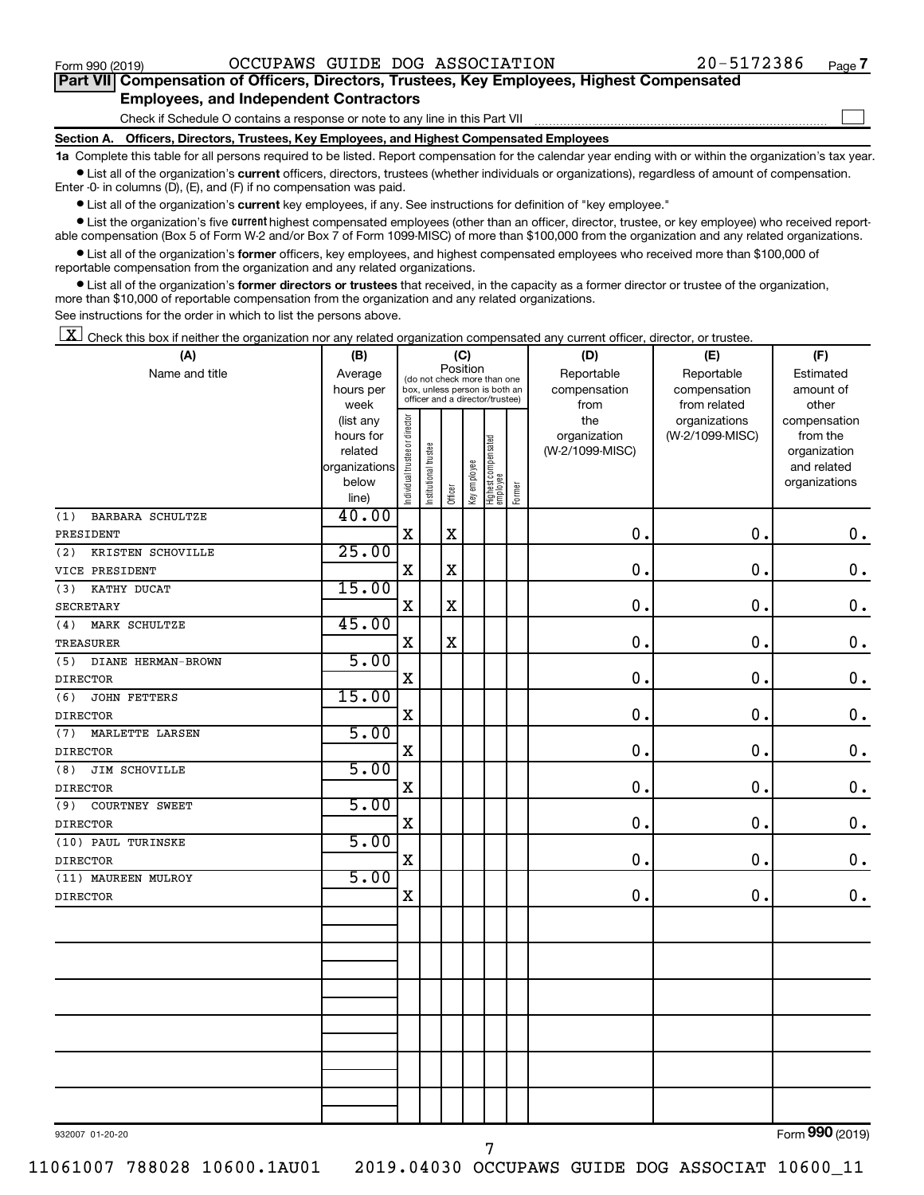$\Box$ 

| Part VII Compensation of Officers, Directors, Trustees, Key Employees, Highest Compensated |  |  |  |  |
|--------------------------------------------------------------------------------------------|--|--|--|--|
| <b>Employees, and Independent Contractors</b>                                              |  |  |  |  |

Check if Schedule O contains a response or note to any line in this Part VII

**Section A. Officers, Directors, Trustees, Key Employees, and Highest Compensated Employees**

**1a**  Complete this table for all persons required to be listed. Report compensation for the calendar year ending with or within the organization's tax year.  $\bullet$  List all of the organization's current officers, directors, trustees (whether individuals or organizations), regardless of amount of compensation.

Enter -0- in columns (D), (E), and (F) if no compensation was paid.

**•** List all of the organization's current key employees, if any. See instructions for definition of "key employee."

• List the organization's five *current* highest compensated employees (other than an officer, director, trustee, or key employee) who received reportable compensation (Box 5 of Form W-2 and/or Box 7 of Form 1099-MISC) of more than \$100,000 from the organization and any related organizations.

 $\bullet$  List all of the organization's former officers, key employees, and highest compensated employees who received more than \$100,000 of reportable compensation from the organization and any related organizations.

**•** List all of the organization's former directors or trustees that received, in the capacity as a former director or trustee of the organization, more than \$10,000 of reportable compensation from the organization and any related organizations.

See instructions for the order in which to list the persons above.

 $\boxed{\textbf{X}}$  Check this box if neither the organization nor any related organization compensated any current officer, director, or trustee.

| Position<br>Reportable<br>Name and title<br>Reportable<br>Average<br>Estimated<br>(do not check more than one<br>hours per<br>compensation<br>compensation<br>amount of<br>box, unless person is both an<br>officer and a director/trustee)<br>from related<br>week<br>from<br>other<br>Individual trustee or director<br>the<br>organizations<br>compensation<br>(list any<br>organization<br>(W-2/1099-MISC)<br>from the<br>hours for<br>Highest compensated<br>employee<br>Institutional trustee<br>(W-2/1099-MISC)<br>related<br>organization<br>Key employee<br>organizations<br>and related<br>below<br>organizations<br>Former<br>Officer<br>line)<br>40.00<br><b>BARBARA SCHULTZE</b><br>(1)<br>$\mathbf x$<br>$\mathbf X$<br>$\mathbf 0$ .<br>0.<br>$\mathbf 0$ .<br>PRESIDENT<br>25.00<br>(2)<br>KRISTEN SCHOVILLE<br>$\rm X$<br>$\mathbf X$<br>0.<br>$\mathbf 0$<br>$\mathbf 0$ .<br>VICE PRESIDENT<br>15.00<br>KATHY DUCAT<br>(3)<br>$\mathbf X$<br>0.<br>$\mathbf 0$ .<br>X<br>$\mathbf 0$ .<br><b>SECRETARY</b><br>45.00<br>MARK SCHULTZE<br>(4)<br>$\mathbf X$<br>$\mathbf X$<br>$\mathbf 0$ .<br>0.<br>$0$ .<br><b>TREASURER</b><br>5.00<br>(5)<br>DIANE HERMAN-BROWN<br>$\mathbf X$<br>$\mathbf 0$ .<br>$\mathbf 0$ .<br>$\mathbf 0$ .<br><b>DIRECTOR</b><br>15.00<br><b>JOHN FETTERS</b><br>(6)<br>$\mathbf X$<br>$\mathbf 0$ .<br>$\mathbf 0$ .<br>$\mathbf 0$ .<br><b>DIRECTOR</b><br>5.00<br>MARLETTE LARSEN<br>(7)<br>X<br>$\mathbf 0$<br>$\mathbf 0$<br>$\mathbf 0$ .<br><b>DIRECTOR</b><br>5.00<br>JIM SCHOVILLE<br>(8)<br>$\mathbf X$<br>$\mathbf 0$ .<br>$\mathbf 0$ .<br>$\mathbf 0$ .<br><b>DIRECTOR</b><br>5.00<br>COURTNEY SWEET<br>(9)<br>$\mathbf X$<br>$\mathbf 0$<br>$\mathbf 0$ .<br>$\mathbf 0$ .<br><b>DIRECTOR</b><br>5.00<br>(10) PAUL TURINSKE<br>$\mathbf X$<br>$\mathbf 0$ .<br>0.<br>$\mathbf 0$ .<br><b>DIRECTOR</b><br>5.00<br>(11) MAUREEN MULROY<br>$\mathbf X$<br>$\mathbf 0$ .<br>$\mathbf 0$ .<br>$0$ .<br><b>DIRECTOR</b> | (A) | (C)<br>(B) |  |  |  |  |  | (D) | (E) | (F) |
|------------------------------------------------------------------------------------------------------------------------------------------------------------------------------------------------------------------------------------------------------------------------------------------------------------------------------------------------------------------------------------------------------------------------------------------------------------------------------------------------------------------------------------------------------------------------------------------------------------------------------------------------------------------------------------------------------------------------------------------------------------------------------------------------------------------------------------------------------------------------------------------------------------------------------------------------------------------------------------------------------------------------------------------------------------------------------------------------------------------------------------------------------------------------------------------------------------------------------------------------------------------------------------------------------------------------------------------------------------------------------------------------------------------------------------------------------------------------------------------------------------------------------------------------------------------------------------------------------------------------------------------------------------------------------------------------------------------------------------------------------------------------------------------------------------------------------------------------------------------------------------------------------------------------------------------------------------------------------|-----|------------|--|--|--|--|--|-----|-----|-----|
|                                                                                                                                                                                                                                                                                                                                                                                                                                                                                                                                                                                                                                                                                                                                                                                                                                                                                                                                                                                                                                                                                                                                                                                                                                                                                                                                                                                                                                                                                                                                                                                                                                                                                                                                                                                                                                                                                                                                                                              |     |            |  |  |  |  |  |     |     |     |
|                                                                                                                                                                                                                                                                                                                                                                                                                                                                                                                                                                                                                                                                                                                                                                                                                                                                                                                                                                                                                                                                                                                                                                                                                                                                                                                                                                                                                                                                                                                                                                                                                                                                                                                                                                                                                                                                                                                                                                              |     |            |  |  |  |  |  |     |     |     |
|                                                                                                                                                                                                                                                                                                                                                                                                                                                                                                                                                                                                                                                                                                                                                                                                                                                                                                                                                                                                                                                                                                                                                                                                                                                                                                                                                                                                                                                                                                                                                                                                                                                                                                                                                                                                                                                                                                                                                                              |     |            |  |  |  |  |  |     |     |     |
|                                                                                                                                                                                                                                                                                                                                                                                                                                                                                                                                                                                                                                                                                                                                                                                                                                                                                                                                                                                                                                                                                                                                                                                                                                                                                                                                                                                                                                                                                                                                                                                                                                                                                                                                                                                                                                                                                                                                                                              |     |            |  |  |  |  |  |     |     |     |
|                                                                                                                                                                                                                                                                                                                                                                                                                                                                                                                                                                                                                                                                                                                                                                                                                                                                                                                                                                                                                                                                                                                                                                                                                                                                                                                                                                                                                                                                                                                                                                                                                                                                                                                                                                                                                                                                                                                                                                              |     |            |  |  |  |  |  |     |     |     |
|                                                                                                                                                                                                                                                                                                                                                                                                                                                                                                                                                                                                                                                                                                                                                                                                                                                                                                                                                                                                                                                                                                                                                                                                                                                                                                                                                                                                                                                                                                                                                                                                                                                                                                                                                                                                                                                                                                                                                                              |     |            |  |  |  |  |  |     |     |     |
|                                                                                                                                                                                                                                                                                                                                                                                                                                                                                                                                                                                                                                                                                                                                                                                                                                                                                                                                                                                                                                                                                                                                                                                                                                                                                                                                                                                                                                                                                                                                                                                                                                                                                                                                                                                                                                                                                                                                                                              |     |            |  |  |  |  |  |     |     |     |
|                                                                                                                                                                                                                                                                                                                                                                                                                                                                                                                                                                                                                                                                                                                                                                                                                                                                                                                                                                                                                                                                                                                                                                                                                                                                                                                                                                                                                                                                                                                                                                                                                                                                                                                                                                                                                                                                                                                                                                              |     |            |  |  |  |  |  |     |     |     |
|                                                                                                                                                                                                                                                                                                                                                                                                                                                                                                                                                                                                                                                                                                                                                                                                                                                                                                                                                                                                                                                                                                                                                                                                                                                                                                                                                                                                                                                                                                                                                                                                                                                                                                                                                                                                                                                                                                                                                                              |     |            |  |  |  |  |  |     |     |     |
|                                                                                                                                                                                                                                                                                                                                                                                                                                                                                                                                                                                                                                                                                                                                                                                                                                                                                                                                                                                                                                                                                                                                                                                                                                                                                                                                                                                                                                                                                                                                                                                                                                                                                                                                                                                                                                                                                                                                                                              |     |            |  |  |  |  |  |     |     |     |
|                                                                                                                                                                                                                                                                                                                                                                                                                                                                                                                                                                                                                                                                                                                                                                                                                                                                                                                                                                                                                                                                                                                                                                                                                                                                                                                                                                                                                                                                                                                                                                                                                                                                                                                                                                                                                                                                                                                                                                              |     |            |  |  |  |  |  |     |     |     |
|                                                                                                                                                                                                                                                                                                                                                                                                                                                                                                                                                                                                                                                                                                                                                                                                                                                                                                                                                                                                                                                                                                                                                                                                                                                                                                                                                                                                                                                                                                                                                                                                                                                                                                                                                                                                                                                                                                                                                                              |     |            |  |  |  |  |  |     |     |     |
|                                                                                                                                                                                                                                                                                                                                                                                                                                                                                                                                                                                                                                                                                                                                                                                                                                                                                                                                                                                                                                                                                                                                                                                                                                                                                                                                                                                                                                                                                                                                                                                                                                                                                                                                                                                                                                                                                                                                                                              |     |            |  |  |  |  |  |     |     |     |
|                                                                                                                                                                                                                                                                                                                                                                                                                                                                                                                                                                                                                                                                                                                                                                                                                                                                                                                                                                                                                                                                                                                                                                                                                                                                                                                                                                                                                                                                                                                                                                                                                                                                                                                                                                                                                                                                                                                                                                              |     |            |  |  |  |  |  |     |     |     |
|                                                                                                                                                                                                                                                                                                                                                                                                                                                                                                                                                                                                                                                                                                                                                                                                                                                                                                                                                                                                                                                                                                                                                                                                                                                                                                                                                                                                                                                                                                                                                                                                                                                                                                                                                                                                                                                                                                                                                                              |     |            |  |  |  |  |  |     |     |     |
|                                                                                                                                                                                                                                                                                                                                                                                                                                                                                                                                                                                                                                                                                                                                                                                                                                                                                                                                                                                                                                                                                                                                                                                                                                                                                                                                                                                                                                                                                                                                                                                                                                                                                                                                                                                                                                                                                                                                                                              |     |            |  |  |  |  |  |     |     |     |
|                                                                                                                                                                                                                                                                                                                                                                                                                                                                                                                                                                                                                                                                                                                                                                                                                                                                                                                                                                                                                                                                                                                                                                                                                                                                                                                                                                                                                                                                                                                                                                                                                                                                                                                                                                                                                                                                                                                                                                              |     |            |  |  |  |  |  |     |     |     |
|                                                                                                                                                                                                                                                                                                                                                                                                                                                                                                                                                                                                                                                                                                                                                                                                                                                                                                                                                                                                                                                                                                                                                                                                                                                                                                                                                                                                                                                                                                                                                                                                                                                                                                                                                                                                                                                                                                                                                                              |     |            |  |  |  |  |  |     |     |     |
|                                                                                                                                                                                                                                                                                                                                                                                                                                                                                                                                                                                                                                                                                                                                                                                                                                                                                                                                                                                                                                                                                                                                                                                                                                                                                                                                                                                                                                                                                                                                                                                                                                                                                                                                                                                                                                                                                                                                                                              |     |            |  |  |  |  |  |     |     |     |
|                                                                                                                                                                                                                                                                                                                                                                                                                                                                                                                                                                                                                                                                                                                                                                                                                                                                                                                                                                                                                                                                                                                                                                                                                                                                                                                                                                                                                                                                                                                                                                                                                                                                                                                                                                                                                                                                                                                                                                              |     |            |  |  |  |  |  |     |     |     |
|                                                                                                                                                                                                                                                                                                                                                                                                                                                                                                                                                                                                                                                                                                                                                                                                                                                                                                                                                                                                                                                                                                                                                                                                                                                                                                                                                                                                                                                                                                                                                                                                                                                                                                                                                                                                                                                                                                                                                                              |     |            |  |  |  |  |  |     |     |     |
|                                                                                                                                                                                                                                                                                                                                                                                                                                                                                                                                                                                                                                                                                                                                                                                                                                                                                                                                                                                                                                                                                                                                                                                                                                                                                                                                                                                                                                                                                                                                                                                                                                                                                                                                                                                                                                                                                                                                                                              |     |            |  |  |  |  |  |     |     |     |
|                                                                                                                                                                                                                                                                                                                                                                                                                                                                                                                                                                                                                                                                                                                                                                                                                                                                                                                                                                                                                                                                                                                                                                                                                                                                                                                                                                                                                                                                                                                                                                                                                                                                                                                                                                                                                                                                                                                                                                              |     |            |  |  |  |  |  |     |     |     |
|                                                                                                                                                                                                                                                                                                                                                                                                                                                                                                                                                                                                                                                                                                                                                                                                                                                                                                                                                                                                                                                                                                                                                                                                                                                                                                                                                                                                                                                                                                                                                                                                                                                                                                                                                                                                                                                                                                                                                                              |     |            |  |  |  |  |  |     |     |     |
|                                                                                                                                                                                                                                                                                                                                                                                                                                                                                                                                                                                                                                                                                                                                                                                                                                                                                                                                                                                                                                                                                                                                                                                                                                                                                                                                                                                                                                                                                                                                                                                                                                                                                                                                                                                                                                                                                                                                                                              |     |            |  |  |  |  |  |     |     |     |
|                                                                                                                                                                                                                                                                                                                                                                                                                                                                                                                                                                                                                                                                                                                                                                                                                                                                                                                                                                                                                                                                                                                                                                                                                                                                                                                                                                                                                                                                                                                                                                                                                                                                                                                                                                                                                                                                                                                                                                              |     |            |  |  |  |  |  |     |     |     |
|                                                                                                                                                                                                                                                                                                                                                                                                                                                                                                                                                                                                                                                                                                                                                                                                                                                                                                                                                                                                                                                                                                                                                                                                                                                                                                                                                                                                                                                                                                                                                                                                                                                                                                                                                                                                                                                                                                                                                                              |     |            |  |  |  |  |  |     |     |     |
|                                                                                                                                                                                                                                                                                                                                                                                                                                                                                                                                                                                                                                                                                                                                                                                                                                                                                                                                                                                                                                                                                                                                                                                                                                                                                                                                                                                                                                                                                                                                                                                                                                                                                                                                                                                                                                                                                                                                                                              |     |            |  |  |  |  |  |     |     |     |
|                                                                                                                                                                                                                                                                                                                                                                                                                                                                                                                                                                                                                                                                                                                                                                                                                                                                                                                                                                                                                                                                                                                                                                                                                                                                                                                                                                                                                                                                                                                                                                                                                                                                                                                                                                                                                                                                                                                                                                              |     |            |  |  |  |  |  |     |     |     |
|                                                                                                                                                                                                                                                                                                                                                                                                                                                                                                                                                                                                                                                                                                                                                                                                                                                                                                                                                                                                                                                                                                                                                                                                                                                                                                                                                                                                                                                                                                                                                                                                                                                                                                                                                                                                                                                                                                                                                                              |     |            |  |  |  |  |  |     |     |     |
|                                                                                                                                                                                                                                                                                                                                                                                                                                                                                                                                                                                                                                                                                                                                                                                                                                                                                                                                                                                                                                                                                                                                                                                                                                                                                                                                                                                                                                                                                                                                                                                                                                                                                                                                                                                                                                                                                                                                                                              |     |            |  |  |  |  |  |     |     |     |
|                                                                                                                                                                                                                                                                                                                                                                                                                                                                                                                                                                                                                                                                                                                                                                                                                                                                                                                                                                                                                                                                                                                                                                                                                                                                                                                                                                                                                                                                                                                                                                                                                                                                                                                                                                                                                                                                                                                                                                              |     |            |  |  |  |  |  |     |     |     |
|                                                                                                                                                                                                                                                                                                                                                                                                                                                                                                                                                                                                                                                                                                                                                                                                                                                                                                                                                                                                                                                                                                                                                                                                                                                                                                                                                                                                                                                                                                                                                                                                                                                                                                                                                                                                                                                                                                                                                                              |     |            |  |  |  |  |  |     |     |     |
|                                                                                                                                                                                                                                                                                                                                                                                                                                                                                                                                                                                                                                                                                                                                                                                                                                                                                                                                                                                                                                                                                                                                                                                                                                                                                                                                                                                                                                                                                                                                                                                                                                                                                                                                                                                                                                                                                                                                                                              |     |            |  |  |  |  |  |     |     |     |
|                                                                                                                                                                                                                                                                                                                                                                                                                                                                                                                                                                                                                                                                                                                                                                                                                                                                                                                                                                                                                                                                                                                                                                                                                                                                                                                                                                                                                                                                                                                                                                                                                                                                                                                                                                                                                                                                                                                                                                              |     |            |  |  |  |  |  |     |     |     |
|                                                                                                                                                                                                                                                                                                                                                                                                                                                                                                                                                                                                                                                                                                                                                                                                                                                                                                                                                                                                                                                                                                                                                                                                                                                                                                                                                                                                                                                                                                                                                                                                                                                                                                                                                                                                                                                                                                                                                                              |     |            |  |  |  |  |  |     |     |     |
|                                                                                                                                                                                                                                                                                                                                                                                                                                                                                                                                                                                                                                                                                                                                                                                                                                                                                                                                                                                                                                                                                                                                                                                                                                                                                                                                                                                                                                                                                                                                                                                                                                                                                                                                                                                                                                                                                                                                                                              |     |            |  |  |  |  |  |     |     |     |
|                                                                                                                                                                                                                                                                                                                                                                                                                                                                                                                                                                                                                                                                                                                                                                                                                                                                                                                                                                                                                                                                                                                                                                                                                                                                                                                                                                                                                                                                                                                                                                                                                                                                                                                                                                                                                                                                                                                                                                              |     |            |  |  |  |  |  |     |     |     |
|                                                                                                                                                                                                                                                                                                                                                                                                                                                                                                                                                                                                                                                                                                                                                                                                                                                                                                                                                                                                                                                                                                                                                                                                                                                                                                                                                                                                                                                                                                                                                                                                                                                                                                                                                                                                                                                                                                                                                                              |     |            |  |  |  |  |  |     |     |     |
|                                                                                                                                                                                                                                                                                                                                                                                                                                                                                                                                                                                                                                                                                                                                                                                                                                                                                                                                                                                                                                                                                                                                                                                                                                                                                                                                                                                                                                                                                                                                                                                                                                                                                                                                                                                                                                                                                                                                                                              |     |            |  |  |  |  |  |     |     |     |
|                                                                                                                                                                                                                                                                                                                                                                                                                                                                                                                                                                                                                                                                                                                                                                                                                                                                                                                                                                                                                                                                                                                                                                                                                                                                                                                                                                                                                                                                                                                                                                                                                                                                                                                                                                                                                                                                                                                                                                              |     |            |  |  |  |  |  |     |     |     |
|                                                                                                                                                                                                                                                                                                                                                                                                                                                                                                                                                                                                                                                                                                                                                                                                                                                                                                                                                                                                                                                                                                                                                                                                                                                                                                                                                                                                                                                                                                                                                                                                                                                                                                                                                                                                                                                                                                                                                                              |     |            |  |  |  |  |  |     |     |     |

932007 01-20-20

11061007 788028 10600.1AU01 2019.04030 OCCUPAWS GUIDE DOG ASSOCIAT 10600\_11

Form (2019) **990**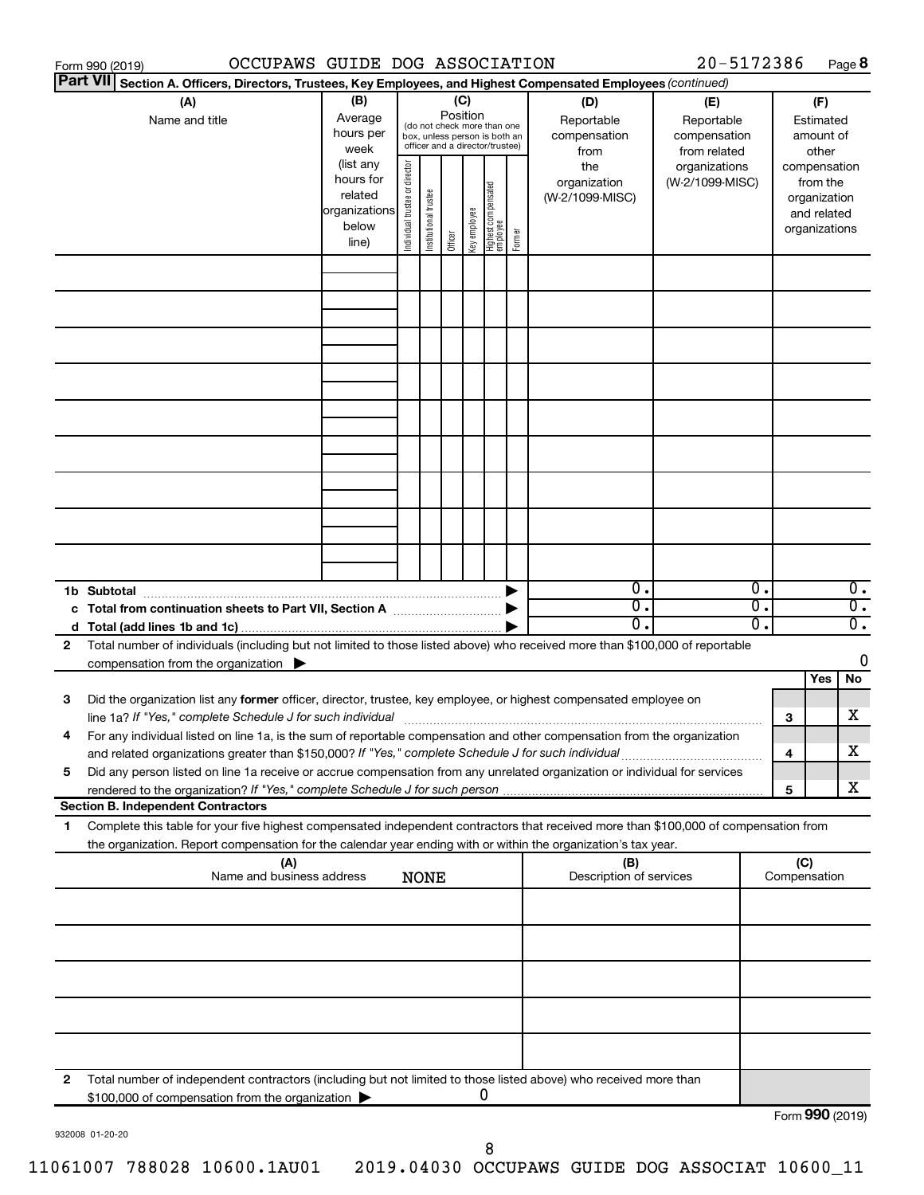|                 | OCCUPAWS GUIDE DOG ASSOCIATION<br>Form 990 (2019)                                                                                    |               |                                |                       |          |              |                                                              |        |                         | 20-5172386      |    |                 |              | Page 8           |
|-----------------|--------------------------------------------------------------------------------------------------------------------------------------|---------------|--------------------------------|-----------------------|----------|--------------|--------------------------------------------------------------|--------|-------------------------|-----------------|----|-----------------|--------------|------------------|
| <b>Part VII</b> | Section A. Officers, Directors, Trustees, Key Employees, and Highest Compensated Employees (continued)                               |               |                                |                       |          |              |                                                              |        |                         |                 |    |                 |              |                  |
|                 | (A)                                                                                                                                  | (B)           |                                |                       |          | (C)          |                                                              |        | (D)                     | (E)             |    |                 | (F)          |                  |
|                 | Name and title                                                                                                                       | Average       |                                |                       | Position |              |                                                              |        | Reportable              | Reportable      |    |                 | Estimated    |                  |
|                 |                                                                                                                                      | hours per     |                                |                       |          |              | (do not check more than one<br>box, unless person is both an |        | compensation            | compensation    |    |                 | amount of    |                  |
|                 |                                                                                                                                      | week          |                                |                       |          |              | officer and a director/trustee)                              |        | from                    | from related    |    |                 | other        |                  |
|                 |                                                                                                                                      | (list any     |                                |                       |          |              |                                                              |        | the                     | organizations   |    | compensation    |              |                  |
|                 |                                                                                                                                      | hours for     |                                |                       |          |              |                                                              |        | organization            | (W-2/1099-MISC) |    |                 | from the     |                  |
|                 |                                                                                                                                      | related       | Individual trustee or director | Institutional trustee |          |              |                                                              |        | (W-2/1099-MISC)         |                 |    |                 | organization |                  |
|                 |                                                                                                                                      | organizations |                                |                       |          | Key employee |                                                              |        |                         |                 |    |                 | and related  |                  |
|                 |                                                                                                                                      | below         |                                |                       |          |              |                                                              | Former |                         |                 |    | organizations   |              |                  |
|                 |                                                                                                                                      | line)         |                                |                       | Officer  |              | Highest compensated<br>  employee                            |        |                         |                 |    |                 |              |                  |
|                 |                                                                                                                                      |               |                                |                       |          |              |                                                              |        |                         |                 |    |                 |              |                  |
|                 |                                                                                                                                      |               |                                |                       |          |              |                                                              |        |                         |                 |    |                 |              |                  |
|                 |                                                                                                                                      |               |                                |                       |          |              |                                                              |        |                         |                 |    |                 |              |                  |
|                 |                                                                                                                                      |               |                                |                       |          |              |                                                              |        |                         |                 |    |                 |              |                  |
|                 |                                                                                                                                      |               |                                |                       |          |              |                                                              |        |                         |                 |    |                 |              |                  |
|                 |                                                                                                                                      |               |                                |                       |          |              |                                                              |        |                         |                 |    |                 |              |                  |
|                 |                                                                                                                                      |               |                                |                       |          |              |                                                              |        |                         |                 |    |                 |              |                  |
|                 |                                                                                                                                      |               |                                |                       |          |              |                                                              |        |                         |                 |    |                 |              |                  |
|                 |                                                                                                                                      |               |                                |                       |          |              |                                                              |        |                         |                 |    |                 |              |                  |
|                 |                                                                                                                                      |               |                                |                       |          |              |                                                              |        |                         |                 |    |                 |              |                  |
|                 |                                                                                                                                      |               |                                |                       |          |              |                                                              |        |                         |                 |    |                 |              |                  |
|                 |                                                                                                                                      |               |                                |                       |          |              |                                                              |        |                         |                 |    |                 |              |                  |
|                 |                                                                                                                                      |               |                                |                       |          |              |                                                              |        |                         |                 |    |                 |              |                  |
|                 |                                                                                                                                      |               |                                |                       |          |              |                                                              |        |                         |                 |    |                 |              |                  |
|                 |                                                                                                                                      |               |                                |                       |          |              |                                                              |        |                         |                 |    |                 |              |                  |
|                 |                                                                                                                                      |               |                                |                       |          |              |                                                              |        |                         |                 |    |                 |              |                  |
|                 |                                                                                                                                      |               |                                |                       |          |              |                                                              |        |                         |                 |    |                 |              |                  |
|                 |                                                                                                                                      |               |                                |                       |          |              |                                                              |        |                         |                 |    |                 |              |                  |
|                 |                                                                                                                                      |               |                                |                       |          |              |                                                              |        |                         |                 |    |                 |              |                  |
|                 | 1b Subtotal                                                                                                                          |               |                                |                       |          |              |                                                              |        | $\mathbf{0}$ .          |                 | 0. |                 |              | $\overline{0}$ . |
|                 | c Total from continuation sheets to Part VII, Section A manufactured by                                                              |               |                                |                       |          |              |                                                              |        | $\overline{0}$ .        |                 | σ. |                 |              | $\overline{0}$ . |
|                 |                                                                                                                                      |               |                                |                       |          |              |                                                              |        | 0.                      |                 | О. |                 |              | $\overline{0}$ . |
| 2               | Total number of individuals (including but not limited to those listed above) who received more than \$100,000 of reportable         |               |                                |                       |          |              |                                                              |        |                         |                 |    |                 |              |                  |
|                 | compensation from the organization $\blacktriangleright$                                                                             |               |                                |                       |          |              |                                                              |        |                         |                 |    |                 |              | 0                |
|                 |                                                                                                                                      |               |                                |                       |          |              |                                                              |        |                         |                 |    |                 | Yes          | No               |
| 3               | Did the organization list any former officer, director, trustee, key employee, or highest compensated employee on                    |               |                                |                       |          |              |                                                              |        |                         |                 |    |                 |              |                  |
|                 | line 1a? If "Yes," complete Schedule J for such individual [11] manufacture manufacture in the set of the set o                      |               |                                |                       |          |              |                                                              |        |                         |                 |    | 3               |              | х                |
|                 | For any individual listed on line 1a, is the sum of reportable compensation and other compensation from the organization             |               |                                |                       |          |              |                                                              |        |                         |                 |    |                 |              |                  |
|                 | and related organizations greater than \$150,000? If "Yes," complete Schedule J for such individual                                  |               |                                |                       |          |              |                                                              |        |                         |                 |    | 4               |              | х                |
| 5               | Did any person listed on line 1a receive or accrue compensation from any unrelated organization or individual for services           |               |                                |                       |          |              |                                                              |        |                         |                 |    |                 |              |                  |
|                 |                                                                                                                                      |               |                                |                       |          |              |                                                              |        |                         |                 |    | 5               |              | х                |
|                 | <b>Section B. Independent Contractors</b>                                                                                            |               |                                |                       |          |              |                                                              |        |                         |                 |    |                 |              |                  |
| 1.              | Complete this table for your five highest compensated independent contractors that received more than \$100,000 of compensation from |               |                                |                       |          |              |                                                              |        |                         |                 |    |                 |              |                  |
|                 | the organization. Report compensation for the calendar year ending with or within the organization's tax year.                       |               |                                |                       |          |              |                                                              |        |                         |                 |    |                 |              |                  |
|                 | (A)                                                                                                                                  |               |                                |                       |          |              |                                                              |        | (B)                     |                 |    | (C)             |              |                  |
|                 | Name and business address                                                                                                            |               |                                | <b>NONE</b>           |          |              |                                                              |        | Description of services |                 |    | Compensation    |              |                  |
|                 |                                                                                                                                      |               |                                |                       |          |              |                                                              |        |                         |                 |    |                 |              |                  |
|                 |                                                                                                                                      |               |                                |                       |          |              |                                                              |        |                         |                 |    |                 |              |                  |
|                 |                                                                                                                                      |               |                                |                       |          |              |                                                              |        |                         |                 |    |                 |              |                  |
|                 |                                                                                                                                      |               |                                |                       |          |              |                                                              |        |                         |                 |    |                 |              |                  |
|                 |                                                                                                                                      |               |                                |                       |          |              |                                                              |        |                         |                 |    |                 |              |                  |
|                 |                                                                                                                                      |               |                                |                       |          |              |                                                              |        |                         |                 |    |                 |              |                  |
|                 |                                                                                                                                      |               |                                |                       |          |              |                                                              |        |                         |                 |    |                 |              |                  |
|                 |                                                                                                                                      |               |                                |                       |          |              |                                                              |        |                         |                 |    |                 |              |                  |
|                 |                                                                                                                                      |               |                                |                       |          |              |                                                              |        |                         |                 |    |                 |              |                  |
|                 |                                                                                                                                      |               |                                |                       |          |              |                                                              |        |                         |                 |    |                 |              |                  |
|                 |                                                                                                                                      |               |                                |                       |          |              |                                                              |        |                         |                 |    |                 |              |                  |
| 2               | Total number of independent contractors (including but not limited to those listed above) who received more than                     |               |                                |                       |          |              |                                                              |        |                         |                 |    |                 |              |                  |
|                 | \$100,000 of compensation from the organization                                                                                      |               |                                |                       |          |              | 0                                                            |        |                         |                 |    |                 |              |                  |
|                 |                                                                                                                                      |               |                                |                       |          |              |                                                              |        |                         |                 |    | Form 990 (2019) |              |                  |

932008 01-20-20

11061007 788028 10600.1AU01 2019.04030 OCCUPAWS GUIDE DOG ASSOCIAT 10600\_11

8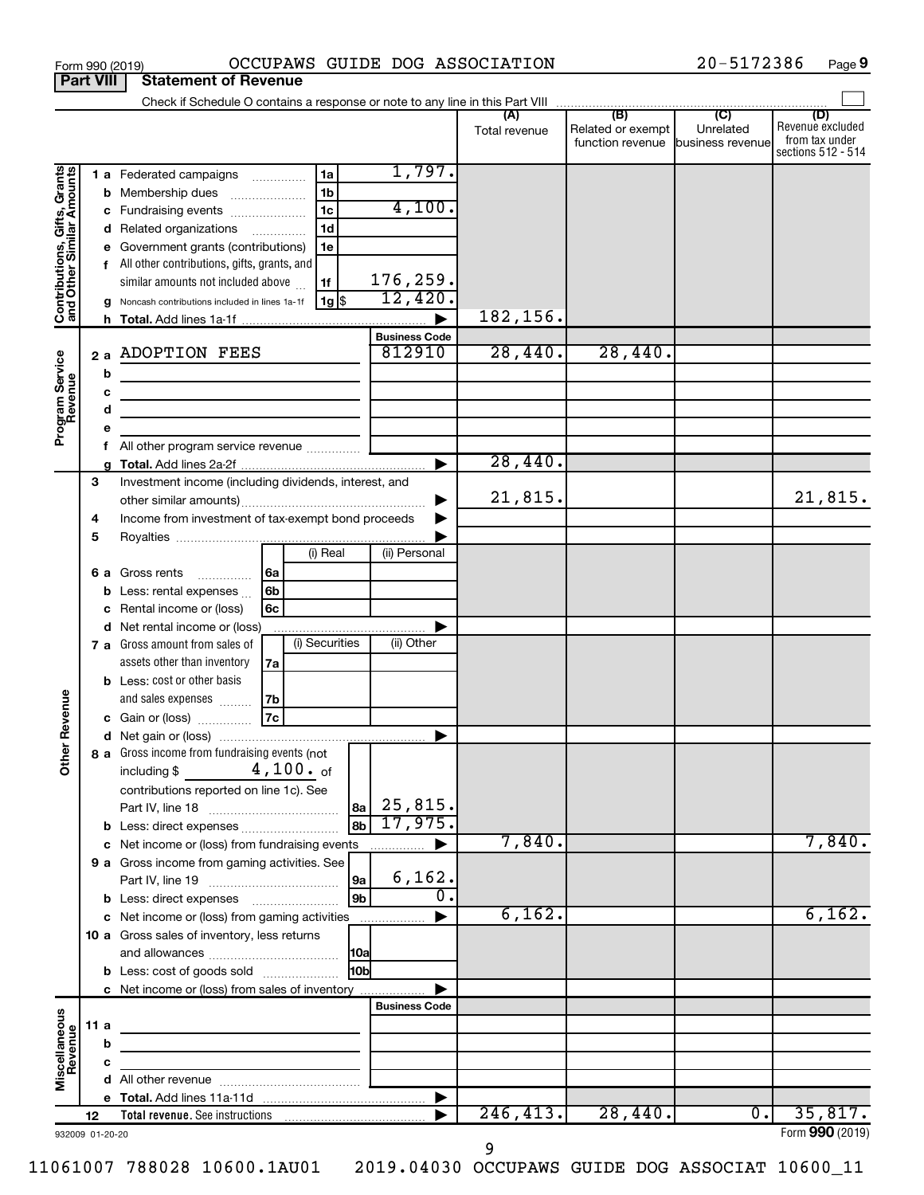|                                                                                         | <b>Part VIII</b> |                        | <b>Statement of Revenue</b>                                                                                                                                                                                                                                                                                                                                                                                                                                                                                     |                                                                               |                                                                           |                      |                                                               |                             |                                                                 |
|-----------------------------------------------------------------------------------------|------------------|------------------------|-----------------------------------------------------------------------------------------------------------------------------------------------------------------------------------------------------------------------------------------------------------------------------------------------------------------------------------------------------------------------------------------------------------------------------------------------------------------------------------------------------------------|-------------------------------------------------------------------------------|---------------------------------------------------------------------------|----------------------|---------------------------------------------------------------|-----------------------------|-----------------------------------------------------------------|
|                                                                                         |                  |                        | Check if Schedule O contains a response or note to any line in this Part VIII                                                                                                                                                                                                                                                                                                                                                                                                                                   |                                                                               |                                                                           |                      |                                                               |                             |                                                                 |
|                                                                                         |                  |                        |                                                                                                                                                                                                                                                                                                                                                                                                                                                                                                                 |                                                                               |                                                                           | (A)<br>Total revenue | (B)<br>Related or exempt<br>function revenue business revenue | $\overline{C}$<br>Unrelated | (D)<br>Revenue excluded<br>from tax under<br>sections 512 - 514 |
| Contributions, Gifts, Grants<br>and Other Similar Amounts<br>Program Service<br>Revenue |                  | 2a<br>b<br>c<br>d<br>е | 1 a Federated campaigns<br><b>b</b> Membership dues<br>Fundraising events<br>d Related organizations<br>e Government grants (contributions)<br>All other contributions, gifts, grants, and<br>similar amounts not included above<br>Noncash contributions included in lines 1a-1f<br><b>ADOPTION FEES</b><br><u> 1989 - Johann John Stein, markin fan it ferstjer fan it ferstjer fan it ferstjer fan it ferstjer fan it fers</u><br>the control of the control of the control of the control of the control of | 1a<br>1 <sub>b</sub><br>1 <sub>c</sub><br>1 <sub>d</sub><br>1e<br>1f<br>1g \$ | 1,797.<br>4,100.<br>176,259.<br>12,420.<br><b>Business Code</b><br>812910 | 182,156.<br>28,440.  | 28,440.                                                       |                             |                                                                 |
|                                                                                         |                  |                        | All other program service revenue                                                                                                                                                                                                                                                                                                                                                                                                                                                                               |                                                                               |                                                                           |                      |                                                               |                             |                                                                 |
|                                                                                         | 3<br>4<br>5      | q                      | Investment income (including dividends, interest, and<br>Income from investment of tax-exempt bond proceeds                                                                                                                                                                                                                                                                                                                                                                                                     |                                                                               |                                                                           | 28,440.<br>21,815.   |                                                               |                             | 21,815.                                                         |
|                                                                                         |                  | 6а<br>d                | 6a<br>Gross rents<br>.<br>6b<br>Less: rental expenses<br>6 <sub>c</sub><br>Rental income or (loss)<br>Net rental income or (loss)                                                                                                                                                                                                                                                                                                                                                                               | (i) Real                                                                      | (ii) Personal                                                             |                      |                                                               |                             |                                                                 |
| Revenue                                                                                 |                  |                        | 7 a Gross amount from sales of<br>assets other than inventory<br>7a<br><b>b</b> Less: cost or other basis<br>and sales expenses<br>l 7b<br>7c<br>c Gain or (loss)                                                                                                                                                                                                                                                                                                                                               | (i) Securities                                                                | (ii) Other                                                                |                      |                                                               |                             |                                                                 |
| <b>Othe</b>                                                                             |                  |                        | 8 a Gross income from fundraising events (not  <br>$4,100.$ <sub>of</sub><br>including \$<br>contributions reported on line 1c). See                                                                                                                                                                                                                                                                                                                                                                            |                                                                               | 25,815.<br>8a                                                             |                      |                                                               |                             |                                                                 |
|                                                                                         |                  |                        | <b>b</b> Less: direct expenses                                                                                                                                                                                                                                                                                                                                                                                                                                                                                  |                                                                               | 17,975.<br>8b                                                             |                      |                                                               |                             |                                                                 |
|                                                                                         |                  |                        | c Net income or (loss) from fundraising events<br>9 a Gross income from gaming activities. See                                                                                                                                                                                                                                                                                                                                                                                                                  |                                                                               | 6,162.<br>9a<br>о.                                                        | 7,840.               |                                                               |                             | 7,840.                                                          |
|                                                                                         |                  |                        | c Net income or (loss) from gaming activities                                                                                                                                                                                                                                                                                                                                                                                                                                                                   |                                                                               | 9 <sub>b</sub>                                                            | 6,162.               |                                                               |                             | 6,162.                                                          |
|                                                                                         |                  |                        | 10 a Gross sales of inventory, less returns<br><b>b</b> Less: cost of goods sold                                                                                                                                                                                                                                                                                                                                                                                                                                |                                                                               | 10a <br>10bl                                                              |                      |                                                               |                             |                                                                 |
|                                                                                         |                  |                        | c Net income or (loss) from sales of inventory                                                                                                                                                                                                                                                                                                                                                                                                                                                                  |                                                                               |                                                                           |                      |                                                               |                             |                                                                 |
| Miscellaneous<br>Revenue                                                                | 11a              | b                      |                                                                                                                                                                                                                                                                                                                                                                                                                                                                                                                 |                                                                               | <b>Business Code</b>                                                      |                      |                                                               |                             |                                                                 |
|                                                                                         |                  | c                      |                                                                                                                                                                                                                                                                                                                                                                                                                                                                                                                 |                                                                               |                                                                           |                      |                                                               |                             |                                                                 |
|                                                                                         |                  |                        |                                                                                                                                                                                                                                                                                                                                                                                                                                                                                                                 |                                                                               |                                                                           |                      |                                                               |                             |                                                                 |
|                                                                                         | 12               |                        |                                                                                                                                                                                                                                                                                                                                                                                                                                                                                                                 |                                                                               |                                                                           | 246, 413.            | 28,440.                                                       | $\overline{0}$ .            | 35,817.                                                         |
| 932009 01-20-20                                                                         |                  |                        |                                                                                                                                                                                                                                                                                                                                                                                                                                                                                                                 |                                                                               |                                                                           |                      |                                                               |                             | Form 990 (2019)                                                 |

Form 990 (2019) OCCUPAWS GUIDE DOG ASSOCIATION 20-5172386 Page

20-5172386 Page 9

932009 01-20-20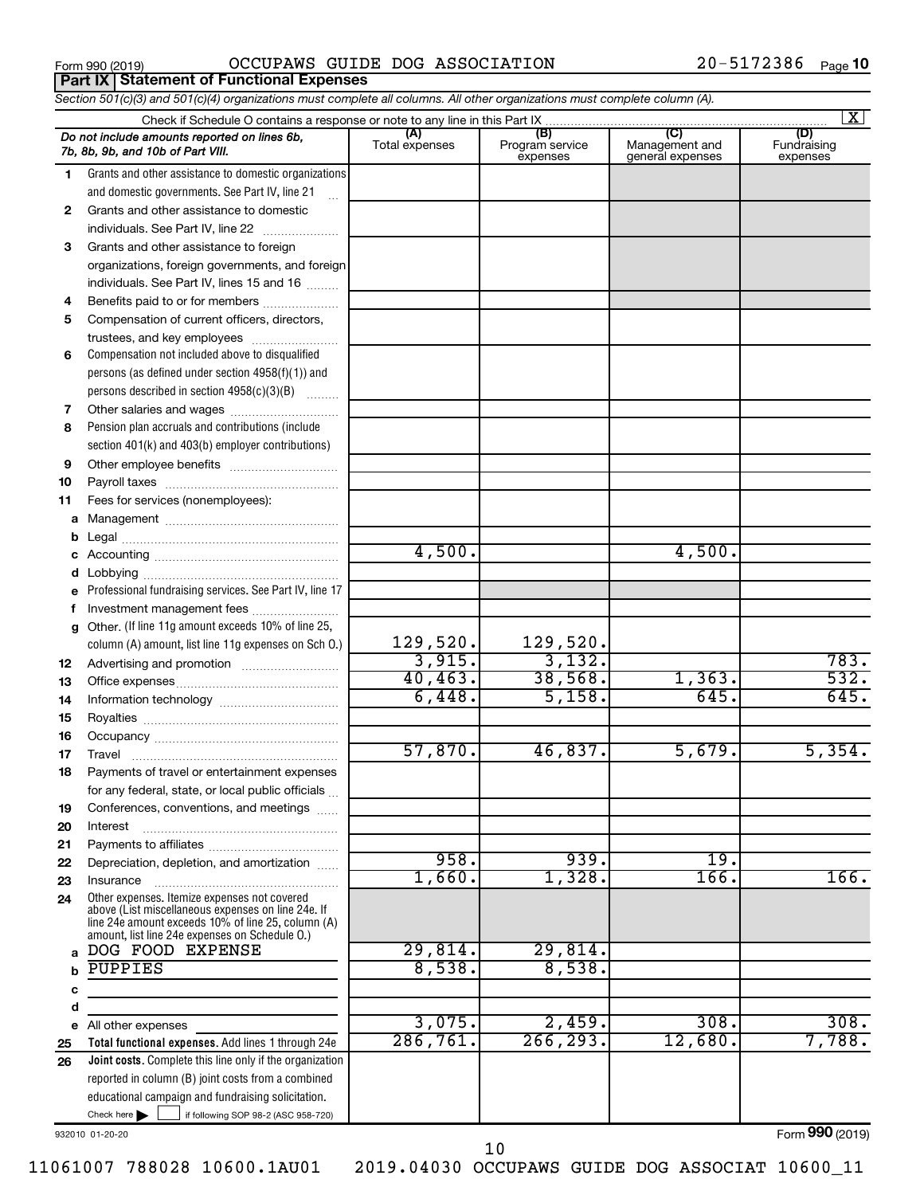**Part IX Statement of Functional Expenses**

Form 990 (2019)  $OCCUPANS$   $GUIDE$   $DOG$   $ASSOCIATION$   $20-5172386$   $Page$ 

*Section 501(c)(3) and 501(c)(4) organizations must complete all columns. All other organizations must complete column (A).*

|          | Check if Schedule O contains a response or note to any line in this Part IX                                                                                                                                |                       |                                    |                                           | $\vert X \vert$                |
|----------|------------------------------------------------------------------------------------------------------------------------------------------------------------------------------------------------------------|-----------------------|------------------------------------|-------------------------------------------|--------------------------------|
|          | Do not include amounts reported on lines 6b,<br>7b, 8b, 9b, and 10b of Part VIII.                                                                                                                          | (A)<br>Total expenses | (B)<br>Program service<br>expenses | (C)<br>Management and<br>general expenses | (D)<br>Fundraising<br>expenses |
| 1.       | Grants and other assistance to domestic organizations                                                                                                                                                      |                       |                                    |                                           |                                |
|          | and domestic governments. See Part IV, line 21                                                                                                                                                             |                       |                                    |                                           |                                |
| 2        | Grants and other assistance to domestic                                                                                                                                                                    |                       |                                    |                                           |                                |
|          | individuals. See Part IV, line 22                                                                                                                                                                          |                       |                                    |                                           |                                |
| 3        | Grants and other assistance to foreign                                                                                                                                                                     |                       |                                    |                                           |                                |
|          | organizations, foreign governments, and foreign                                                                                                                                                            |                       |                                    |                                           |                                |
|          | individuals. See Part IV, lines 15 and 16                                                                                                                                                                  |                       |                                    |                                           |                                |
| 4        | Benefits paid to or for members                                                                                                                                                                            |                       |                                    |                                           |                                |
| 5        | Compensation of current officers, directors,                                                                                                                                                               |                       |                                    |                                           |                                |
|          | trustees, and key employees                                                                                                                                                                                |                       |                                    |                                           |                                |
| 6        | Compensation not included above to disqualified                                                                                                                                                            |                       |                                    |                                           |                                |
|          | persons (as defined under section $4958(f)(1)$ ) and                                                                                                                                                       |                       |                                    |                                           |                                |
|          | persons described in section 4958(c)(3)(B)                                                                                                                                                                 |                       |                                    |                                           |                                |
| 7        |                                                                                                                                                                                                            |                       |                                    |                                           |                                |
| 8        | Pension plan accruals and contributions (include                                                                                                                                                           |                       |                                    |                                           |                                |
|          | section 401(k) and 403(b) employer contributions)                                                                                                                                                          |                       |                                    |                                           |                                |
| 9        |                                                                                                                                                                                                            |                       |                                    |                                           |                                |
| 10       |                                                                                                                                                                                                            |                       |                                    |                                           |                                |
| 11       | Fees for services (nonemployees):                                                                                                                                                                          |                       |                                    |                                           |                                |
|          |                                                                                                                                                                                                            |                       |                                    |                                           |                                |
|          |                                                                                                                                                                                                            |                       |                                    |                                           |                                |
|          |                                                                                                                                                                                                            | 4,500.                |                                    | 4,500.                                    |                                |
| d        |                                                                                                                                                                                                            |                       |                                    |                                           |                                |
|          | e Professional fundraising services. See Part IV, line 17                                                                                                                                                  |                       |                                    |                                           |                                |
|          | Investment management fees                                                                                                                                                                                 |                       |                                    |                                           |                                |
|          | g Other. (If line 11g amount exceeds 10% of line 25,                                                                                                                                                       |                       |                                    |                                           |                                |
|          | column (A) amount, list line 11g expenses on Sch 0.)                                                                                                                                                       | 129,520.<br>3,915.    | 129,520.<br>3,132.                 |                                           | 783.                           |
| 12       |                                                                                                                                                                                                            | 40, 463.              | 38,568.                            | 1,363.                                    | 532.                           |
| 13       |                                                                                                                                                                                                            | 6,448.                | 5,158.                             | 645.                                      | 645.                           |
| 14       |                                                                                                                                                                                                            |                       |                                    |                                           |                                |
| 15       |                                                                                                                                                                                                            |                       |                                    |                                           |                                |
| 16<br>17 |                                                                                                                                                                                                            | 57,870.               | 46,837.                            | 5,679.                                    | 5,354.                         |
| 18       | Payments of travel or entertainment expenses                                                                                                                                                               |                       |                                    |                                           |                                |
|          | for any federal, state, or local public officials                                                                                                                                                          |                       |                                    |                                           |                                |
| 19       | Conferences, conventions, and meetings                                                                                                                                                                     |                       |                                    |                                           |                                |
| 20       | Interest                                                                                                                                                                                                   |                       |                                    |                                           |                                |
| 21       |                                                                                                                                                                                                            |                       |                                    |                                           |                                |
| 22       | Depreciation, depletion, and amortization                                                                                                                                                                  | 958.                  | 939.                               | 19.                                       |                                |
| 23       | Insurance                                                                                                                                                                                                  | 1,660.                | 1,328.                             | 166.                                      | 166.                           |
| 24       | Other expenses. Itemize expenses not covered<br>above (List miscellaneous expenses on line 24e. If<br>line 24e amount exceeds 10% of line 25, column (A)<br>amount, list line 24e expenses on Schedule O.) |                       |                                    |                                           |                                |
|          | DOG FOOD EXPENSE                                                                                                                                                                                           | 29,814.               | 29,814.                            |                                           |                                |
|          | PUPPIES                                                                                                                                                                                                    | 8,538.                | 8,538.                             |                                           |                                |
| c        |                                                                                                                                                                                                            |                       |                                    |                                           |                                |
| d        |                                                                                                                                                                                                            |                       |                                    |                                           |                                |
| е        | All other expenses                                                                                                                                                                                         | 3,075.                | 2,459.                             | 308.                                      | 308.                           |
| 25       | Total functional expenses. Add lines 1 through 24e                                                                                                                                                         | 286,761.              | 266, 293.                          | 12,680.                                   | 7,788.                         |
| 26       | Joint costs. Complete this line only if the organization                                                                                                                                                   |                       |                                    |                                           |                                |
|          | reported in column (B) joint costs from a combined                                                                                                                                                         |                       |                                    |                                           |                                |
|          | educational campaign and fundraising solicitation.                                                                                                                                                         |                       |                                    |                                           |                                |
|          | Check here $\blacktriangleright$<br>if following SOP 98-2 (ASC 958-720)                                                                                                                                    |                       |                                    |                                           |                                |

932010 01-20-20

Form (2019) **990**

10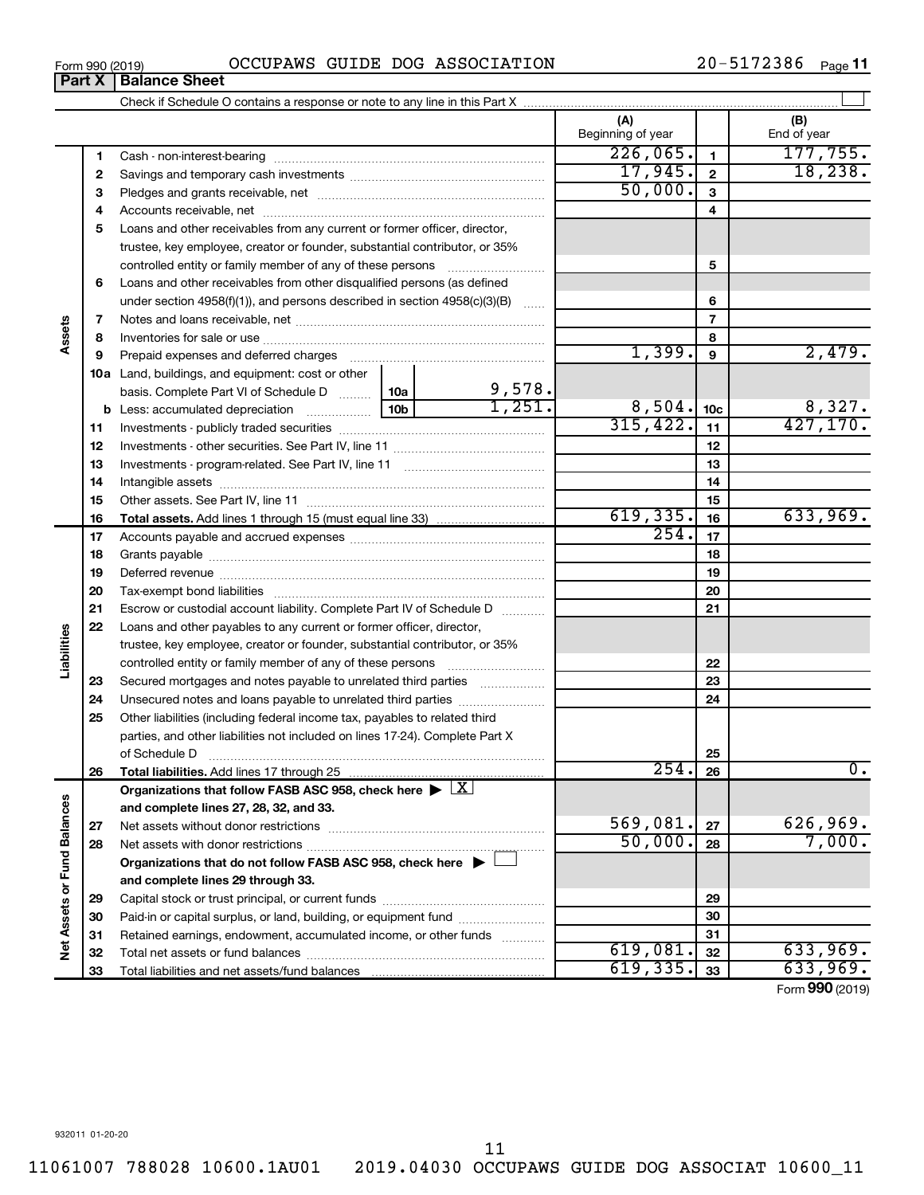**3** Pledges and grants receivable, net ~~~~~~~~~~~~~~~~~~~~~ **1 2 3 4 5 6 7 8 9 10c 11 12 13 14 15 16** Beginning of year | | End of year Cash - non-interest-bearing ~~~~~~~~~~~~~~~~~~~~~~~~~ Savings and temporary cash investments ~~~~~~~~~~~~~~~~~~  $226,065.$  177,755.  $17,945.$  | 2 | 18,238 50,000. 9,578.

#### Form 990 (2019)  $OCCUPANS$   $GUIDE$   $DOG$   $ASSOCIATION$   $20-5172386$   $Page$ **Part X** | **Balance Sheet**

Check if Schedule O contains a response or note to any line in this Part X

**4** Accounts receivable, net ~~~~~~~~~~~~~~~~~~~~~~~~~~ **5** Loans and other receivables from any current or former officer, director, trustee, key employee, creator or founder, substantial contributor, or 35% controlled entity or family member of any of these persons ~~~~~~~~~ **6** Loans and other receivables from other disqualified persons (as defined under section 4958(f)(1)), and persons described in section  $4958(c)(3)(B)$  ...... **7** Notes and loans receivable, net ~~~~~~~~~~~~~~~~~~~~~~~ **Assets 8** Inventories for sale or use ~~~~~~~~~~~~~~~~~~~~~~~~~~  $1,399$ .  $9 \mid 2,479$ . **9** Prepaid expenses and deferred charges ~~~~~~~~~~~~~~~~~~ **10 a** Land, buildings, and equipment: cost or other basis. Complete Part VI of Schedule D  $\frac{1}{10}$  10a  $8,504.$  10c  $8,327.$ **b** Less: accumulated depreciation  $\ldots$  [10b  $315,422.$   $11$   $427,170.$ **11** Investments - publicly traded securities ~~~~~~~~~~~~~~~~~~~ **12** Investments - other securities. See Part IV, line 11 ~~~~~~~~~~~~~~ **13** Investments - program-related. See Part IV, line 11 ~~~~~~~~~~~~~ **14** Intangible assets ~~~~~~~~~~~~~~~~~~~~~~~~~~~~~~ Other assets. See Part IV, line 11 ~~~~~~~~~~~~~~~~~~~~~~ **15**  $619,335.$   $16$  633,969. **16 Total assets.**  Add lines 1 through 15 (must equal line 33) 254. **17 17** Accounts payable and accrued expenses ~~~~~~~~~~~~~~~~~~ **18 18** Grants payable ~~~~~~~~~~~~~~~~~~~~~~~~~~~~~~~ **19 19** Deferred revenue ~~~~~~~~~~~~~~~~~~~~~~~~~~~~~~ **20 20** Tax-exempt bond liabilities ~~~~~~~~~~~~~~~~~~~~~~~~~ **21 21** Escrow or custodial account liability. Complete Part IV of Schedule D ........... **22** Loans and other payables to any current or former officer, director, **Liabilities** trustee, key employee, creator or founder, substantial contributor, or 35% **22** controlled entity or family member of any of these persons ~~~~~~~~~ **23** Secured mortgages and notes payable to unrelated third parties  $\ldots$ ................. **23 24** Unsecured notes and loans payable to unrelated third parties **24 25** Other liabilities (including federal income tax, payables to related third parties, and other liabilities not included on lines 17-24). Complete Part X of Schedule D ~~~~~~~~~~~~~~~~~~~~~~~~~~~~~~~ **25 26**  $254. |26| 0.$ **26 Total liabilities.**  Add lines 17 through 25 Organizations that follow FASB ASC 958, check here  $\blacktriangleright \boxed{\text{X}}$ Net Assets or Fund Balances **Net Assets or Fund Balances and complete lines 27, 28, 32, and 33.**  $569,081.$   $27$  626,969. **27 27** Net assets without donor restrictions ~~~~~~~~~~~~~~~~~~~~ 50,000. 7,000. **28 28** Net assets with donor restrictions ~~~~~~~~~~~~~~~~~~~~~~ **Organizations that do not follow FASB ASC 958, check here** | † **and complete lines 29 through 33. 29 29** Capital stock or trust principal, or current funds ~~~~~~~~~~~~~~~ **30 30** Paid-in or capital surplus, or land, building, or equipment fund ....................... **31 31** Retained earnings, endowment, accumulated income, or other funds ............ Total net assets or fund balances ~~~~~~~~~~~~~~~~~~~~~~  $619,081.$   $32$  | 633,969. **32 32**  $619,335.$   $33$   $633,969.$ **33** Total liabilities and net assets/fund balances **33** Form (2019) **990**

 $\perp$ 

**(A) (B)**

**1 2**

11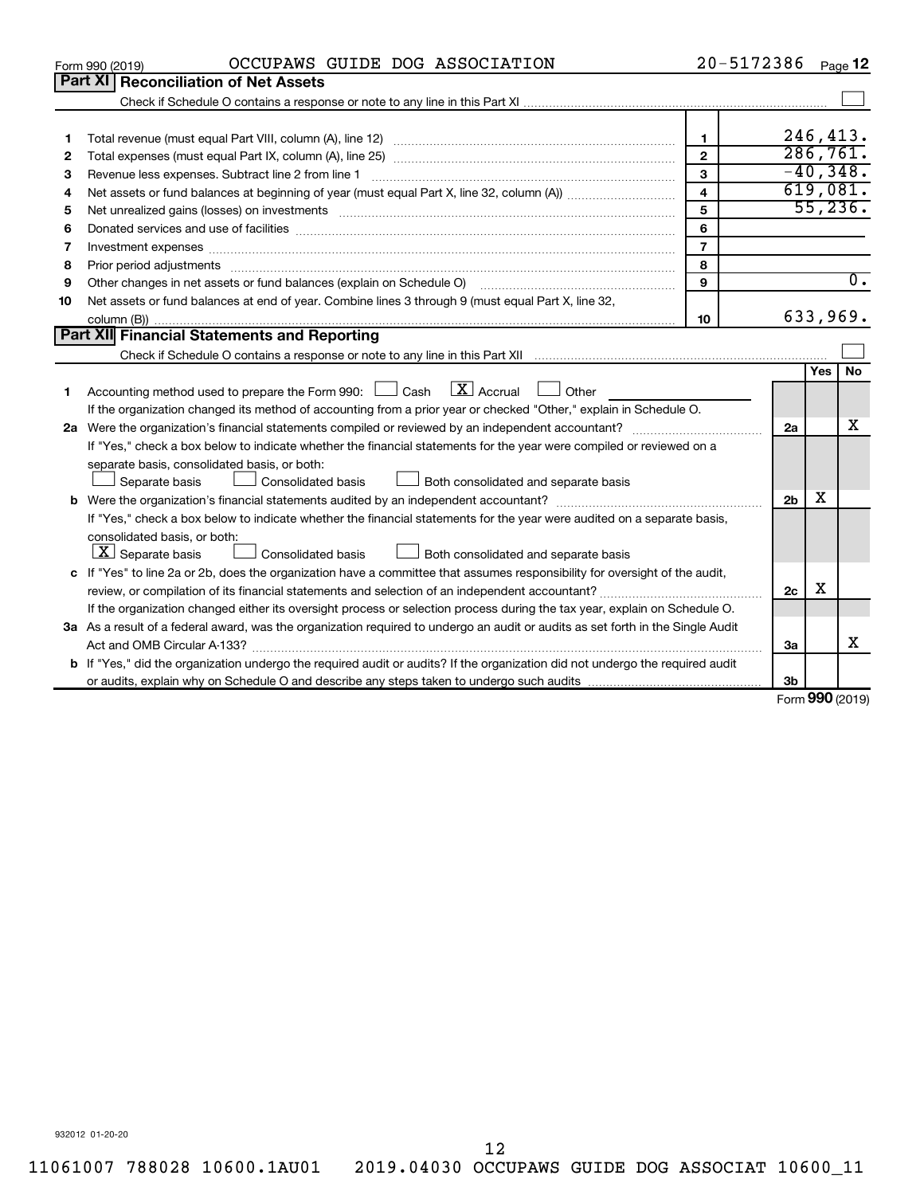|    | OCCUPAWS GUIDE DOG ASSOCIATION<br>Form 990 (2019)                                                                                                                                                                                                            | 20-5172386              |                          |     | Page 12          |
|----|--------------------------------------------------------------------------------------------------------------------------------------------------------------------------------------------------------------------------------------------------------------|-------------------------|--------------------------|-----|------------------|
|    | Part XI Reconciliation of Net Assets                                                                                                                                                                                                                         |                         |                          |     |                  |
|    |                                                                                                                                                                                                                                                              |                         |                          |     |                  |
|    |                                                                                                                                                                                                                                                              |                         |                          |     |                  |
| 1  |                                                                                                                                                                                                                                                              | $\mathbf{1}$            |                          |     | 246,413.         |
| 2  |                                                                                                                                                                                                                                                              | $\overline{2}$          |                          |     | 286,761.         |
| 3  |                                                                                                                                                                                                                                                              | $\overline{3}$          |                          |     | $-40,348.$       |
| 4  |                                                                                                                                                                                                                                                              | $\overline{\mathbf{4}}$ |                          |     | 619,081.         |
| 5  | Net unrealized gains (losses) on investments [111] matter in the contract of the contract of the contract of the contract of the contract of the contract of the contract of the contract of the contract of the contract of t                               | 5                       |                          |     | 55,236.          |
| 6  |                                                                                                                                                                                                                                                              | 6                       |                          |     |                  |
| 7  | Investment expenses www.communication.com/www.communication.com/www.communication.com/www.com                                                                                                                                                                | $\overline{7}$          |                          |     |                  |
| 8  | Prior period adjustments www.communication.communication.communications.com                                                                                                                                                                                  | 8                       |                          |     |                  |
| 9  | Other changes in net assets or fund balances (explain on Schedule O)                                                                                                                                                                                         | 9                       |                          |     | $\overline{0}$ . |
| 10 | Net assets or fund balances at end of year. Combine lines 3 through 9 (must equal Part X, line 32,                                                                                                                                                           |                         |                          |     |                  |
|    |                                                                                                                                                                                                                                                              | 10                      |                          |     | 633,969.         |
|    | Part XII Financial Statements and Reporting                                                                                                                                                                                                                  |                         |                          |     |                  |
|    |                                                                                                                                                                                                                                                              |                         |                          |     |                  |
|    |                                                                                                                                                                                                                                                              |                         |                          | Yes | No               |
| 1. | $\mathbf{X}$ Accrual<br>Accounting method used to prepare the Form 990: [130] Cash<br>$\Box$ Other                                                                                                                                                           |                         |                          |     |                  |
|    | If the organization changed its method of accounting from a prior year or checked "Other," explain in Schedule O.                                                                                                                                            |                         |                          |     | x                |
|    |                                                                                                                                                                                                                                                              |                         | 2a                       |     |                  |
|    | If "Yes," check a box below to indicate whether the financial statements for the year were compiled or reviewed on a                                                                                                                                         |                         |                          |     |                  |
|    | separate basis, consolidated basis, or both:                                                                                                                                                                                                                 |                         |                          |     |                  |
|    | Consolidated basis<br>Both consolidated and separate basis<br>Separate basis                                                                                                                                                                                 |                         |                          | x   |                  |
|    |                                                                                                                                                                                                                                                              |                         | 2 <sub>b</sub>           |     |                  |
|    | If "Yes," check a box below to indicate whether the financial statements for the year were audited on a separate basis,                                                                                                                                      |                         |                          |     |                  |
|    | consolidated basis, or both:<br>$\boxed{\mathbf{X}}$ Separate basis<br>Both consolidated and separate basis<br>Consolidated basis                                                                                                                            |                         |                          |     |                  |
|    |                                                                                                                                                                                                                                                              |                         |                          |     |                  |
|    | c If "Yes" to line 2a or 2b, does the organization have a committee that assumes responsibility for oversight of the audit,                                                                                                                                  |                         | 2c                       | х   |                  |
|    | review, or compilation of its financial statements and selection of an independent accountant?                                                                                                                                                               |                         |                          |     |                  |
|    | If the organization changed either its oversight process or selection process during the tax year, explain on Schedule O.<br>3a As a result of a federal award, was the organization required to undergo an audit or audits as set forth in the Single Audit |                         |                          |     |                  |
|    |                                                                                                                                                                                                                                                              |                         | За                       |     | x                |
|    | <b>b</b> If "Yes," did the organization undergo the required audit or audits? If the organization did not undergo the required audit                                                                                                                         |                         |                          |     |                  |
|    |                                                                                                                                                                                                                                                              |                         | 3b                       |     |                  |
|    |                                                                                                                                                                                                                                                              |                         | $F_{\rm OCD}$ 990 (2010) |     |                  |

Form (2019) **990**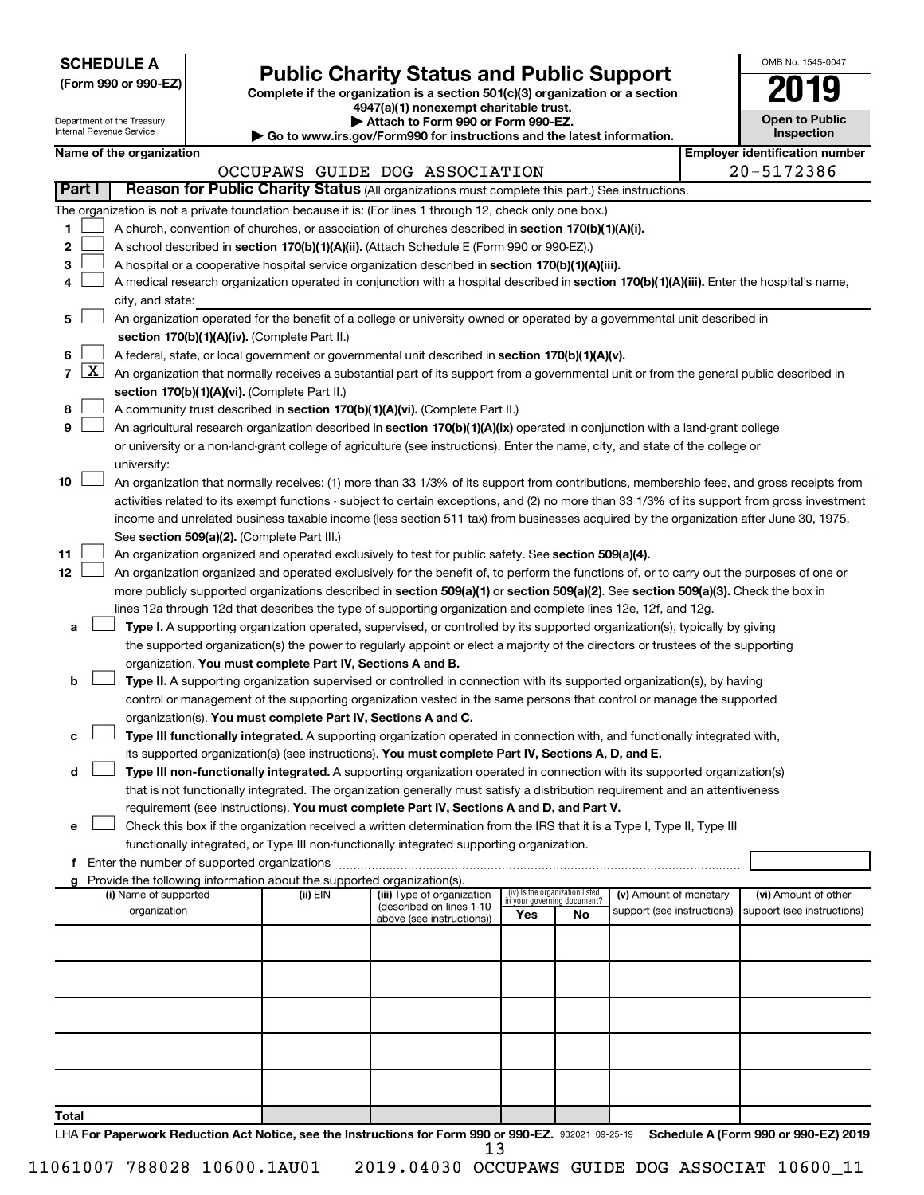| <b>SCHEDULE A</b> |  |
|-------------------|--|
|-------------------|--|

| (Form 990 or 990-EZ) |  |  |  |
|----------------------|--|--|--|
|----------------------|--|--|--|

### **Public Charity Status and Public Support**

Complete if the organization is a section 501(c)(3) organization or a section

**4947(a)(1) nonexempt charitable trust.**

| OMB No 1545-0047                    |
|-------------------------------------|
| 2019                                |
| <b>Open to Public</b><br>Inspection |

|                | Department of the Treasury<br>Internal Revenue Service |                          |                                                                        | Attach to Form 990 or Form 990-EZ.<br>Go to www.irs.gov/Form990 for instructions and the latest information.                                                                                                         |                                 | <b>Open to Public</b><br>Inspection |                            |  |                                       |
|----------------|--------------------------------------------------------|--------------------------|------------------------------------------------------------------------|----------------------------------------------------------------------------------------------------------------------------------------------------------------------------------------------------------------------|---------------------------------|-------------------------------------|----------------------------|--|---------------------------------------|
|                |                                                        | Name of the organization |                                                                        |                                                                                                                                                                                                                      |                                 |                                     |                            |  | <b>Employer identification number</b> |
|                |                                                        |                          |                                                                        | OCCUPAWS GUIDE DOG ASSOCIATION                                                                                                                                                                                       |                                 |                                     |                            |  | 20-5172386                            |
| Part I         |                                                        |                          |                                                                        | Reason for Public Charity Status (All organizations must complete this part.) See instructions.                                                                                                                      |                                 |                                     |                            |  |                                       |
|                |                                                        |                          |                                                                        | The organization is not a private foundation because it is: (For lines 1 through 12, check only one box.)                                                                                                            |                                 |                                     |                            |  |                                       |
| 1              |                                                        |                          |                                                                        | A church, convention of churches, or association of churches described in section 170(b)(1)(A)(i).                                                                                                                   |                                 |                                     |                            |  |                                       |
| 2              |                                                        |                          |                                                                        | A school described in section 170(b)(1)(A)(ii). (Attach Schedule E (Form 990 or 990-EZ).)                                                                                                                            |                                 |                                     |                            |  |                                       |
| 3              |                                                        |                          |                                                                        | A hospital or a cooperative hospital service organization described in section 170(b)(1)(A)(iii).                                                                                                                    |                                 |                                     |                            |  |                                       |
| 4              |                                                        |                          |                                                                        | A medical research organization operated in conjunction with a hospital described in section 170(b)(1)(A)(iii). Enter the hospital's name,                                                                           |                                 |                                     |                            |  |                                       |
|                |                                                        | city, and state:         |                                                                        |                                                                                                                                                                                                                      |                                 |                                     |                            |  |                                       |
| 5              |                                                        |                          |                                                                        | An organization operated for the benefit of a college or university owned or operated by a governmental unit described in                                                                                            |                                 |                                     |                            |  |                                       |
|                |                                                        |                          | section 170(b)(1)(A)(iv). (Complete Part II.)                          |                                                                                                                                                                                                                      |                                 |                                     |                            |  |                                       |
| 6              |                                                        |                          |                                                                        | A federal, state, or local government or governmental unit described in section 170(b)(1)(A)(v).                                                                                                                     |                                 |                                     |                            |  |                                       |
| $\overline{7}$ | $\lfloor x \rfloor$                                    |                          |                                                                        | An organization that normally receives a substantial part of its support from a governmental unit or from the general public described in                                                                            |                                 |                                     |                            |  |                                       |
|                |                                                        |                          | section 170(b)(1)(A)(vi). (Complete Part II.)                          |                                                                                                                                                                                                                      |                                 |                                     |                            |  |                                       |
| 8              |                                                        |                          |                                                                        | A community trust described in section 170(b)(1)(A)(vi). (Complete Part II.)                                                                                                                                         |                                 |                                     |                            |  |                                       |
| 9              |                                                        |                          |                                                                        | An agricultural research organization described in section 170(b)(1)(A)(ix) operated in conjunction with a land-grant college                                                                                        |                                 |                                     |                            |  |                                       |
|                |                                                        |                          |                                                                        | or university or a non-land-grant college of agriculture (see instructions). Enter the name, city, and state of the college or                                                                                       |                                 |                                     |                            |  |                                       |
|                |                                                        | university:              |                                                                        |                                                                                                                                                                                                                      |                                 |                                     |                            |  |                                       |
| 10             |                                                        |                          |                                                                        | An organization that normally receives: (1) more than 33 1/3% of its support from contributions, membership fees, and gross receipts from                                                                            |                                 |                                     |                            |  |                                       |
|                |                                                        |                          |                                                                        | activities related to its exempt functions - subject to certain exceptions, and (2) no more than 33 1/3% of its support from gross investment                                                                        |                                 |                                     |                            |  |                                       |
|                |                                                        |                          |                                                                        | income and unrelated business taxable income (less section 511 tax) from businesses acquired by the organization after June 30, 1975.                                                                                |                                 |                                     |                            |  |                                       |
|                |                                                        |                          | See section 509(a)(2). (Complete Part III.)                            |                                                                                                                                                                                                                      |                                 |                                     |                            |  |                                       |
| 11             |                                                        |                          |                                                                        | An organization organized and operated exclusively to test for public safety. See section 509(a)(4).                                                                                                                 |                                 |                                     |                            |  |                                       |
| 12             |                                                        |                          |                                                                        | An organization organized and operated exclusively for the benefit of, to perform the functions of, or to carry out the purposes of one or                                                                           |                                 |                                     |                            |  |                                       |
|                |                                                        |                          |                                                                        | more publicly supported organizations described in section 509(a)(1) or section 509(a)(2). See section 509(a)(3). Check the box in                                                                                   |                                 |                                     |                            |  |                                       |
|                |                                                        |                          |                                                                        | lines 12a through 12d that describes the type of supporting organization and complete lines 12e, 12f, and 12g.                                                                                                       |                                 |                                     |                            |  |                                       |
| а              |                                                        |                          |                                                                        | Type I. A supporting organization operated, supervised, or controlled by its supported organization(s), typically by giving                                                                                          |                                 |                                     |                            |  |                                       |
|                |                                                        |                          |                                                                        | the supported organization(s) the power to regularly appoint or elect a majority of the directors or trustees of the supporting                                                                                      |                                 |                                     |                            |  |                                       |
|                |                                                        |                          | organization. You must complete Part IV, Sections A and B.             |                                                                                                                                                                                                                      |                                 |                                     |                            |  |                                       |
| b              |                                                        |                          |                                                                        | Type II. A supporting organization supervised or controlled in connection with its supported organization(s), by having                                                                                              |                                 |                                     |                            |  |                                       |
|                |                                                        |                          |                                                                        | control or management of the supporting organization vested in the same persons that control or manage the supported                                                                                                 |                                 |                                     |                            |  |                                       |
|                |                                                        |                          | organization(s). You must complete Part IV, Sections A and C.          |                                                                                                                                                                                                                      |                                 |                                     |                            |  |                                       |
| с              |                                                        |                          |                                                                        | Type III functionally integrated. A supporting organization operated in connection with, and functionally integrated with,                                                                                           |                                 |                                     |                            |  |                                       |
|                |                                                        |                          |                                                                        | its supported organization(s) (see instructions). You must complete Part IV, Sections A, D, and E.                                                                                                                   |                                 |                                     |                            |  |                                       |
| d              |                                                        |                          |                                                                        | Type III non-functionally integrated. A supporting organization operated in connection with its supported organization(s)                                                                                            |                                 |                                     |                            |  |                                       |
|                |                                                        |                          |                                                                        | that is not functionally integrated. The organization generally must satisfy a distribution requirement and an attentiveness                                                                                         |                                 |                                     |                            |  |                                       |
|                |                                                        |                          |                                                                        | requirement (see instructions). You must complete Part IV, Sections A and D, and Part V.                                                                                                                             |                                 |                                     |                            |  |                                       |
| е              |                                                        |                          |                                                                        | Check this box if the organization received a written determination from the IRS that it is a Type I, Type II, Type III<br>functionally integrated, or Type III non-functionally integrated supporting organization. |                                 |                                     |                            |  |                                       |
|                |                                                        |                          |                                                                        |                                                                                                                                                                                                                      |                                 |                                     |                            |  |                                       |
|                |                                                        |                          | Provide the following information about the supported organization(s). |                                                                                                                                                                                                                      |                                 |                                     |                            |  |                                       |
|                |                                                        | (i) Name of supported    | (ii) EIN                                                               | (iii) Type of organization                                                                                                                                                                                           | (iv) Is the organization listed |                                     | (v) Amount of monetary     |  | (vi) Amount of other                  |
|                |                                                        | organization             |                                                                        | (described on lines 1-10                                                                                                                                                                                             | Yes                             | in your governing document?<br>No   | support (see instructions) |  | support (see instructions)            |
|                |                                                        |                          |                                                                        | above (see instructions))                                                                                                                                                                                            |                                 |                                     |                            |  |                                       |
|                |                                                        |                          |                                                                        |                                                                                                                                                                                                                      |                                 |                                     |                            |  |                                       |
|                |                                                        |                          |                                                                        |                                                                                                                                                                                                                      |                                 |                                     |                            |  |                                       |
|                |                                                        |                          |                                                                        |                                                                                                                                                                                                                      |                                 |                                     |                            |  |                                       |
|                |                                                        |                          |                                                                        |                                                                                                                                                                                                                      |                                 |                                     |                            |  |                                       |
|                |                                                        |                          |                                                                        |                                                                                                                                                                                                                      |                                 |                                     |                            |  |                                       |
|                |                                                        |                          |                                                                        |                                                                                                                                                                                                                      |                                 |                                     |                            |  |                                       |
|                |                                                        |                          |                                                                        |                                                                                                                                                                                                                      |                                 |                                     |                            |  |                                       |
|                |                                                        |                          |                                                                        |                                                                                                                                                                                                                      |                                 |                                     |                            |  |                                       |
|                |                                                        |                          |                                                                        |                                                                                                                                                                                                                      |                                 |                                     |                            |  |                                       |
| Total          |                                                        |                          |                                                                        |                                                                                                                                                                                                                      |                                 |                                     |                            |  |                                       |

LHA For Paperwork Reduction Act Notice, see the Instructions for Form 990 or 990-EZ. 932021 09-25-19 Schedule A (Form 990 or 990-EZ) 2019 13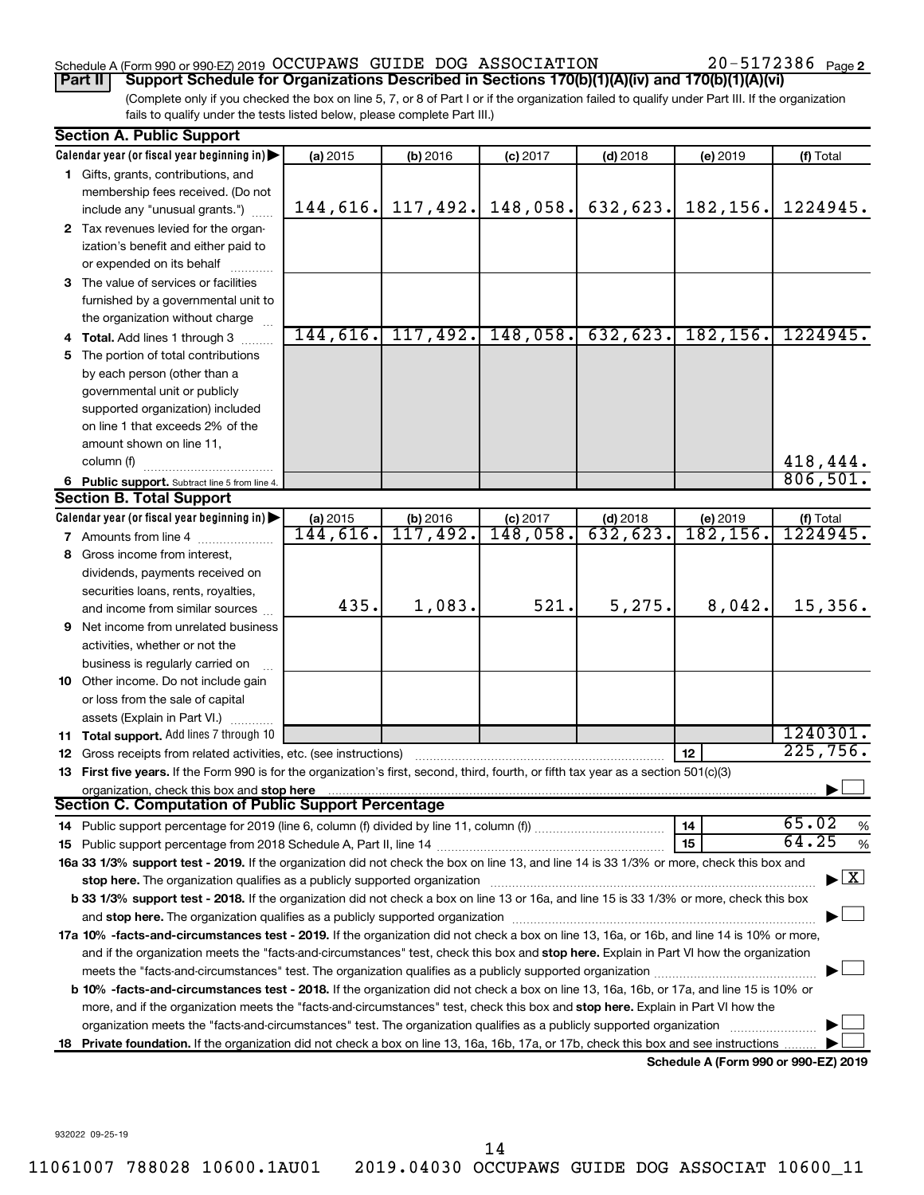#### Schedule A (Form 990 or 990-EZ) 2019 Page OCCUPAWS GUIDE DOG ASSOCIATION 20-5172386

20-5172386 Page 2

(Complete only if you checked the box on line 5, 7, or 8 of Part I or if the organization failed to qualify under Part III. If the organization fails to qualify under the tests listed below, please complete Part III.) **Part II Support Schedule for Organizations Described in Sections 170(b)(1)(A)(iv) and 170(b)(1)(A)(vi)**

|    | <b>Section A. Public Support</b>                                                                                                                                                                                               |          |          |            |            |                                      |                                          |
|----|--------------------------------------------------------------------------------------------------------------------------------------------------------------------------------------------------------------------------------|----------|----------|------------|------------|--------------------------------------|------------------------------------------|
|    | Calendar year (or fiscal year beginning in)                                                                                                                                                                                    | (a) 2015 | (b) 2016 | $(c)$ 2017 | $(d)$ 2018 | (e) 2019                             | (f) Total                                |
|    | 1 Gifts, grants, contributions, and                                                                                                                                                                                            |          |          |            |            |                                      |                                          |
|    | membership fees received. (Do not                                                                                                                                                                                              |          |          |            |            |                                      |                                          |
|    | include any "unusual grants.")                                                                                                                                                                                                 | 144,616. | 117,492. | 148,058.   | 632,623.   | 182,156.                             | 1224945.                                 |
|    | 2 Tax revenues levied for the organ-                                                                                                                                                                                           |          |          |            |            |                                      |                                          |
|    | ization's benefit and either paid to                                                                                                                                                                                           |          |          |            |            |                                      |                                          |
|    | or expended on its behalf                                                                                                                                                                                                      |          |          |            |            |                                      |                                          |
|    | 3 The value of services or facilities                                                                                                                                                                                          |          |          |            |            |                                      |                                          |
|    | furnished by a governmental unit to                                                                                                                                                                                            |          |          |            |            |                                      |                                          |
|    | the organization without charge                                                                                                                                                                                                |          |          |            |            |                                      |                                          |
|    | 4 Total. Add lines 1 through 3                                                                                                                                                                                                 | 144,616. | 117,492. | 148,058.   | 632,623.   | 182, 156.                            | 1224945.                                 |
| 5. | The portion of total contributions                                                                                                                                                                                             |          |          |            |            |                                      |                                          |
|    | by each person (other than a                                                                                                                                                                                                   |          |          |            |            |                                      |                                          |
|    | governmental unit or publicly                                                                                                                                                                                                  |          |          |            |            |                                      |                                          |
|    | supported organization) included                                                                                                                                                                                               |          |          |            |            |                                      |                                          |
|    | on line 1 that exceeds 2% of the                                                                                                                                                                                               |          |          |            |            |                                      |                                          |
|    | amount shown on line 11,                                                                                                                                                                                                       |          |          |            |            |                                      |                                          |
|    | column (f)                                                                                                                                                                                                                     |          |          |            |            |                                      | 418,444.                                 |
|    | 6 Public support. Subtract line 5 from line 4.                                                                                                                                                                                 |          |          |            |            |                                      | 806, 501.                                |
|    | <b>Section B. Total Support</b>                                                                                                                                                                                                |          |          |            |            |                                      |                                          |
|    | Calendar year (or fiscal year beginning in)                                                                                                                                                                                    | (a) 2015 | (b) 2016 | $(c)$ 2017 | $(d)$ 2018 | (e) 2019                             | (f) Total                                |
|    | <b>7</b> Amounts from line 4                                                                                                                                                                                                   | 144,616. | 117,492. | 148,058.   | 632,623.   | 182, 156.                            | 1224945.                                 |
|    | 8 Gross income from interest,                                                                                                                                                                                                  |          |          |            |            |                                      |                                          |
|    | dividends, payments received on                                                                                                                                                                                                |          |          |            |            |                                      |                                          |
|    | securities loans, rents, royalties,                                                                                                                                                                                            |          |          |            |            |                                      |                                          |
|    | and income from similar sources                                                                                                                                                                                                | 435.     | 1,083.   | 521.       | 5,275.     | 8,042.                               | 15,356.                                  |
|    | 9 Net income from unrelated business                                                                                                                                                                                           |          |          |            |            |                                      |                                          |
|    | activities, whether or not the                                                                                                                                                                                                 |          |          |            |            |                                      |                                          |
|    | business is regularly carried on                                                                                                                                                                                               |          |          |            |            |                                      |                                          |
|    | 10 Other income. Do not include gain                                                                                                                                                                                           |          |          |            |            |                                      |                                          |
|    | or loss from the sale of capital                                                                                                                                                                                               |          |          |            |            |                                      |                                          |
|    | assets (Explain in Part VI.)                                                                                                                                                                                                   |          |          |            |            |                                      |                                          |
|    | 11 Total support. Add lines 7 through 10                                                                                                                                                                                       |          |          |            |            |                                      | 1240301.                                 |
|    | 12 Gross receipts from related activities, etc. (see instructions)                                                                                                                                                             |          |          |            |            | 12                                   | 225,756.                                 |
|    | 13 First five years. If the Form 990 is for the organization's first, second, third, fourth, or fifth tax year as a section 501(c)(3)                                                                                          |          |          |            |            |                                      |                                          |
|    | organization, check this box and stop here                                                                                                                                                                                     |          |          |            |            |                                      |                                          |
|    | Section C. Computation of Public Support Percentage                                                                                                                                                                            |          |          |            |            |                                      |                                          |
|    |                                                                                                                                                                                                                                |          |          |            |            | 14                                   | 65.02<br>%                               |
|    |                                                                                                                                                                                                                                |          |          |            |            | 15                                   | 64.25<br>$\%$                            |
|    | 16a 33 1/3% support test - 2019. If the organization did not check the box on line 13, and line 14 is 33 1/3% or more, check this box and                                                                                      |          |          |            |            |                                      |                                          |
|    |                                                                                                                                                                                                                                |          |          |            |            |                                      | $\blacktriangleright$ $\boxed{\text{X}}$ |
|    | b 33 1/3% support test - 2018. If the organization did not check a box on line 13 or 16a, and line 15 is 33 1/3% or more, check this box                                                                                       |          |          |            |            |                                      |                                          |
|    | and stop here. The organization qualifies as a publicly supported organization [11,111] and stop here. The organization [11] and stop here. The organization [11] and stop here. The organization [11] and stop here is a publ |          |          |            |            |                                      |                                          |
|    | 17a 10% -facts-and-circumstances test - 2019. If the organization did not check a box on line 13, 16a, or 16b, and line 14 is 10% or more,                                                                                     |          |          |            |            |                                      |                                          |
|    | and if the organization meets the "facts-and-circumstances" test, check this box and stop here. Explain in Part VI how the organization                                                                                        |          |          |            |            |                                      |                                          |
|    | meets the "facts-and-circumstances" test. The organization qualifies as a publicly supported organization                                                                                                                      |          |          |            |            |                                      |                                          |
|    | b 10% -facts-and-circumstances test - 2018. If the organization did not check a box on line 13, 16a, 16b, or 17a, and line 15 is 10% or                                                                                        |          |          |            |            |                                      |                                          |
|    | more, and if the organization meets the "facts-and-circumstances" test, check this box and stop here. Explain in Part VI how the                                                                                               |          |          |            |            |                                      |                                          |
|    | organization meets the "facts-and-circumstances" test. The organization qualifies as a publicly supported organization                                                                                                         |          |          |            |            |                                      |                                          |
|    | 18 Private foundation. If the organization did not check a box on line 13, 16a, 16b, 17a, or 17b, check this box and see instructions                                                                                          |          |          |            |            |                                      |                                          |
|    |                                                                                                                                                                                                                                |          |          |            |            | Schedule A (Form 990 or 990-F7) 2019 |                                          |

**Schedule A (Form 990 or 990-EZ) 2019**

932022 09-25-19

14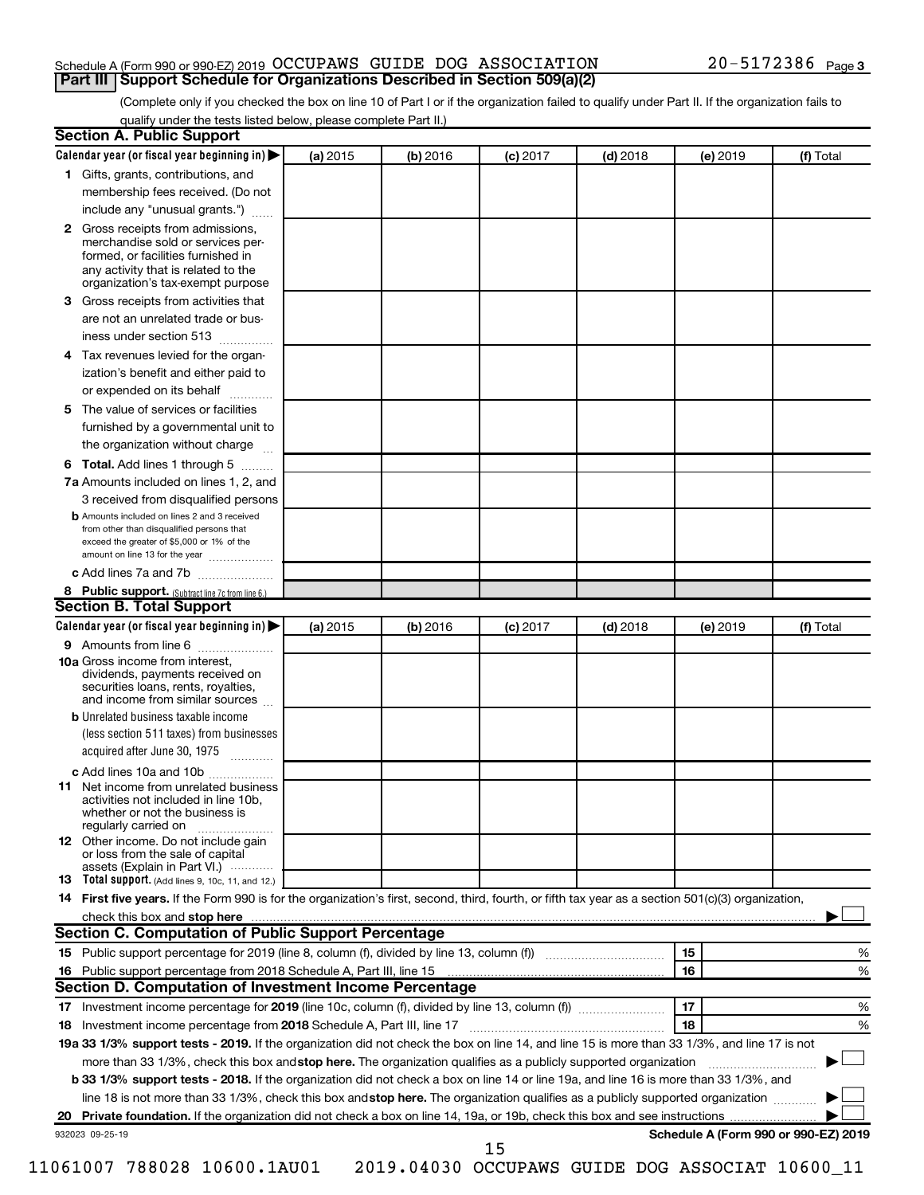#### Schedule A (Form 990 or 990-EZ) 2019 Page OCCUPAWS GUIDE DOG ASSOCIATION 20-5172386 **Part III Support Schedule for Organizations Described in Section 509(a)(2)**

(Complete only if you checked the box on line 10 of Part I or if the organization failed to qualify under Part II. If the organization fails to qualify under the tests listed below, please complete Part II.)

| <b>Section A. Public Support</b>                                                                                                                                                         |          |          |            |            |          |                                      |
|------------------------------------------------------------------------------------------------------------------------------------------------------------------------------------------|----------|----------|------------|------------|----------|--------------------------------------|
| Calendar year (or fiscal year beginning in)                                                                                                                                              | (a) 2015 | (b) 2016 | $(c)$ 2017 | $(d)$ 2018 | (e) 2019 | (f) Total                            |
| 1 Gifts, grants, contributions, and                                                                                                                                                      |          |          |            |            |          |                                      |
| membership fees received. (Do not                                                                                                                                                        |          |          |            |            |          |                                      |
| include any "unusual grants.")                                                                                                                                                           |          |          |            |            |          |                                      |
| 2 Gross receipts from admissions,<br>merchandise sold or services per-<br>formed, or facilities furnished in<br>any activity that is related to the<br>organization's tax-exempt purpose |          |          |            |            |          |                                      |
| 3 Gross receipts from activities that                                                                                                                                                    |          |          |            |            |          |                                      |
| are not an unrelated trade or bus-                                                                                                                                                       |          |          |            |            |          |                                      |
| iness under section 513                                                                                                                                                                  |          |          |            |            |          |                                      |
| 4 Tax revenues levied for the organ-                                                                                                                                                     |          |          |            |            |          |                                      |
| ization's benefit and either paid to                                                                                                                                                     |          |          |            |            |          |                                      |
| or expended on its behalf<br>.                                                                                                                                                           |          |          |            |            |          |                                      |
| 5 The value of services or facilities                                                                                                                                                    |          |          |            |            |          |                                      |
| furnished by a governmental unit to                                                                                                                                                      |          |          |            |            |          |                                      |
| the organization without charge                                                                                                                                                          |          |          |            |            |          |                                      |
| 6 Total. Add lines 1 through 5                                                                                                                                                           |          |          |            |            |          |                                      |
| 7a Amounts included on lines 1, 2, and                                                                                                                                                   |          |          |            |            |          |                                      |
| 3 received from disqualified persons                                                                                                                                                     |          |          |            |            |          |                                      |
| <b>b</b> Amounts included on lines 2 and 3 received<br>from other than disqualified persons that<br>exceed the greater of \$5,000 or 1% of the<br>amount on line 13 for the year         |          |          |            |            |          |                                      |
| c Add lines 7a and 7b                                                                                                                                                                    |          |          |            |            |          |                                      |
| 8 Public support. (Subtract line 7c from line 6.)                                                                                                                                        |          |          |            |            |          |                                      |
| <b>Section B. Total Support</b>                                                                                                                                                          |          |          |            |            |          |                                      |
| Calendar year (or fiscal year beginning in)                                                                                                                                              | (a) 2015 | (b) 2016 | $(c)$ 2017 | $(d)$ 2018 | (e) 2019 | (f) Total                            |
| <b>9</b> Amounts from line 6                                                                                                                                                             |          |          |            |            |          |                                      |
| <b>10a</b> Gross income from interest,<br>dividends, payments received on<br>securities loans, rents, royalties,<br>and income from similar sources                                      |          |          |            |            |          |                                      |
| <b>b</b> Unrelated business taxable income                                                                                                                                               |          |          |            |            |          |                                      |
| (less section 511 taxes) from businesses                                                                                                                                                 |          |          |            |            |          |                                      |
| acquired after June 30, 1975                                                                                                                                                             |          |          |            |            |          |                                      |
| c Add lines 10a and 10b                                                                                                                                                                  |          |          |            |            |          |                                      |
| 11 Net income from unrelated business<br>activities not included in line 10b.<br>whether or not the business is<br>regularly carried on                                                  |          |          |            |            |          |                                      |
| <b>12</b> Other income. Do not include gain<br>or loss from the sale of capital<br>assets (Explain in Part VI.)                                                                          |          |          |            |            |          |                                      |
| <b>13</b> Total support. (Add lines 9, 10c, 11, and 12.)                                                                                                                                 |          |          |            |            |          |                                      |
| 14 First five years. If the Form 990 is for the organization's first, second, third, fourth, or fifth tax year as a section 501(c)(3) organization,                                      |          |          |            |            |          |                                      |
|                                                                                                                                                                                          |          |          |            |            |          |                                      |
| Section C. Computation of Public Support Percentage                                                                                                                                      |          |          |            |            |          |                                      |
| 15 Public support percentage for 2019 (line 8, column (f), divided by line 13, column (f) <i>manumeronominimi</i> ng.                                                                    |          |          |            |            | 15       | ℅                                    |
| 16 Public support percentage from 2018 Schedule A, Part III, line 15                                                                                                                     |          |          |            |            | 16       | %                                    |
| Section D. Computation of Investment Income Percentage                                                                                                                                   |          |          |            |            |          |                                      |
|                                                                                                                                                                                          |          |          |            |            | 17       | %                                    |
| 18 Investment income percentage from 2018 Schedule A, Part III, line 17                                                                                                                  |          |          |            |            | 18       | %                                    |
| 19a 33 1/3% support tests - 2019. If the organization did not check the box on line 14, and line 15 is more than 33 1/3%, and line 17 is not                                             |          |          |            |            |          |                                      |
| more than 33 1/3%, check this box and stop here. The organization qualifies as a publicly supported organization                                                                         |          |          |            |            |          |                                      |
| b 33 1/3% support tests - 2018. If the organization did not check a box on line 14 or line 19a, and line 16 is more than 33 1/3%, and                                                    |          |          |            |            |          |                                      |
| line 18 is not more than 33 1/3%, check this box and stop here. The organization qualifies as a publicly supported organization                                                          |          |          |            |            |          |                                      |
|                                                                                                                                                                                          |          |          |            |            |          |                                      |
| 932023 09-25-19                                                                                                                                                                          |          |          |            |            |          | Schedule A (Form 990 or 990-EZ) 2019 |
|                                                                                                                                                                                          |          |          | 15         |            |          |                                      |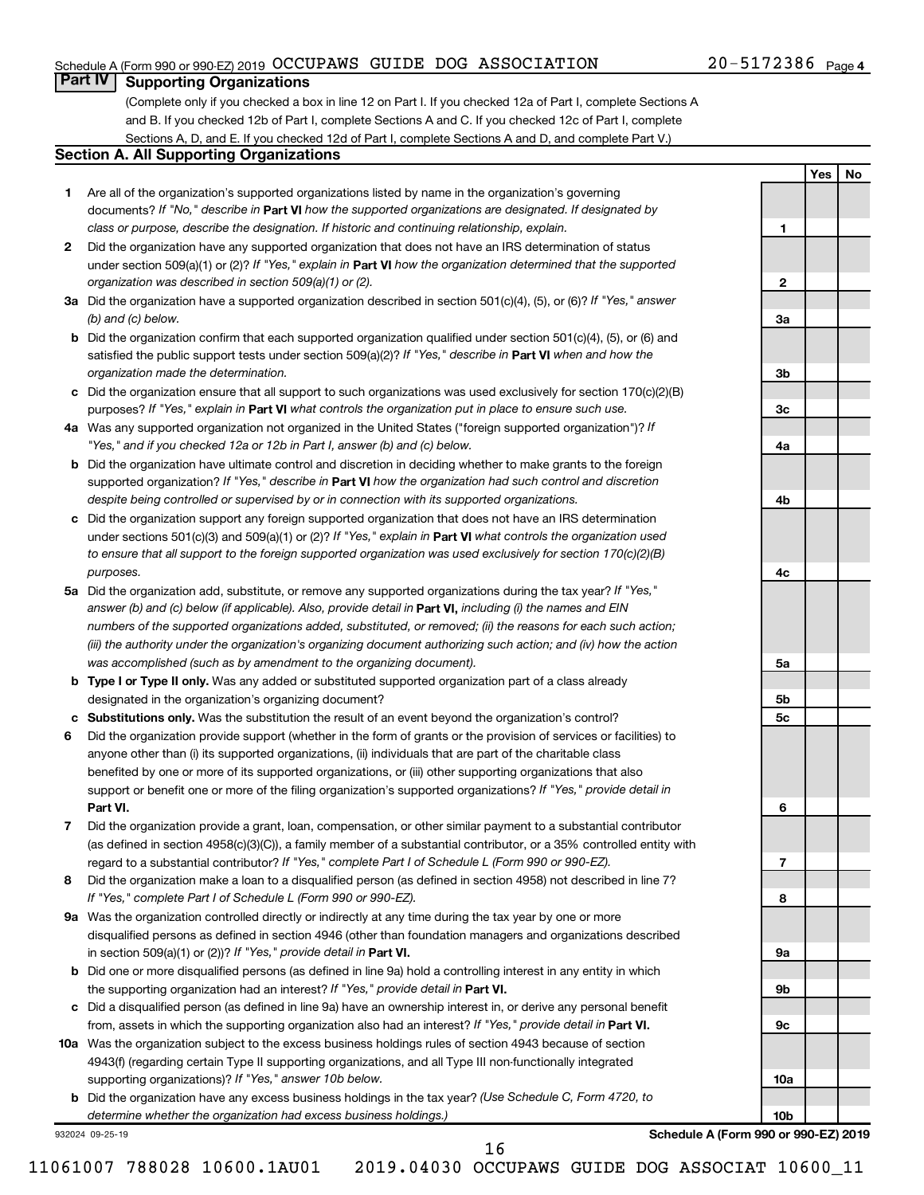#### Schedule A (Form 990 or 990-EZ) 2019 Page OCCUPAWS GUIDE DOG ASSOCIATION 20-5172386

### **Part IV Supporting Organizations**

(Complete only if you checked a box in line 12 on Part I. If you checked 12a of Part I, complete Sections A and B. If you checked 12b of Part I, complete Sections A and C. If you checked 12c of Part I, complete Sections A, D, and E. If you checked 12d of Part I, complete Sections A and D, and complete Part V.)

#### **Section A. All Supporting Organizations**

- **1** Are all of the organization's supported organizations listed by name in the organization's governing documents? If "No," describe in Part VI how the supported organizations are designated. If designated by *class or purpose, describe the designation. If historic and continuing relationship, explain.*
- **2** Did the organization have any supported organization that does not have an IRS determination of status under section 509(a)(1) or (2)? If "Yes," explain in Part **VI** how the organization determined that the supported *organization was described in section 509(a)(1) or (2).*
- **3a** Did the organization have a supported organization described in section 501(c)(4), (5), or (6)? If "Yes," answer *(b) and (c) below.*
- **b** Did the organization confirm that each supported organization qualified under section 501(c)(4), (5), or (6) and satisfied the public support tests under section 509(a)(2)? If "Yes," describe in Part VI when and how the *organization made the determination.*
- **c** Did the organization ensure that all support to such organizations was used exclusively for section 170(c)(2)(B) purposes? If "Yes," explain in Part VI what controls the organization put in place to ensure such use.
- **4 a** *If* Was any supported organization not organized in the United States ("foreign supported organization")? *"Yes," and if you checked 12a or 12b in Part I, answer (b) and (c) below.*
- **b** Did the organization have ultimate control and discretion in deciding whether to make grants to the foreign supported organization? If "Yes," describe in Part VI how the organization had such control and discretion *despite being controlled or supervised by or in connection with its supported organizations.*
- **c** Did the organization support any foreign supported organization that does not have an IRS determination under sections 501(c)(3) and 509(a)(1) or (2)? If "Yes," explain in Part VI what controls the organization used *to ensure that all support to the foreign supported organization was used exclusively for section 170(c)(2)(B) purposes.*
- **5a** Did the organization add, substitute, or remove any supported organizations during the tax year? If "Yes," answer (b) and (c) below (if applicable). Also, provide detail in **Part VI,** including (i) the names and EIN *numbers of the supported organizations added, substituted, or removed; (ii) the reasons for each such action; (iii) the authority under the organization's organizing document authorizing such action; and (iv) how the action was accomplished (such as by amendment to the organizing document).*
- **b Type I or Type II only.** Was any added or substituted supported organization part of a class already designated in the organization's organizing document?
- **c Substitutions only.**  Was the substitution the result of an event beyond the organization's control?
- **6** Did the organization provide support (whether in the form of grants or the provision of services or facilities) to **Part VI.** support or benefit one or more of the filing organization's supported organizations? If "Yes," provide detail in anyone other than (i) its supported organizations, (ii) individuals that are part of the charitable class benefited by one or more of its supported organizations, or (iii) other supporting organizations that also
- **7** Did the organization provide a grant, loan, compensation, or other similar payment to a substantial contributor regard to a substantial contributor? If "Yes," complete Part I of Schedule L (Form 990 or 990-EZ). (as defined in section 4958(c)(3)(C)), a family member of a substantial contributor, or a 35% controlled entity with
- **8** Did the organization make a loan to a disqualified person (as defined in section 4958) not described in line 7? *If "Yes," complete Part I of Schedule L (Form 990 or 990-EZ).*
- **9 a** Was the organization controlled directly or indirectly at any time during the tax year by one or more in section 509(a)(1) or (2))? If "Yes," provide detail in **Part VI.** disqualified persons as defined in section 4946 (other than foundation managers and organizations described
- **b** Did one or more disqualified persons (as defined in line 9a) hold a controlling interest in any entity in which the supporting organization had an interest? If "Yes," provide detail in Part VI.
- **c** Did a disqualified person (as defined in line 9a) have an ownership interest in, or derive any personal benefit from, assets in which the supporting organization also had an interest? If "Yes," provide detail in Part VI.
- **10 a** Was the organization subject to the excess business holdings rules of section 4943 because of section supporting organizations)? If "Yes," answer 10b below. 4943(f) (regarding certain Type II supporting organizations, and all Type III non-functionally integrated
	- **b** Did the organization have any excess business holdings in the tax year? (Use Schedule C, Form 4720, to *determine whether the organization had excess business holdings.)*

932024 09-25-19

**Schedule A (Form 990 or 990-EZ) 2019**

**1**

**2**

**3a**

**3b**

**3c**

**4a**

**4b**

**4c**

**5a**

**5b 5c**

**6**

**7**

**8**

**9a**

**9b**

**9c**

**10a**

**10b**

**Yes No**

16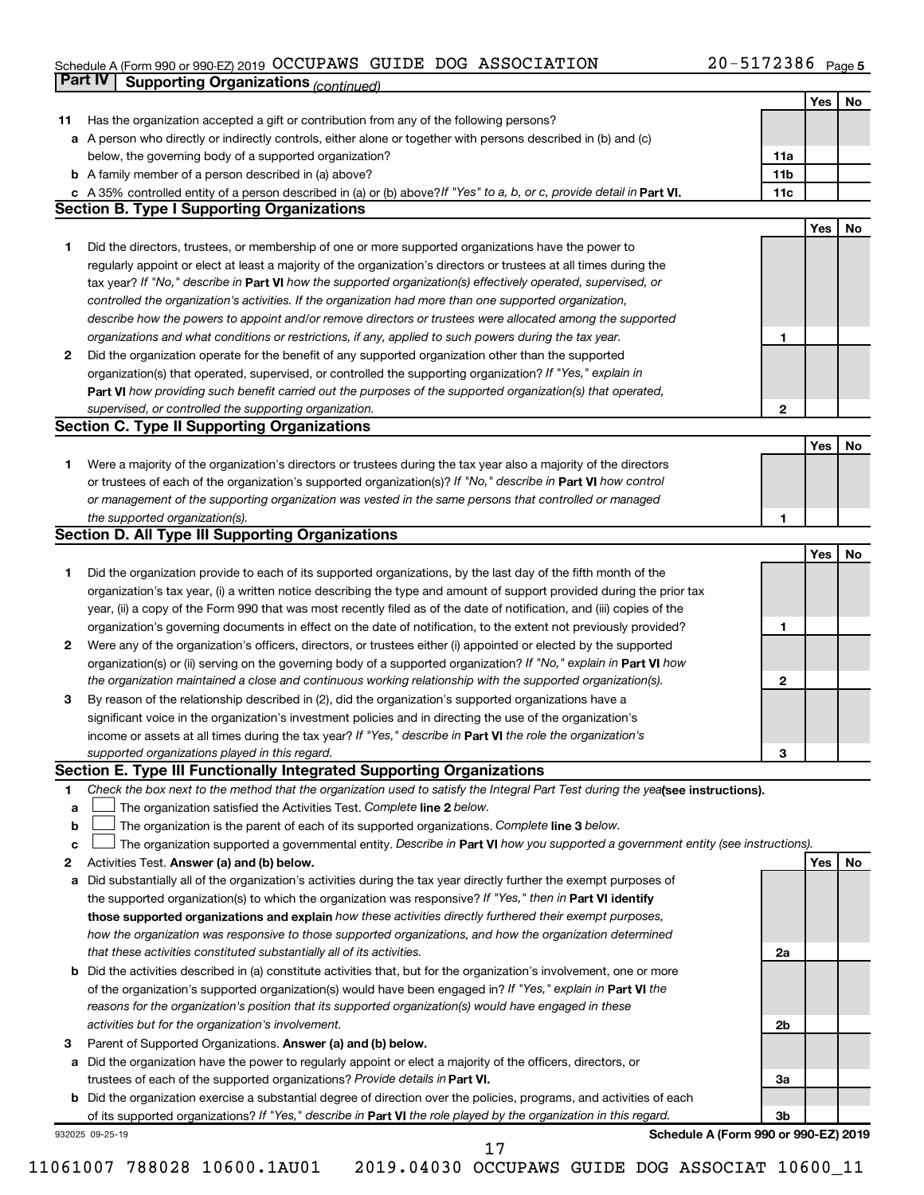#### Schedule A (Form 990 or 990-EZ) 2019 Page OCCUPAWS GUIDE DOG ASSOCIATION 20-5172386

|    | Part IV<br><b>Supporting Organizations (continued)</b>                                                                          |                 |            |    |
|----|---------------------------------------------------------------------------------------------------------------------------------|-----------------|------------|----|
|    |                                                                                                                                 |                 | Yes        | No |
| 11 | Has the organization accepted a gift or contribution from any of the following persons?                                         |                 |            |    |
|    | a A person who directly or indirectly controls, either alone or together with persons described in (b) and (c)                  |                 |            |    |
|    | below, the governing body of a supported organization?                                                                          | 11a             |            |    |
|    | <b>b</b> A family member of a person described in (a) above?                                                                    | 11 <sub>b</sub> |            |    |
|    | c A 35% controlled entity of a person described in (a) or (b) above? If "Yes" to a, b, or c, provide detail in Part VI.         | 11c             |            |    |
|    | <b>Section B. Type I Supporting Organizations</b>                                                                               |                 |            |    |
|    |                                                                                                                                 |                 |            |    |
|    |                                                                                                                                 |                 | Yes        | No |
| 1  | Did the directors, trustees, or membership of one or more supported organizations have the power to                             |                 |            |    |
|    | regularly appoint or elect at least a majority of the organization's directors or trustees at all times during the              |                 |            |    |
|    | tax year? If "No," describe in Part VI how the supported organization(s) effectively operated, supervised, or                   |                 |            |    |
|    | controlled the organization's activities. If the organization had more than one supported organization,                         |                 |            |    |
|    | describe how the powers to appoint and/or remove directors or trustees were allocated among the supported                       |                 |            |    |
|    | organizations and what conditions or restrictions, if any, applied to such powers during the tax year.                          | 1               |            |    |
| 2  | Did the organization operate for the benefit of any supported organization other than the supported                             |                 |            |    |
|    | organization(s) that operated, supervised, or controlled the supporting organization? If "Yes," explain in                      |                 |            |    |
|    | Part VI how providing such benefit carried out the purposes of the supported organization(s) that operated,                     |                 |            |    |
|    | supervised, or controlled the supporting organization.                                                                          | 2               |            |    |
|    | <b>Section C. Type II Supporting Organizations</b>                                                                              |                 |            |    |
|    |                                                                                                                                 |                 | Yes        | No |
| 1. | Were a majority of the organization's directors or trustees during the tax year also a majority of the directors                |                 |            |    |
|    | or trustees of each of the organization's supported organization(s)? If "No," describe in Part VI how control                   |                 |            |    |
|    | or management of the supporting organization was vested in the same persons that controlled or managed                          |                 |            |    |
|    | the supported organization(s).                                                                                                  | 1               |            |    |
|    | <b>Section D. All Type III Supporting Organizations</b>                                                                         |                 |            |    |
|    |                                                                                                                                 |                 | Yes        | No |
| 1  | Did the organization provide to each of its supported organizations, by the last day of the fifth month of the                  |                 |            |    |
|    | organization's tax year, (i) a written notice describing the type and amount of support provided during the prior tax           |                 |            |    |
|    | year, (ii) a copy of the Form 990 that was most recently filed as of the date of notification, and (iii) copies of the          |                 |            |    |
|    | organization's governing documents in effect on the date of notification, to the extent not previously provided?                | 1               |            |    |
|    |                                                                                                                                 |                 |            |    |
| 2  | Were any of the organization's officers, directors, or trustees either (i) appointed or elected by the supported                |                 |            |    |
|    | organization(s) or (ii) serving on the governing body of a supported organization? If "No," explain in Part VI how              |                 |            |    |
|    | the organization maintained a close and continuous working relationship with the supported organization(s).                     | 2               |            |    |
| 3  | By reason of the relationship described in (2), did the organization's supported organizations have a                           |                 |            |    |
|    | significant voice in the organization's investment policies and in directing the use of the organization's                      |                 |            |    |
|    | income or assets at all times during the tax year? If "Yes," describe in Part VI the role the organization's                    |                 |            |    |
|    | supported organizations played in this regard.                                                                                  | з               |            |    |
|    | Section E. Type III Functionally Integrated Supporting Organizations                                                            |                 |            |    |
| 1  | Check the box next to the method that the organization used to satisfy the Integral Part Test during the yealsee instructions). |                 |            |    |
| a  | The organization satisfied the Activities Test. Complete line 2 below.                                                          |                 |            |    |
| b  | The organization is the parent of each of its supported organizations. Complete line 3 below.                                   |                 |            |    |
| с  | The organization supported a governmental entity. Describe in Part VI how you supported a government entity (see instructions). |                 |            |    |
| 2  | Activities Test. Answer (a) and (b) below.                                                                                      |                 | <b>Yes</b> | No |
| а  | Did substantially all of the organization's activities during the tax year directly further the exempt purposes of              |                 |            |    |
|    | the supported organization(s) to which the organization was responsive? If "Yes," then in Part VI identify                      |                 |            |    |
|    | those supported organizations and explain how these activities directly furthered their exempt purposes,                        |                 |            |    |
|    | how the organization was responsive to those supported organizations, and how the organization determined                       |                 |            |    |
|    | that these activities constituted substantially all of its activities.                                                          | 2a              |            |    |
|    | b Did the activities described in (a) constitute activities that, but for the organization's involvement, one or more           |                 |            |    |
|    | of the organization's supported organization(s) would have been engaged in? If "Yes," explain in Part VI the                    |                 |            |    |
|    | reasons for the organization's position that its supported organization(s) would have engaged in these                          |                 |            |    |
|    | activities but for the organization's involvement.                                                                              | 2b              |            |    |
| з  | Parent of Supported Organizations. Answer (a) and (b) below.                                                                    |                 |            |    |
|    | Did the organization have the power to regularly appoint or elect a majority of the officers, directors, or                     |                 |            |    |
| а  |                                                                                                                                 |                 |            |    |
|    | trustees of each of the supported organizations? Provide details in Part VI.                                                    | За              |            |    |
|    | <b>b</b> Did the organization exercise a substantial degree of direction over the policies, programs, and activities of each    |                 |            |    |
|    | of its supported organizations? If "Yes," describe in Part VI the role played by the organization in this regard.               | 3b              |            |    |
|    | Schedule A (Form 990 or 990-EZ) 2019<br>932025 09-25-19                                                                         |                 |            |    |

 <sup>17</sup>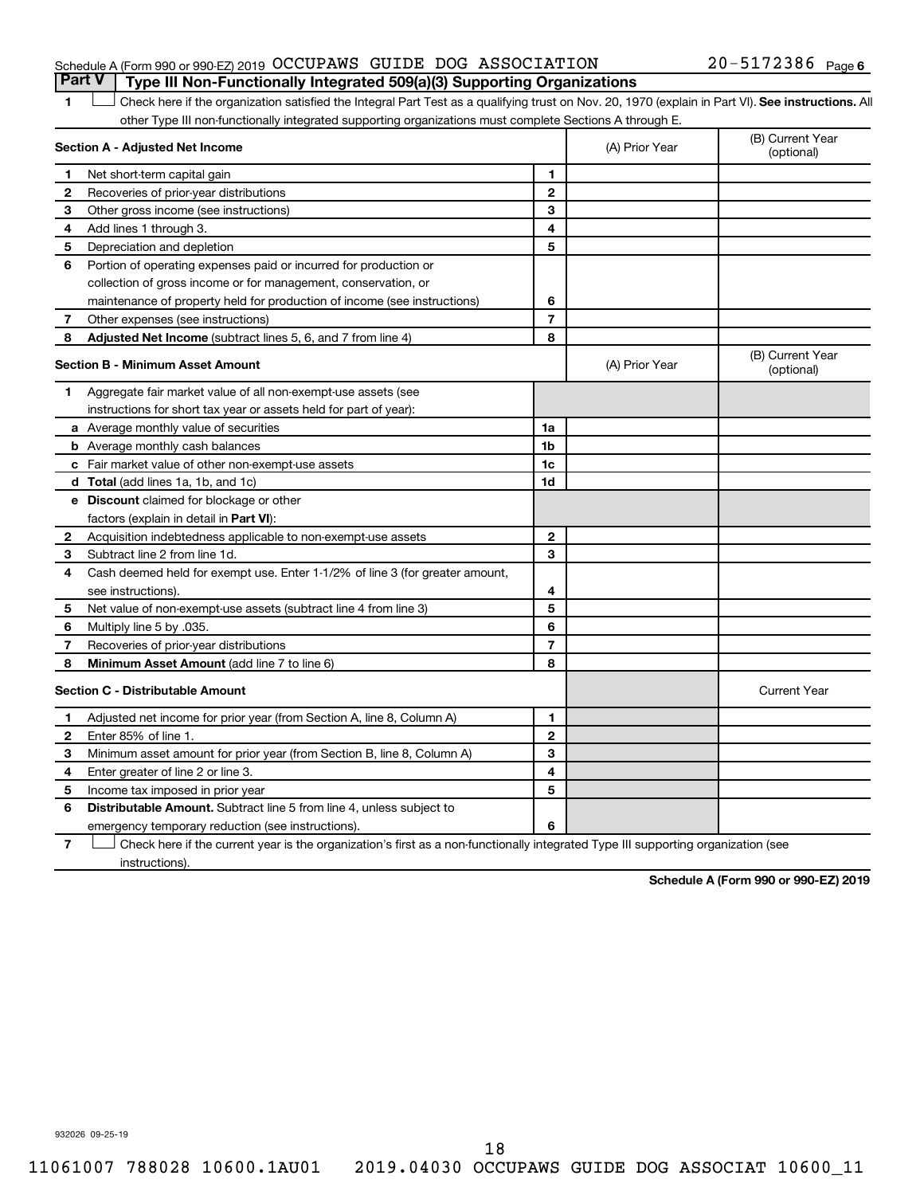#### Schedule A (Form 990 or 990-EZ) 2019 Page OCCUPAWS GUIDE DOG ASSOCIATION 20-5172386 **Part V Type III Non-Functionally Integrated 509(a)(3) Supporting Organizations**

#### 20-5172386 Page 6

1 **Letter See instructions.** All Check here if the organization satisfied the Integral Part Test as a qualifying trust on Nov. 20, 1970 (explain in Part VI). See instructions. All other Type III non-functionally integrated supporting organizations must complete Sections A through E.

|              | Section A - Adjusted Net Income                                              |                | (A) Prior Year | (B) Current Year<br>(optional) |
|--------------|------------------------------------------------------------------------------|----------------|----------------|--------------------------------|
| 1            | Net short-term capital gain                                                  | 1              |                |                                |
| $\mathbf{2}$ | Recoveries of prior-year distributions                                       | $\mathbf{2}$   |                |                                |
| З            | Other gross income (see instructions)                                        | 3              |                |                                |
| 4            | Add lines 1 through 3.                                                       | 4              |                |                                |
| 5            | Depreciation and depletion                                                   | 5              |                |                                |
| 6            | Portion of operating expenses paid or incurred for production or             |                |                |                                |
|              | collection of gross income or for management, conservation, or               |                |                |                                |
|              | maintenance of property held for production of income (see instructions)     | 6              |                |                                |
| 7            | Other expenses (see instructions)                                            | $\overline{7}$ |                |                                |
| 8            | Adjusted Net Income (subtract lines 5, 6, and 7 from line 4)                 | 8              |                |                                |
|              | <b>Section B - Minimum Asset Amount</b>                                      |                | (A) Prior Year | (B) Current Year<br>(optional) |
| 1.           | Aggregate fair market value of all non-exempt-use assets (see                |                |                |                                |
|              | instructions for short tax year or assets held for part of year):            |                |                |                                |
|              | <b>a</b> Average monthly value of securities                                 | 1a             |                |                                |
|              | <b>b</b> Average monthly cash balances                                       | 1 <sub>b</sub> |                |                                |
|              | <b>c</b> Fair market value of other non-exempt-use assets                    | 1c             |                |                                |
|              | <b>d</b> Total (add lines 1a, 1b, and 1c)                                    | 1d             |                |                                |
|              | e Discount claimed for blockage or other                                     |                |                |                                |
|              | factors (explain in detail in <b>Part VI</b> ):                              |                |                |                                |
| 2            | Acquisition indebtedness applicable to non-exempt-use assets                 | $\mathbf{2}$   |                |                                |
| З            | Subtract line 2 from line 1d.                                                | 3              |                |                                |
| 4            | Cash deemed held for exempt use. Enter 1-1/2% of line 3 (for greater amount, |                |                |                                |
|              | see instructions)                                                            | 4              |                |                                |
| 5            | Net value of non-exempt-use assets (subtract line 4 from line 3)             | 5              |                |                                |
| 6            | Multiply line 5 by .035.                                                     | 6              |                |                                |
| 7            | Recoveries of prior-year distributions                                       | $\overline{7}$ |                |                                |
| 8            | <b>Minimum Asset Amount (add line 7 to line 6)</b>                           | 8              |                |                                |
|              | <b>Section C - Distributable Amount</b>                                      |                |                | <b>Current Year</b>            |
| 1            | Adjusted net income for prior year (from Section A, line 8, Column A)        | 1              |                |                                |
| $\mathbf{2}$ | Enter 85% of line 1.                                                         | $\mathbf{2}$   |                |                                |
| З            | Minimum asset amount for prior year (from Section B, line 8, Column A)       | 3              |                |                                |
| 4            | Enter greater of line 2 or line 3.                                           | 4              |                |                                |
| 5            | Income tax imposed in prior year                                             | 5              |                |                                |
| 6            | <b>Distributable Amount.</b> Subtract line 5 from line 4, unless subject to  |                |                |                                |
|              | emergency temporary reduction (see instructions).                            | 6              |                |                                |
|              |                                                                              |                |                |                                |

**7** Check here if the current year is the organization's first as a non-functionally integrated Type III supporting organization (see † instructions).

**Schedule A (Form 990 or 990-EZ) 2019**

932026 09-25-19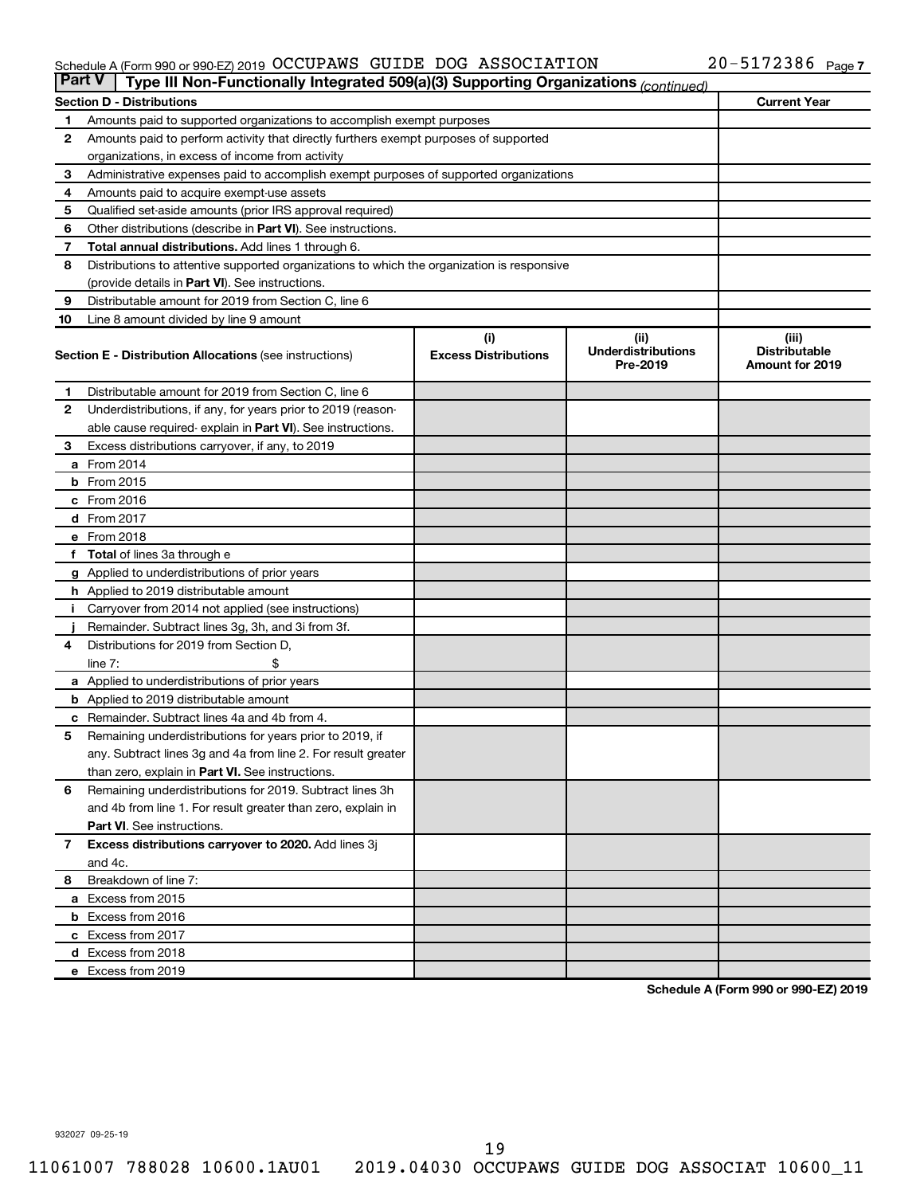#### Schedule A (Form 990 or 990-EZ) 2019 Page OCCUPAWS GUIDE DOG ASSOCIATION 20-5172386

| <b>Part V</b> | Type III Non-Functionally Integrated 509(a)(3) Supporting Organizations (continued)        |                                    |                                               |                                                         |  |  |
|---------------|--------------------------------------------------------------------------------------------|------------------------------------|-----------------------------------------------|---------------------------------------------------------|--|--|
|               | <b>Section D - Distributions</b>                                                           |                                    |                                               | <b>Current Year</b>                                     |  |  |
| 1             | Amounts paid to supported organizations to accomplish exempt purposes                      |                                    |                                               |                                                         |  |  |
| 2             | Amounts paid to perform activity that directly furthers exempt purposes of supported       |                                    |                                               |                                                         |  |  |
|               | organizations, in excess of income from activity                                           |                                    |                                               |                                                         |  |  |
| 3             | Administrative expenses paid to accomplish exempt purposes of supported organizations      |                                    |                                               |                                                         |  |  |
| 4             | Amounts paid to acquire exempt-use assets                                                  |                                    |                                               |                                                         |  |  |
| 5             | Qualified set-aside amounts (prior IRS approval required)                                  |                                    |                                               |                                                         |  |  |
| 6             | Other distributions (describe in Part VI). See instructions.                               |                                    |                                               |                                                         |  |  |
| 7             | Total annual distributions. Add lines 1 through 6.                                         |                                    |                                               |                                                         |  |  |
| 8             | Distributions to attentive supported organizations to which the organization is responsive |                                    |                                               |                                                         |  |  |
|               | (provide details in Part VI). See instructions.                                            |                                    |                                               |                                                         |  |  |
| 9             | Distributable amount for 2019 from Section C, line 6                                       |                                    |                                               |                                                         |  |  |
| 10            | Line 8 amount divided by line 9 amount                                                     |                                    |                                               |                                                         |  |  |
|               | <b>Section E - Distribution Allocations (see instructions)</b>                             | (i)<br><b>Excess Distributions</b> | (ii)<br><b>Underdistributions</b><br>Pre-2019 | (iii)<br><b>Distributable</b><br><b>Amount for 2019</b> |  |  |
| 1.            | Distributable amount for 2019 from Section C, line 6                                       |                                    |                                               |                                                         |  |  |
| $\mathbf{2}$  | Underdistributions, if any, for years prior to 2019 (reason-                               |                                    |                                               |                                                         |  |  |
|               | able cause required- explain in Part VI). See instructions.                                |                                    |                                               |                                                         |  |  |
| 3             | Excess distributions carryover, if any, to 2019                                            |                                    |                                               |                                                         |  |  |
|               | a From 2014                                                                                |                                    |                                               |                                                         |  |  |
|               | <b>b</b> From 2015                                                                         |                                    |                                               |                                                         |  |  |
|               | c From 2016                                                                                |                                    |                                               |                                                         |  |  |
|               | d From 2017                                                                                |                                    |                                               |                                                         |  |  |
|               | e From 2018                                                                                |                                    |                                               |                                                         |  |  |
|               | f Total of lines 3a through e                                                              |                                    |                                               |                                                         |  |  |
|               | <b>g</b> Applied to underdistributions of prior years                                      |                                    |                                               |                                                         |  |  |
|               | <b>h</b> Applied to 2019 distributable amount                                              |                                    |                                               |                                                         |  |  |
|               | Carryover from 2014 not applied (see instructions)                                         |                                    |                                               |                                                         |  |  |
|               | Remainder. Subtract lines 3g, 3h, and 3i from 3f.                                          |                                    |                                               |                                                         |  |  |
| 4             | Distributions for 2019 from Section D,                                                     |                                    |                                               |                                                         |  |  |
|               | $line 7$ :                                                                                 |                                    |                                               |                                                         |  |  |
|               | a Applied to underdistributions of prior years                                             |                                    |                                               |                                                         |  |  |
|               | <b>b</b> Applied to 2019 distributable amount                                              |                                    |                                               |                                                         |  |  |
| с             | Remainder. Subtract lines 4a and 4b from 4.                                                |                                    |                                               |                                                         |  |  |
| 5             | Remaining underdistributions for years prior to 2019, if                                   |                                    |                                               |                                                         |  |  |
|               | any. Subtract lines 3g and 4a from line 2. For result greater                              |                                    |                                               |                                                         |  |  |
|               | than zero, explain in Part VI. See instructions.                                           |                                    |                                               |                                                         |  |  |
| 6             | Remaining underdistributions for 2019. Subtract lines 3h                                   |                                    |                                               |                                                         |  |  |
|               | and 4b from line 1. For result greater than zero, explain in                               |                                    |                                               |                                                         |  |  |
|               | <b>Part VI.</b> See instructions.                                                          |                                    |                                               |                                                         |  |  |
| $\mathbf{7}$  | Excess distributions carryover to 2020. Add lines 3j                                       |                                    |                                               |                                                         |  |  |
|               | and 4c.                                                                                    |                                    |                                               |                                                         |  |  |
| 8             | Breakdown of line 7:                                                                       |                                    |                                               |                                                         |  |  |
|               | a Excess from 2015                                                                         |                                    |                                               |                                                         |  |  |
|               | <b>b</b> Excess from 2016                                                                  |                                    |                                               |                                                         |  |  |
|               | c Excess from 2017                                                                         |                                    |                                               |                                                         |  |  |
|               | d Excess from 2018                                                                         |                                    |                                               |                                                         |  |  |
|               | e Excess from 2019                                                                         |                                    |                                               |                                                         |  |  |

**Schedule A (Form 990 or 990-EZ) 2019**

932027 09-25-19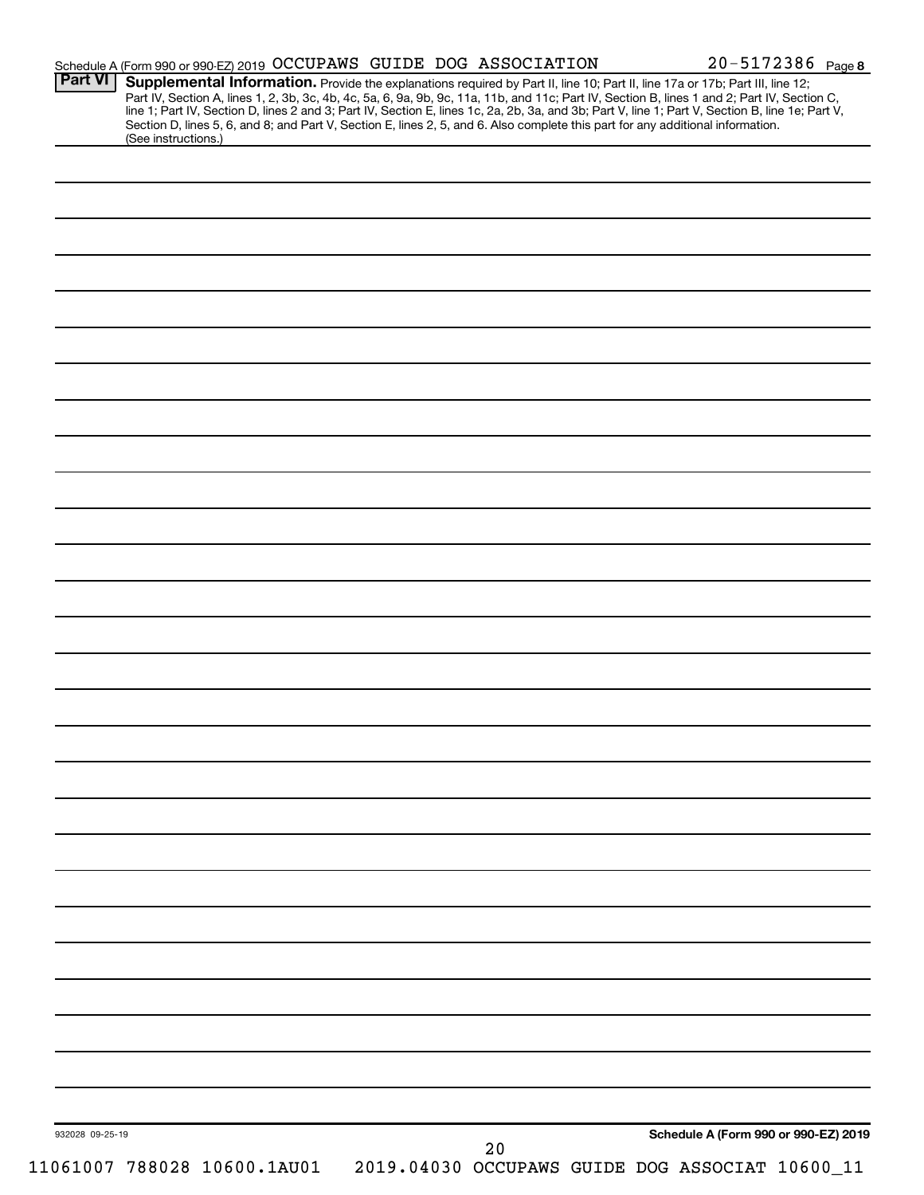| <b>Part VI</b>  | Supplemental Information. Provide the explanations required by Part II, line 10; Part II, line 17a or 17b; Part III, line 12;<br>Section D, lines 5, 6, and 8; and Part V, Section E, lines 2, 5, and 6. Also complete this part for any additional information.<br>(See instructions.) |    | Part IV, Section A, lines 1, 2, 3b, 3c, 4b, 4c, 5a, 6, 9a, 9b, 9c, 11a, 11b, and 11c; Part IV, Section B, lines 1 and 2; Part IV, Section C,<br>line 1; Part IV, Section D, lines 2 and 3; Part IV, Section E, lines 1c, 2a, 2b, 3a, and 3b; Part V, line 1; Part V, Section B, line 1e; Part V, |
|-----------------|-----------------------------------------------------------------------------------------------------------------------------------------------------------------------------------------------------------------------------------------------------------------------------------------|----|--------------------------------------------------------------------------------------------------------------------------------------------------------------------------------------------------------------------------------------------------------------------------------------------------|
|                 |                                                                                                                                                                                                                                                                                         |    |                                                                                                                                                                                                                                                                                                  |
|                 |                                                                                                                                                                                                                                                                                         |    |                                                                                                                                                                                                                                                                                                  |
|                 |                                                                                                                                                                                                                                                                                         |    |                                                                                                                                                                                                                                                                                                  |
|                 |                                                                                                                                                                                                                                                                                         |    |                                                                                                                                                                                                                                                                                                  |
|                 |                                                                                                                                                                                                                                                                                         |    |                                                                                                                                                                                                                                                                                                  |
|                 |                                                                                                                                                                                                                                                                                         |    |                                                                                                                                                                                                                                                                                                  |
|                 |                                                                                                                                                                                                                                                                                         |    |                                                                                                                                                                                                                                                                                                  |
|                 |                                                                                                                                                                                                                                                                                         |    |                                                                                                                                                                                                                                                                                                  |
|                 |                                                                                                                                                                                                                                                                                         |    |                                                                                                                                                                                                                                                                                                  |
|                 |                                                                                                                                                                                                                                                                                         |    |                                                                                                                                                                                                                                                                                                  |
|                 |                                                                                                                                                                                                                                                                                         |    |                                                                                                                                                                                                                                                                                                  |
|                 |                                                                                                                                                                                                                                                                                         |    |                                                                                                                                                                                                                                                                                                  |
|                 |                                                                                                                                                                                                                                                                                         |    |                                                                                                                                                                                                                                                                                                  |
|                 |                                                                                                                                                                                                                                                                                         |    |                                                                                                                                                                                                                                                                                                  |
|                 |                                                                                                                                                                                                                                                                                         |    |                                                                                                                                                                                                                                                                                                  |
|                 |                                                                                                                                                                                                                                                                                         |    |                                                                                                                                                                                                                                                                                                  |
|                 |                                                                                                                                                                                                                                                                                         |    |                                                                                                                                                                                                                                                                                                  |
|                 |                                                                                                                                                                                                                                                                                         |    |                                                                                                                                                                                                                                                                                                  |
|                 |                                                                                                                                                                                                                                                                                         |    |                                                                                                                                                                                                                                                                                                  |
|                 |                                                                                                                                                                                                                                                                                         |    |                                                                                                                                                                                                                                                                                                  |
|                 |                                                                                                                                                                                                                                                                                         |    |                                                                                                                                                                                                                                                                                                  |
|                 |                                                                                                                                                                                                                                                                                         |    |                                                                                                                                                                                                                                                                                                  |
|                 |                                                                                                                                                                                                                                                                                         |    |                                                                                                                                                                                                                                                                                                  |
|                 |                                                                                                                                                                                                                                                                                         |    |                                                                                                                                                                                                                                                                                                  |
|                 |                                                                                                                                                                                                                                                                                         |    |                                                                                                                                                                                                                                                                                                  |
|                 |                                                                                                                                                                                                                                                                                         |    |                                                                                                                                                                                                                                                                                                  |
|                 |                                                                                                                                                                                                                                                                                         |    |                                                                                                                                                                                                                                                                                                  |
|                 |                                                                                                                                                                                                                                                                                         |    |                                                                                                                                                                                                                                                                                                  |
|                 |                                                                                                                                                                                                                                                                                         |    |                                                                                                                                                                                                                                                                                                  |
|                 |                                                                                                                                                                                                                                                                                         |    |                                                                                                                                                                                                                                                                                                  |
|                 |                                                                                                                                                                                                                                                                                         |    |                                                                                                                                                                                                                                                                                                  |
|                 |                                                                                                                                                                                                                                                                                         |    |                                                                                                                                                                                                                                                                                                  |
|                 |                                                                                                                                                                                                                                                                                         |    |                                                                                                                                                                                                                                                                                                  |
|                 |                                                                                                                                                                                                                                                                                         |    |                                                                                                                                                                                                                                                                                                  |
|                 |                                                                                                                                                                                                                                                                                         |    |                                                                                                                                                                                                                                                                                                  |
|                 |                                                                                                                                                                                                                                                                                         |    |                                                                                                                                                                                                                                                                                                  |
|                 |                                                                                                                                                                                                                                                                                         |    |                                                                                                                                                                                                                                                                                                  |
|                 |                                                                                                                                                                                                                                                                                         |    |                                                                                                                                                                                                                                                                                                  |
|                 |                                                                                                                                                                                                                                                                                         |    |                                                                                                                                                                                                                                                                                                  |
|                 |                                                                                                                                                                                                                                                                                         |    |                                                                                                                                                                                                                                                                                                  |
|                 |                                                                                                                                                                                                                                                                                         |    |                                                                                                                                                                                                                                                                                                  |
|                 |                                                                                                                                                                                                                                                                                         |    |                                                                                                                                                                                                                                                                                                  |
|                 |                                                                                                                                                                                                                                                                                         |    |                                                                                                                                                                                                                                                                                                  |
|                 |                                                                                                                                                                                                                                                                                         |    |                                                                                                                                                                                                                                                                                                  |
|                 |                                                                                                                                                                                                                                                                                         |    |                                                                                                                                                                                                                                                                                                  |
|                 |                                                                                                                                                                                                                                                                                         |    |                                                                                                                                                                                                                                                                                                  |
|                 |                                                                                                                                                                                                                                                                                         |    |                                                                                                                                                                                                                                                                                                  |
| 932028 09-25-19 |                                                                                                                                                                                                                                                                                         | 20 | Schedule A (Form 990 or 990-EZ) 2019                                                                                                                                                                                                                                                             |
|                 | 11061007 788028 10600.1AU01                                                                                                                                                                                                                                                             |    | 2019.04030 OCCUPAWS GUIDE DOG ASSOCIAT 10600_11                                                                                                                                                                                                                                                  |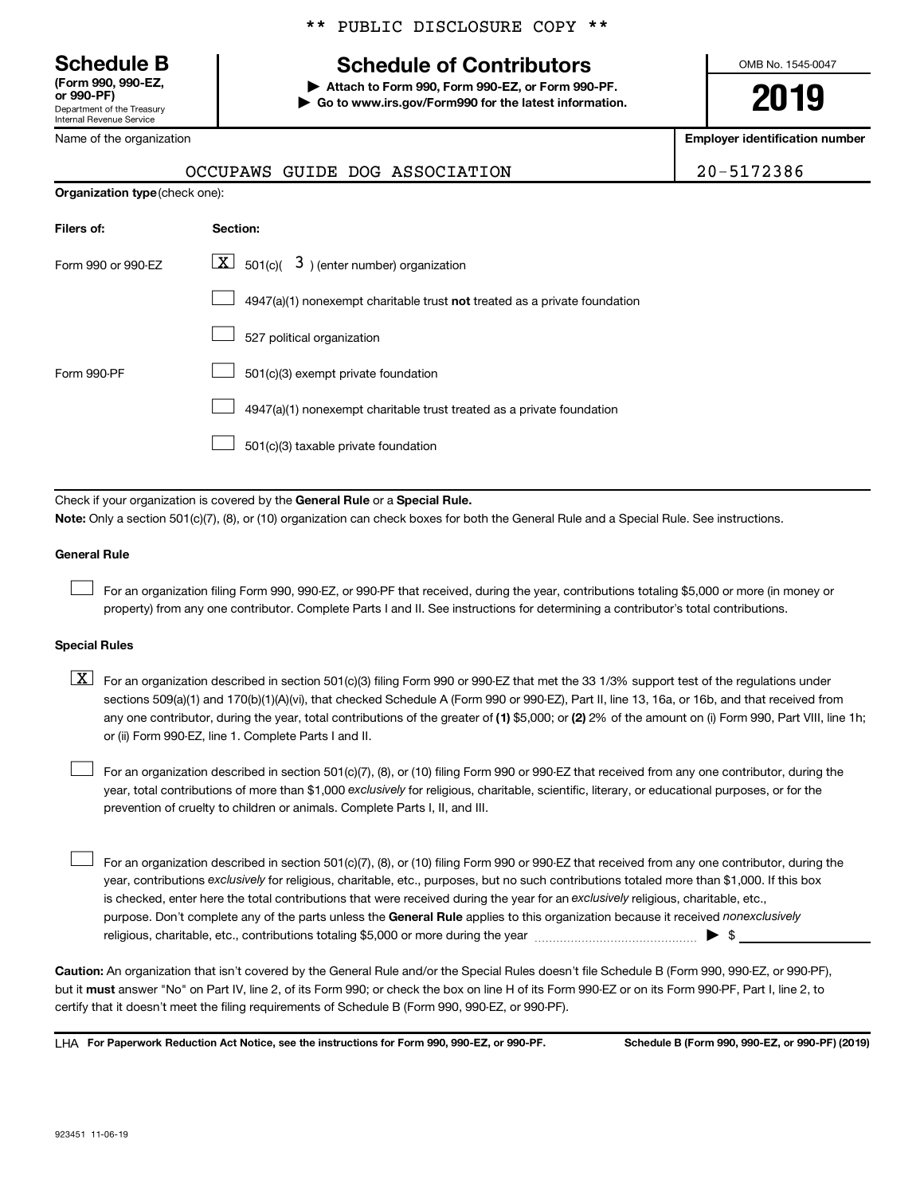Department of the Treasury Internal Revenue Service **(Form 990, 990-EZ,**

Name of the organization

#### \*\* PUBLIC DISCLOSURE COPY \*\*

## **Schedule B Schedule of Contributors**

**or 990-PF) | Attach to Form 990, Form 990-EZ, or Form 990-PF. | Go to www.irs.gov/Form990 for the latest information.** OMB No. 1545-0047

**2019**

**Employer identification number**

|--|

|  |  | OCCUPAWS GUIDE DOG ASSOCIATION | 20-5172386 |
|--|--|--------------------------------|------------|
|  |  |                                |            |

| <b>Organization type (check one):</b> |                                                                                    |
|---------------------------------------|------------------------------------------------------------------------------------|
| Filers of:                            | Section:                                                                           |
| Form 990 or 990-EZ                    | $ \mathbf{X} $ 501(c)( 3) (enter number) organization                              |
|                                       | $4947(a)(1)$ nonexempt charitable trust <b>not</b> treated as a private foundation |
|                                       | 527 political organization                                                         |
| Form 990-PF                           | 501(c)(3) exempt private foundation                                                |
|                                       | 4947(a)(1) nonexempt charitable trust treated as a private foundation              |
|                                       | 501(c)(3) taxable private foundation                                               |

Check if your organization is covered by the General Rule or a Special Rule. **Note:**  Only a section 501(c)(7), (8), or (10) organization can check boxes for both the General Rule and a Special Rule. See instructions.

#### **General Rule**

 $\Box$ 

For an organization filing Form 990, 990-EZ, or 990-PF that received, during the year, contributions totaling \$5,000 or more (in money or property) from any one contributor. Complete Parts I and II. See instructions for determining a contributor's total contributions.

#### **Special Rules**

any one contributor, during the year, total contributions of the greater of (1) \$5,000; or (2) 2% of the amount on (i) Form 990, Part VIII, line 1h;  $\boxed{\text{X}}$  For an organization described in section 501(c)(3) filing Form 990 or 990-EZ that met the 33 1/3% support test of the regulations under sections 509(a)(1) and 170(b)(1)(A)(vi), that checked Schedule A (Form 990 or 990-EZ), Part II, line 13, 16a, or 16b, and that received from or (ii) Form 990-EZ, line 1. Complete Parts I and II.

year, total contributions of more than \$1,000 *exclusively* for religious, charitable, scientific, literary, or educational purposes, or for the For an organization described in section 501(c)(7), (8), or (10) filing Form 990 or 990-EZ that received from any one contributor, during the prevention of cruelty to children or animals. Complete Parts I, II, and III.  $\Box$ 

purpose. Don't complete any of the parts unless the General Rule applies to this organization because it received nonexclusively year, contributions exclusively for religious, charitable, etc., purposes, but no such contributions totaled more than \$1,000. If this box is checked, enter here the total contributions that were received during the year for an exclusively religious, charitable, etc., For an organization described in section 501(c)(7), (8), or (10) filing Form 990 or 990-EZ that received from any one contributor, during the religious, charitable, etc., contributions totaling \$5,000 or more during the year  $\ldots$  $\ldots$  $\ldots$  $\ldots$  $\ldots$  $\ldots$  $\Box$ 

**Caution:**  An organization that isn't covered by the General Rule and/or the Special Rules doesn't file Schedule B (Form 990, 990-EZ, or 990-PF),  **must** but it answer "No" on Part IV, line 2, of its Form 990; or check the box on line H of its Form 990-EZ or on its Form 990-PF, Part I, line 2, to certify that it doesn't meet the filing requirements of Schedule B (Form 990, 990-EZ, or 990-PF).

**For Paperwork Reduction Act Notice, see the instructions for Form 990, 990-EZ, or 990-PF. Schedule B (Form 990, 990-EZ, or 990-PF) (2019)** LHA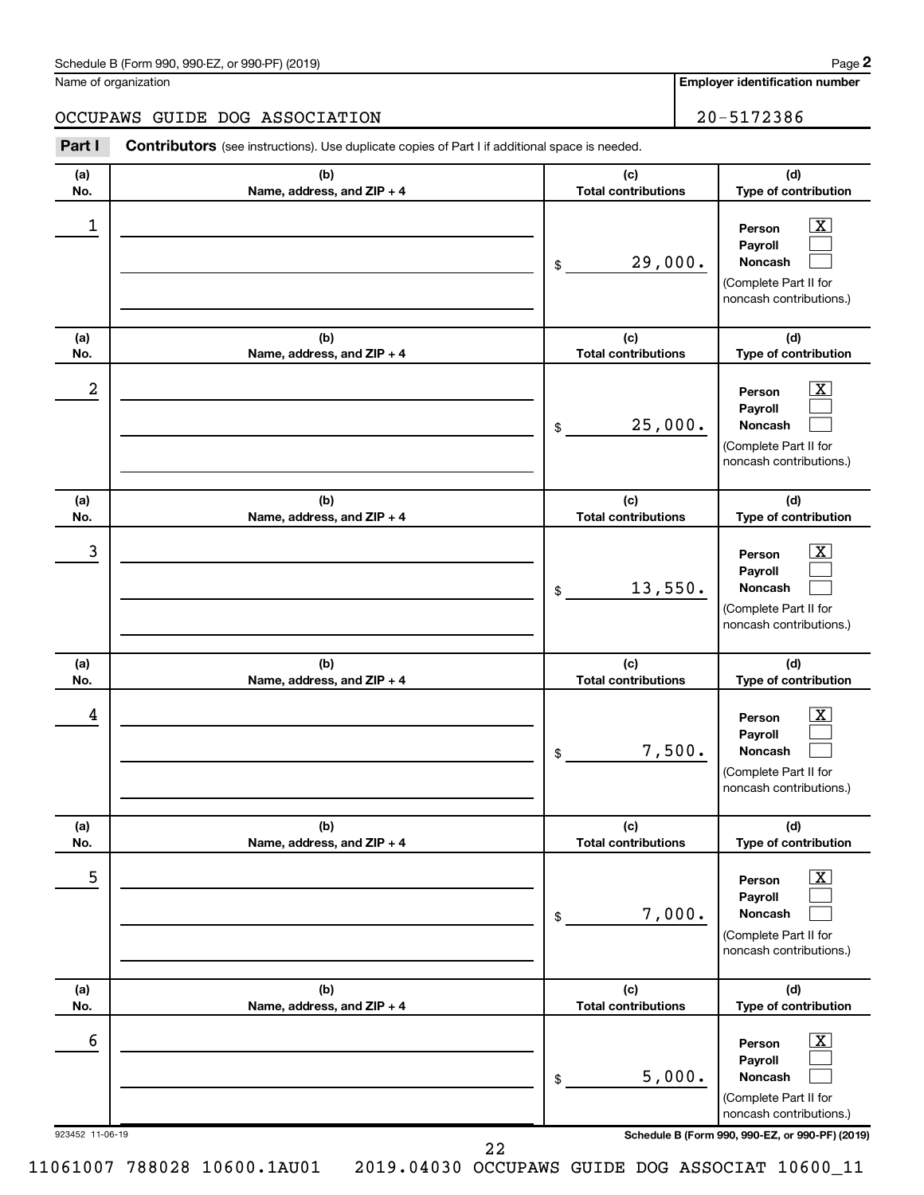| Schedule B (Form 990, 990-EZ, or 990-PF) (2019) | Page |
|-------------------------------------------------|------|
|-------------------------------------------------|------|

Name of organization

**Employer identification number**

| Part I     | OCCUPAWS GUIDE DOG ASSOCIATION<br>Contributors (see instructions). Use duplicate copies of Part I if additional space is needed. | 20-5172386                        |                                                                                                                       |
|------------|----------------------------------------------------------------------------------------------------------------------------------|-----------------------------------|-----------------------------------------------------------------------------------------------------------------------|
|            |                                                                                                                                  |                                   |                                                                                                                       |
| (a)<br>No. | (b)<br>Name, address, and ZIP + 4                                                                                                | (c)<br><b>Total contributions</b> | (d)<br>Type of contribution                                                                                           |
| 1          |                                                                                                                                  | 29,000.<br>\$                     | X<br>Person<br>Payroll<br>Noncash<br>(Complete Part II for<br>noncash contributions.)                                 |
| (a)        | (b)                                                                                                                              | (c)<br><b>Total contributions</b> | (d)<br>Type of contribution                                                                                           |
| No.<br>2   | Name, address, and ZIP + 4                                                                                                       | 25,000.<br>\$                     | X<br>Person<br>Payroll<br>Noncash<br>(Complete Part II for<br>noncash contributions.)                                 |
| (a)<br>No. | (b)<br>Name, address, and ZIP + 4                                                                                                | (c)<br><b>Total contributions</b> | (d)<br>Type of contribution                                                                                           |
| 3          |                                                                                                                                  | 13,550.<br>\$                     | X<br>Person<br>Payroll<br>Noncash<br>(Complete Part II for<br>noncash contributions.)                                 |
| (a)<br>No. | (b)<br>Name, address, and ZIP + 4                                                                                                | (c)<br><b>Total contributions</b> | (d)<br>Type of contribution                                                                                           |
| 4          |                                                                                                                                  | \$                                | Person<br>Payroll<br>7,500.<br>Noncash<br>(Complete Part II for<br>noncash contributions.)                            |
| (a)<br>No. | (b)<br>Name, address, and ZIP + 4                                                                                                | (c)<br><b>Total contributions</b> | (d)<br>Type of contribution                                                                                           |
| 5          |                                                                                                                                  | \$                                | $\overline{\mathbf{X}}$<br>Person<br>Payroll<br>7,000.<br>Noncash<br>(Complete Part II for<br>noncash contributions.) |
| (a)<br>No. | (b)<br>Name, address, and ZIP + 4                                                                                                | (c)<br><b>Total contributions</b> | (d)<br>Type of contribution                                                                                           |
|            |                                                                                                                                  |                                   |                                                                                                                       |

923452 11-06-19 **Schedule B (Form 990, 990-EZ, or 990-PF) (2019)**

**Person Payroll Noncash**

(Complete Part II for noncash contributions.)

 $\boxed{\text{X}}$  $\Box$  $\Box$ 

22

5,000.

11061007 788028 10600.1AU01 2019.04030 OCCUPAWS GUIDE DOG ASSOCIAT 10600\_11

 $\overline{6}$  Person  $\overline{X}$ 

\$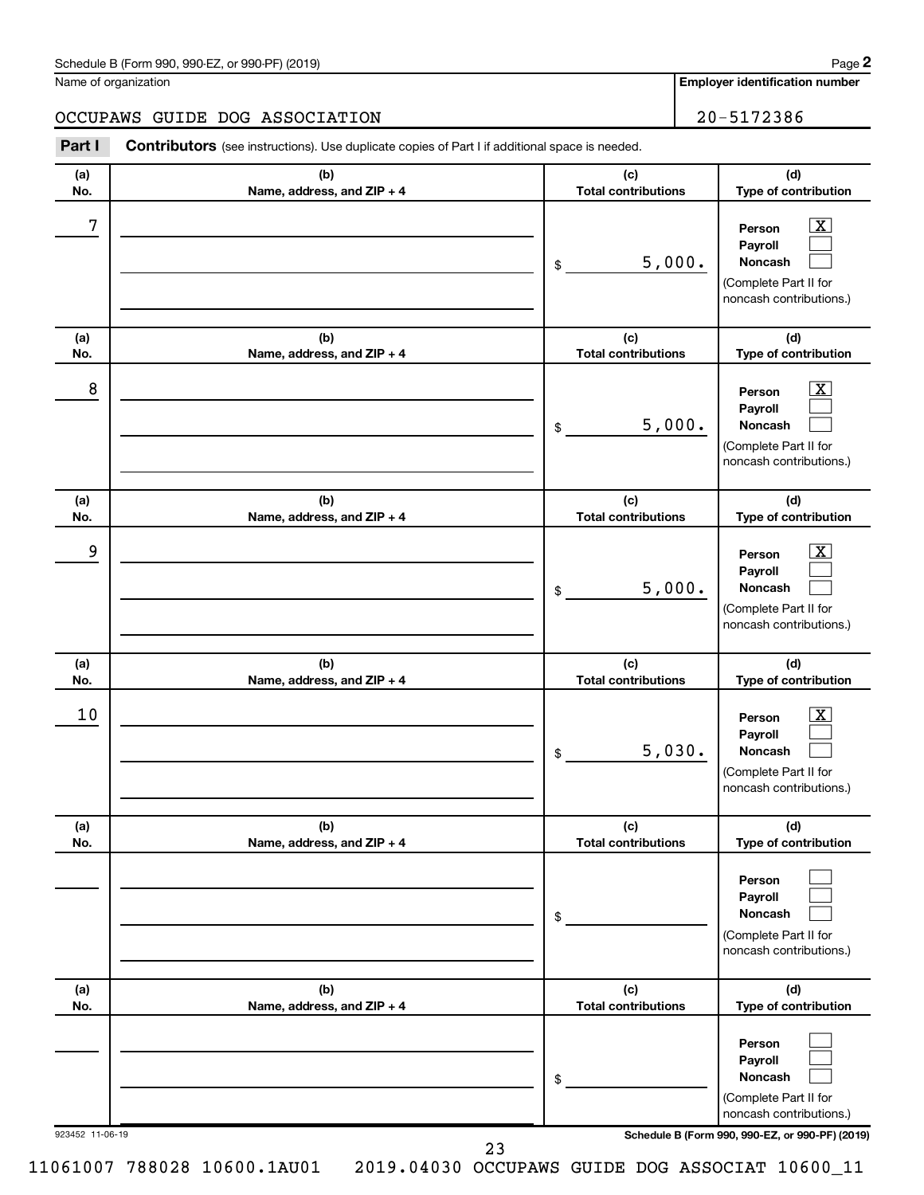| Schedule B (Form 990, 990-EZ, or 990-PF) (2019)<br>$\sqrt{2}$ and $\sqrt{2}$ and $\sqrt{2}$ and $\sqrt{2}$ and $\sqrt{2}$ and $\sqrt{2}$ and $\sqrt{2}$ and $\sqrt{2}$ and $\sqrt{2}$ and $\sqrt{2}$ and $\sqrt{2}$ and $\sqrt{2}$ and $\sqrt{2}$ and $\sqrt{2}$ and $\sqrt{2}$ and $\sqrt{2}$ and $\sqrt{2}$ and $\sqrt{2}$ and $\sqrt{2$ | Page |
|--------------------------------------------------------------------------------------------------------------------------------------------------------------------------------------------------------------------------------------------------------------------------------------------------------------------------------------------|------|
|--------------------------------------------------------------------------------------------------------------------------------------------------------------------------------------------------------------------------------------------------------------------------------------------------------------------------------------------|------|

Name of organization

**Employer identification number**

#### OCCUPAWS GUIDE DOG ASSOCIATION 20-5172386

**Part I** Contributors (see instructions). Use duplicate copies of Part I if additional space is needed.

| (a)<br>No.      | (b)<br>Name, address, and ZIP + 4 | (c)<br><b>Total contributions</b> | (d)<br>Type of contribution                                                                                                         |
|-----------------|-----------------------------------|-----------------------------------|-------------------------------------------------------------------------------------------------------------------------------------|
| 7               |                                   | 5,000.<br>\$                      | $\overline{\mathbf{X}}$<br>Person<br>Payroll<br><b>Noncash</b><br>(Complete Part II for<br>noncash contributions.)                  |
| (a)<br>No.      | (b)<br>Name, address, and ZIP + 4 | (c)<br><b>Total contributions</b> | (d)<br>Type of contribution                                                                                                         |
| 8               |                                   | 5,000.<br>\$                      | $\overline{\mathbf{X}}$<br>Person<br>Payroll<br>Noncash<br>(Complete Part II for<br>noncash contributions.)                         |
| (a)<br>No.      | (b)<br>Name, address, and ZIP + 4 | (c)<br><b>Total contributions</b> | (d)<br>Type of contribution                                                                                                         |
| 9               |                                   | 5,000.<br>\$                      | $\overline{\mathbf{X}}$<br>Person<br>Payroll<br>Noncash<br>(Complete Part II for<br>noncash contributions.)                         |
| (a)<br>No.      | (b)<br>Name, address, and ZIP + 4 | (c)<br><b>Total contributions</b> | (d)<br>Type of contribution                                                                                                         |
| 10              |                                   | 5,030.<br>\$                      | $\overline{\text{X}}$<br>Person<br>Payroll<br>Noncash<br>(Complete Part II for<br>noncash contributions.)                           |
| (a)<br>No.      | (b)<br>Name, address, and ZIP + 4 | (c)<br><b>Total contributions</b> | (d)<br>Type of contribution                                                                                                         |
|                 |                                   | \$                                | Person<br>Payroll<br>Noncash<br>(Complete Part II for<br>noncash contributions.)                                                    |
| (a)<br>No.      | (b)<br>Name, address, and ZIP + 4 | (c)<br><b>Total contributions</b> | (d)<br>Type of contribution                                                                                                         |
| 923452 11-06-19 |                                   | \$                                | Person<br>Payroll<br>Noncash<br>(Complete Part II for<br>noncash contributions.)<br>Schedule B (Form 990, 990-EZ, or 990-PF) (2019) |
|                 | 23                                |                                   |                                                                                                                                     |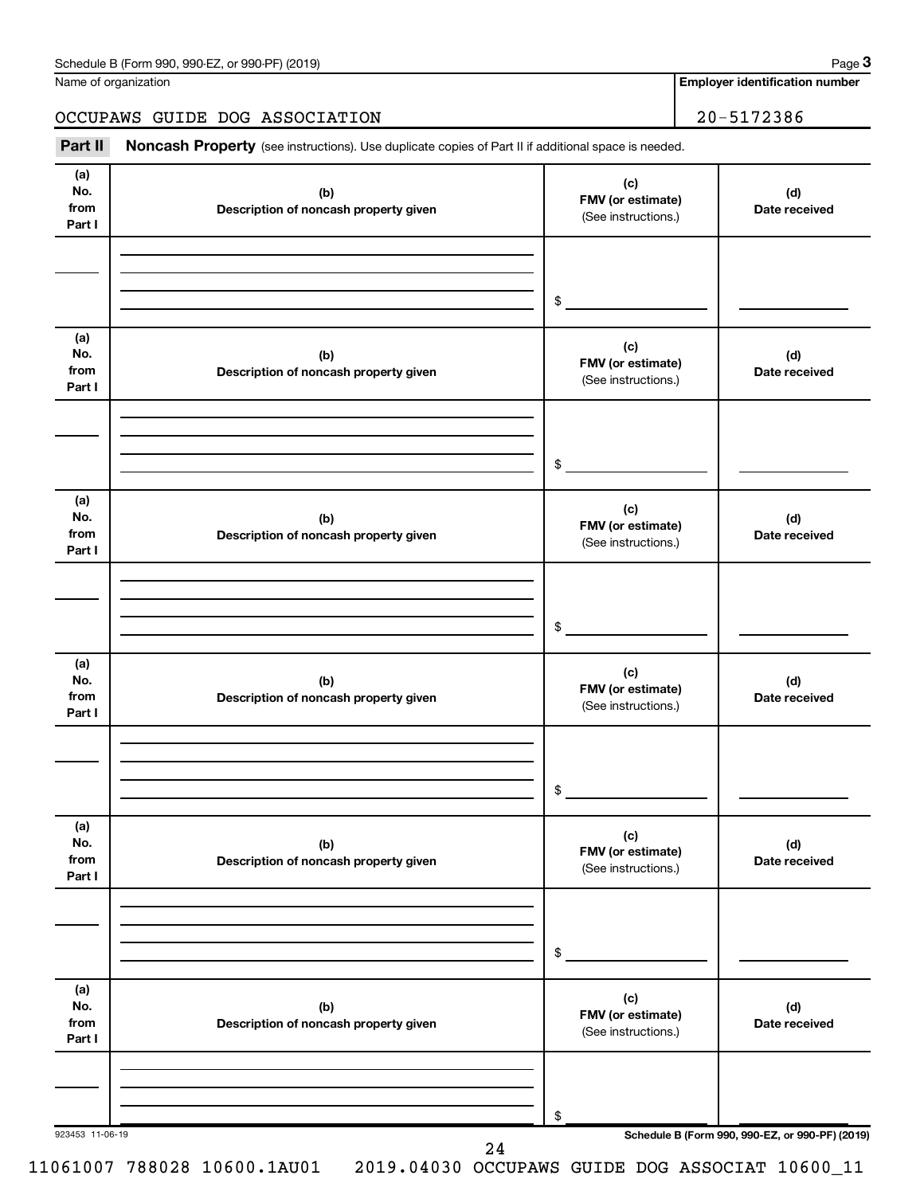| Schedule B (Form 990, 990-EZ, or 990-PF) (2019) | Page |
|-------------------------------------------------|------|
|-------------------------------------------------|------|

|  | Name of organization |
|--|----------------------|
|--|----------------------|

**Employer identification number**

OCCUPAWS GUIDE DOG ASSOCIATION 20-5172386

#### 923453 11-06-19 **Schedule B (Form 990, 990-EZ, or 990-PF) (2019) (a) No. from Part I (c) FMV (or estimate) (b) Description of noncash property given (d) Date received (a) No. from Part I (c) FMV (or estimate) (b) Description of noncash property given (d) Date received (a) No. from Part I (c) FMV (or estimate) (b) Description of noncash property given (d) Date received (a) No. from Part I (c) FMV (or estimate) (b) Description of noncash property given (d) Date received (a) No. from Part I (c) FMV (or estimate) (b) Description of noncash property given (d) Date received (a) No. from Part I (c) FMV (or estimate) (b) Description of noncash property given (d) Date received** Part II Noncash Property (see instructions). Use duplicate copies of Part II if additional space is needed. (See instructions.) \$ (See instructions.) \$ (See instructions.) \$ (See instructions.) \$ (See instructions.) \$ (See instructions.) \$ 24

**3**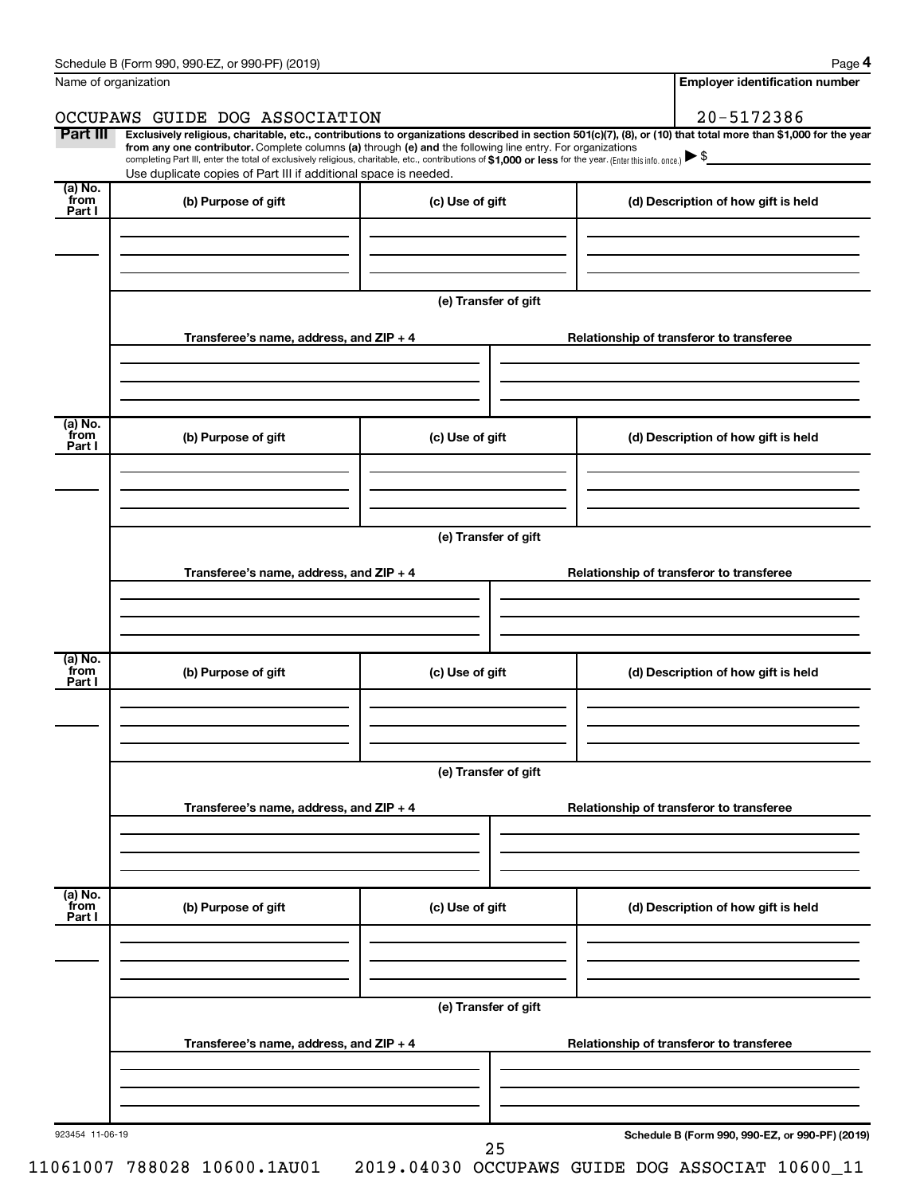| Name of organization      |                                                                                                                                                                                                                                                                                                 |                      | <b>Employer identification number</b>           |
|---------------------------|-------------------------------------------------------------------------------------------------------------------------------------------------------------------------------------------------------------------------------------------------------------------------------------------------|----------------------|-------------------------------------------------|
|                           | OCCUPAWS GUIDE DOG ASSOCIATION                                                                                                                                                                                                                                                                  |                      | 20-5172386                                      |
| Part III                  | Exclusively religious, charitable, etc., contributions to organizations described in section 501(c)(7), (8), or (10) that total more than \$1,000 for the year                                                                                                                                  |                      |                                                 |
|                           | from any one contributor. Complete columns (a) through (e) and the following line entry. For organizations<br>completing Part III, enter the total of exclusively religious, charitable, etc., contributions of \$1,000 or less for the year. (Enter this info. once.) $\blacktriangleright$ \$ |                      |                                                 |
| (a) No.                   | Use duplicate copies of Part III if additional space is needed.                                                                                                                                                                                                                                 |                      |                                                 |
| from                      | (b) Purpose of gift                                                                                                                                                                                                                                                                             | (c) Use of gift      | (d) Description of how gift is held             |
| Part I                    |                                                                                                                                                                                                                                                                                                 |                      |                                                 |
|                           |                                                                                                                                                                                                                                                                                                 |                      |                                                 |
|                           |                                                                                                                                                                                                                                                                                                 |                      |                                                 |
|                           |                                                                                                                                                                                                                                                                                                 | (e) Transfer of gift |                                                 |
|                           |                                                                                                                                                                                                                                                                                                 |                      |                                                 |
|                           | Transferee's name, address, and $ZIP + 4$                                                                                                                                                                                                                                                       |                      | Relationship of transferor to transferee        |
|                           |                                                                                                                                                                                                                                                                                                 |                      |                                                 |
|                           |                                                                                                                                                                                                                                                                                                 |                      |                                                 |
|                           |                                                                                                                                                                                                                                                                                                 |                      |                                                 |
| (a) No.<br>from<br>Part I | (b) Purpose of gift                                                                                                                                                                                                                                                                             | (c) Use of gift      | (d) Description of how gift is held             |
|                           |                                                                                                                                                                                                                                                                                                 |                      |                                                 |
|                           |                                                                                                                                                                                                                                                                                                 |                      |                                                 |
|                           |                                                                                                                                                                                                                                                                                                 |                      |                                                 |
|                           |                                                                                                                                                                                                                                                                                                 | (e) Transfer of gift |                                                 |
|                           |                                                                                                                                                                                                                                                                                                 |                      |                                                 |
|                           | Transferee's name, address, and ZIP + 4                                                                                                                                                                                                                                                         |                      | Relationship of transferor to transferee        |
|                           |                                                                                                                                                                                                                                                                                                 |                      |                                                 |
|                           |                                                                                                                                                                                                                                                                                                 |                      |                                                 |
| (a) No.                   |                                                                                                                                                                                                                                                                                                 |                      |                                                 |
| from<br>Part I            | (b) Purpose of gift                                                                                                                                                                                                                                                                             | (c) Use of gift      | (d) Description of how gift is held             |
|                           |                                                                                                                                                                                                                                                                                                 |                      |                                                 |
|                           |                                                                                                                                                                                                                                                                                                 |                      |                                                 |
|                           |                                                                                                                                                                                                                                                                                                 |                      |                                                 |
|                           |                                                                                                                                                                                                                                                                                                 | (e) Transfer of gift |                                                 |
|                           | Transferee's name, address, and ZIP + 4                                                                                                                                                                                                                                                         |                      | Relationship of transferor to transferee        |
|                           |                                                                                                                                                                                                                                                                                                 |                      |                                                 |
|                           |                                                                                                                                                                                                                                                                                                 |                      |                                                 |
|                           |                                                                                                                                                                                                                                                                                                 |                      |                                                 |
| (a) No.<br>from           | (b) Purpose of gift                                                                                                                                                                                                                                                                             | (c) Use of gift      | (d) Description of how gift is held             |
| Part I                    |                                                                                                                                                                                                                                                                                                 |                      |                                                 |
|                           |                                                                                                                                                                                                                                                                                                 |                      |                                                 |
|                           |                                                                                                                                                                                                                                                                                                 |                      |                                                 |
|                           |                                                                                                                                                                                                                                                                                                 | (e) Transfer of gift |                                                 |
|                           |                                                                                                                                                                                                                                                                                                 |                      |                                                 |
|                           | Transferee's name, address, and ZIP + 4                                                                                                                                                                                                                                                         |                      | Relationship of transferor to transferee        |
|                           |                                                                                                                                                                                                                                                                                                 |                      |                                                 |
|                           |                                                                                                                                                                                                                                                                                                 |                      |                                                 |
| 923454 11-06-19           |                                                                                                                                                                                                                                                                                                 |                      |                                                 |
|                           |                                                                                                                                                                                                                                                                                                 |                      | Schedule B (Form 990, 990-EZ, or 990-PF) (2019) |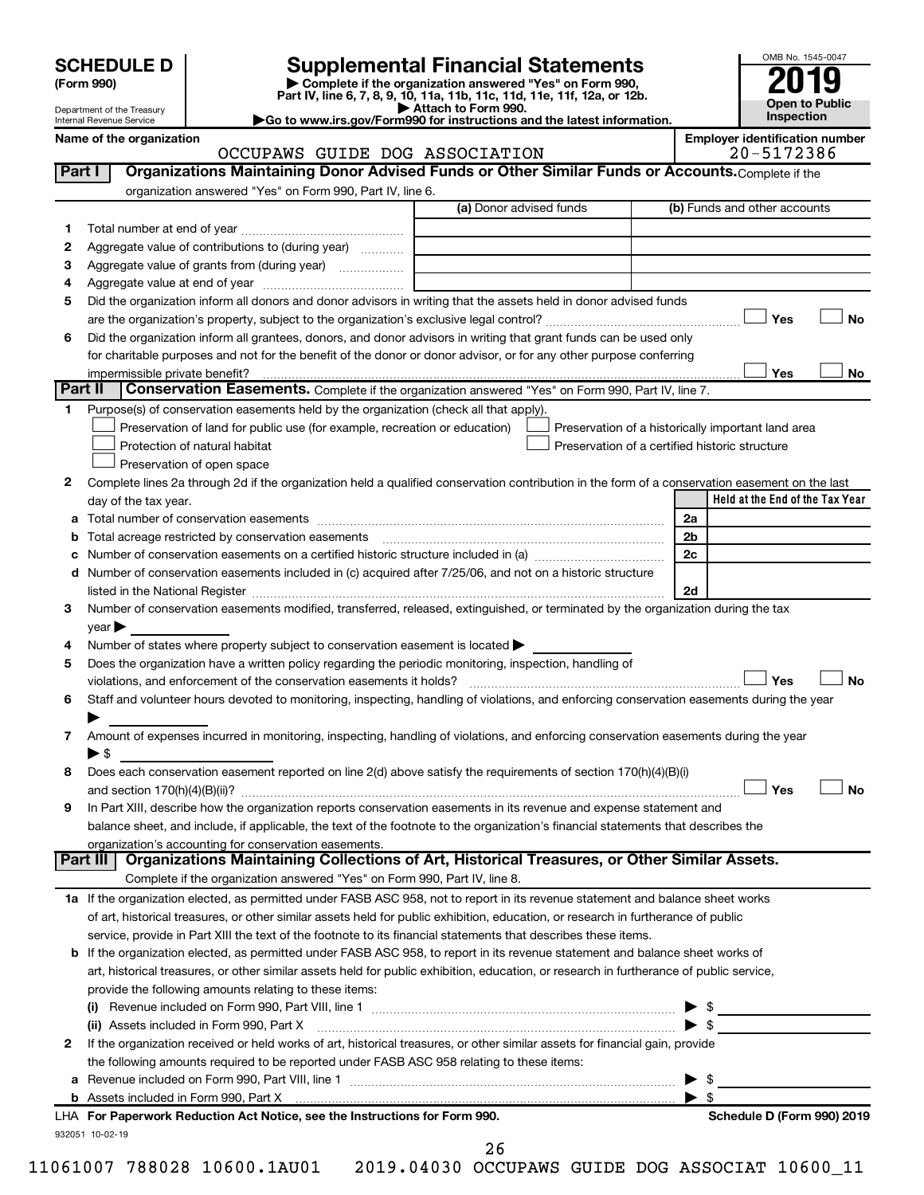| <b>SCHEDULE D</b> |  |
|-------------------|--|
|-------------------|--|

# **SCHEDULE D Supplemental Financial Statements**<br> **Form 990 2019**<br> **Part IV** line 6.7.8.9.10, 11a, 11b, 11d, 11d, 11d, 11d, 11d, 12a, 0r, 12b

**(Form 990) | Complete if the organization answered "Yes" on Form 990, Part IV, line 6, 7, 8, 9, 10, 11a, 11b, 11c, 11d, 11e, 11f, 12a, or 12b.**

**| Attach to Form 990. |Go to www.irs.gov/Form990 for instructions and the latest information.**



Department of the Treasury Internal Revenue Service

#### Name of the organization<br>**CCCUPAWS** GUIDE DOG ASSOCIATION **Employer identification number**<br>20-5172386 OCCUPAWS GUIDE DOG ASSOCIATION

| Part I                                                                                                                                                                                                                                                                                                                                                                                                                                                                                                                                                                                                                                                                                                                                                                                                                                                                                                                                                                                                                                                                                                                                                                                                                                                                                                                                                                                                                                                                                                                                                                                                                                                                                                                                                                                                                                                                                                                                                                                                                                                                                                                                                                                                                                                                                                                                                                                                                                                                                                                                                                                                                                                                                                                                                                                                                                                                                                                                                                                                                                                                                                                                                                                                                                                                                                                                                                                                                                                                                                                                                                                                                                                                                                                          | Organizations Maintaining Donor Advised Funds or Other Similar Funds or Accounts. Complete if the                |                         |                         |                                 |
|---------------------------------------------------------------------------------------------------------------------------------------------------------------------------------------------------------------------------------------------------------------------------------------------------------------------------------------------------------------------------------------------------------------------------------------------------------------------------------------------------------------------------------------------------------------------------------------------------------------------------------------------------------------------------------------------------------------------------------------------------------------------------------------------------------------------------------------------------------------------------------------------------------------------------------------------------------------------------------------------------------------------------------------------------------------------------------------------------------------------------------------------------------------------------------------------------------------------------------------------------------------------------------------------------------------------------------------------------------------------------------------------------------------------------------------------------------------------------------------------------------------------------------------------------------------------------------------------------------------------------------------------------------------------------------------------------------------------------------------------------------------------------------------------------------------------------------------------------------------------------------------------------------------------------------------------------------------------------------------------------------------------------------------------------------------------------------------------------------------------------------------------------------------------------------------------------------------------------------------------------------------------------------------------------------------------------------------------------------------------------------------------------------------------------------------------------------------------------------------------------------------------------------------------------------------------------------------------------------------------------------------------------------------------------------------------------------------------------------------------------------------------------------------------------------------------------------------------------------------------------------------------------------------------------------------------------------------------------------------------------------------------------------------------------------------------------------------------------------------------------------------------------------------------------------------------------------------------------------------------------------------------------------------------------------------------------------------------------------------------------------------------------------------------------------------------------------------------------------------------------------------------------------------------------------------------------------------------------------------------------------------------------------------------------------------------------------------------------------|------------------------------------------------------------------------------------------------------------------|-------------------------|-------------------------|---------------------------------|
|                                                                                                                                                                                                                                                                                                                                                                                                                                                                                                                                                                                                                                                                                                                                                                                                                                                                                                                                                                                                                                                                                                                                                                                                                                                                                                                                                                                                                                                                                                                                                                                                                                                                                                                                                                                                                                                                                                                                                                                                                                                                                                                                                                                                                                                                                                                                                                                                                                                                                                                                                                                                                                                                                                                                                                                                                                                                                                                                                                                                                                                                                                                                                                                                                                                                                                                                                                                                                                                                                                                                                                                                                                                                                                                                 | organization answered "Yes" on Form 990, Part IV, line 6.                                                        | (a) Donor advised funds |                         | (b) Funds and other accounts    |
| 1                                                                                                                                                                                                                                                                                                                                                                                                                                                                                                                                                                                                                                                                                                                                                                                                                                                                                                                                                                                                                                                                                                                                                                                                                                                                                                                                                                                                                                                                                                                                                                                                                                                                                                                                                                                                                                                                                                                                                                                                                                                                                                                                                                                                                                                                                                                                                                                                                                                                                                                                                                                                                                                                                                                                                                                                                                                                                                                                                                                                                                                                                                                                                                                                                                                                                                                                                                                                                                                                                                                                                                                                                                                                                                                               |                                                                                                                  |                         |                         |                                 |
| 2                                                                                                                                                                                                                                                                                                                                                                                                                                                                                                                                                                                                                                                                                                                                                                                                                                                                                                                                                                                                                                                                                                                                                                                                                                                                                                                                                                                                                                                                                                                                                                                                                                                                                                                                                                                                                                                                                                                                                                                                                                                                                                                                                                                                                                                                                                                                                                                                                                                                                                                                                                                                                                                                                                                                                                                                                                                                                                                                                                                                                                                                                                                                                                                                                                                                                                                                                                                                                                                                                                                                                                                                                                                                                                                               | Aggregate value of contributions to (during year)                                                                |                         |                         |                                 |
| з                                                                                                                                                                                                                                                                                                                                                                                                                                                                                                                                                                                                                                                                                                                                                                                                                                                                                                                                                                                                                                                                                                                                                                                                                                                                                                                                                                                                                                                                                                                                                                                                                                                                                                                                                                                                                                                                                                                                                                                                                                                                                                                                                                                                                                                                                                                                                                                                                                                                                                                                                                                                                                                                                                                                                                                                                                                                                                                                                                                                                                                                                                                                                                                                                                                                                                                                                                                                                                                                                                                                                                                                                                                                                                                               |                                                                                                                  |                         |                         |                                 |
| 4                                                                                                                                                                                                                                                                                                                                                                                                                                                                                                                                                                                                                                                                                                                                                                                                                                                                                                                                                                                                                                                                                                                                                                                                                                                                                                                                                                                                                                                                                                                                                                                                                                                                                                                                                                                                                                                                                                                                                                                                                                                                                                                                                                                                                                                                                                                                                                                                                                                                                                                                                                                                                                                                                                                                                                                                                                                                                                                                                                                                                                                                                                                                                                                                                                                                                                                                                                                                                                                                                                                                                                                                                                                                                                                               |                                                                                                                  |                         |                         |                                 |
| 5                                                                                                                                                                                                                                                                                                                                                                                                                                                                                                                                                                                                                                                                                                                                                                                                                                                                                                                                                                                                                                                                                                                                                                                                                                                                                                                                                                                                                                                                                                                                                                                                                                                                                                                                                                                                                                                                                                                                                                                                                                                                                                                                                                                                                                                                                                                                                                                                                                                                                                                                                                                                                                                                                                                                                                                                                                                                                                                                                                                                                                                                                                                                                                                                                                                                                                                                                                                                                                                                                                                                                                                                                                                                                                                               | Did the organization inform all donors and donor advisors in writing that the assets held in donor advised funds |                         |                         |                                 |
|                                                                                                                                                                                                                                                                                                                                                                                                                                                                                                                                                                                                                                                                                                                                                                                                                                                                                                                                                                                                                                                                                                                                                                                                                                                                                                                                                                                                                                                                                                                                                                                                                                                                                                                                                                                                                                                                                                                                                                                                                                                                                                                                                                                                                                                                                                                                                                                                                                                                                                                                                                                                                                                                                                                                                                                                                                                                                                                                                                                                                                                                                                                                                                                                                                                                                                                                                                                                                                                                                                                                                                                                                                                                                                                                 |                                                                                                                  |                         |                         | Yes<br>No                       |
|                                                                                                                                                                                                                                                                                                                                                                                                                                                                                                                                                                                                                                                                                                                                                                                                                                                                                                                                                                                                                                                                                                                                                                                                                                                                                                                                                                                                                                                                                                                                                                                                                                                                                                                                                                                                                                                                                                                                                                                                                                                                                                                                                                                                                                                                                                                                                                                                                                                                                                                                                                                                                                                                                                                                                                                                                                                                                                                                                                                                                                                                                                                                                                                                                                                                                                                                                                                                                                                                                                                                                                                                                                                                                                                                 |                                                                                                                  |                         |                         |                                 |
|                                                                                                                                                                                                                                                                                                                                                                                                                                                                                                                                                                                                                                                                                                                                                                                                                                                                                                                                                                                                                                                                                                                                                                                                                                                                                                                                                                                                                                                                                                                                                                                                                                                                                                                                                                                                                                                                                                                                                                                                                                                                                                                                                                                                                                                                                                                                                                                                                                                                                                                                                                                                                                                                                                                                                                                                                                                                                                                                                                                                                                                                                                                                                                                                                                                                                                                                                                                                                                                                                                                                                                                                                                                                                                                                 |                                                                                                                  |                         |                         |                                 |
|                                                                                                                                                                                                                                                                                                                                                                                                                                                                                                                                                                                                                                                                                                                                                                                                                                                                                                                                                                                                                                                                                                                                                                                                                                                                                                                                                                                                                                                                                                                                                                                                                                                                                                                                                                                                                                                                                                                                                                                                                                                                                                                                                                                                                                                                                                                                                                                                                                                                                                                                                                                                                                                                                                                                                                                                                                                                                                                                                                                                                                                                                                                                                                                                                                                                                                                                                                                                                                                                                                                                                                                                                                                                                                                                 |                                                                                                                  |                         |                         | No                              |
|                                                                                                                                                                                                                                                                                                                                                                                                                                                                                                                                                                                                                                                                                                                                                                                                                                                                                                                                                                                                                                                                                                                                                                                                                                                                                                                                                                                                                                                                                                                                                                                                                                                                                                                                                                                                                                                                                                                                                                                                                                                                                                                                                                                                                                                                                                                                                                                                                                                                                                                                                                                                                                                                                                                                                                                                                                                                                                                                                                                                                                                                                                                                                                                                                                                                                                                                                                                                                                                                                                                                                                                                                                                                                                                                 |                                                                                                                  |                         |                         |                                 |
| 1.                                                                                                                                                                                                                                                                                                                                                                                                                                                                                                                                                                                                                                                                                                                                                                                                                                                                                                                                                                                                                                                                                                                                                                                                                                                                                                                                                                                                                                                                                                                                                                                                                                                                                                                                                                                                                                                                                                                                                                                                                                                                                                                                                                                                                                                                                                                                                                                                                                                                                                                                                                                                                                                                                                                                                                                                                                                                                                                                                                                                                                                                                                                                                                                                                                                                                                                                                                                                                                                                                                                                                                                                                                                                                                                              |                                                                                                                  |                         |                         |                                 |
|                                                                                                                                                                                                                                                                                                                                                                                                                                                                                                                                                                                                                                                                                                                                                                                                                                                                                                                                                                                                                                                                                                                                                                                                                                                                                                                                                                                                                                                                                                                                                                                                                                                                                                                                                                                                                                                                                                                                                                                                                                                                                                                                                                                                                                                                                                                                                                                                                                                                                                                                                                                                                                                                                                                                                                                                                                                                                                                                                                                                                                                                                                                                                                                                                                                                                                                                                                                                                                                                                                                                                                                                                                                                                                                                 |                                                                                                                  |                         |                         |                                 |
|                                                                                                                                                                                                                                                                                                                                                                                                                                                                                                                                                                                                                                                                                                                                                                                                                                                                                                                                                                                                                                                                                                                                                                                                                                                                                                                                                                                                                                                                                                                                                                                                                                                                                                                                                                                                                                                                                                                                                                                                                                                                                                                                                                                                                                                                                                                                                                                                                                                                                                                                                                                                                                                                                                                                                                                                                                                                                                                                                                                                                                                                                                                                                                                                                                                                                                                                                                                                                                                                                                                                                                                                                                                                                                                                 |                                                                                                                  |                         |                         |                                 |
|                                                                                                                                                                                                                                                                                                                                                                                                                                                                                                                                                                                                                                                                                                                                                                                                                                                                                                                                                                                                                                                                                                                                                                                                                                                                                                                                                                                                                                                                                                                                                                                                                                                                                                                                                                                                                                                                                                                                                                                                                                                                                                                                                                                                                                                                                                                                                                                                                                                                                                                                                                                                                                                                                                                                                                                                                                                                                                                                                                                                                                                                                                                                                                                                                                                                                                                                                                                                                                                                                                                                                                                                                                                                                                                                 |                                                                                                                  |                         |                         |                                 |
|                                                                                                                                                                                                                                                                                                                                                                                                                                                                                                                                                                                                                                                                                                                                                                                                                                                                                                                                                                                                                                                                                                                                                                                                                                                                                                                                                                                                                                                                                                                                                                                                                                                                                                                                                                                                                                                                                                                                                                                                                                                                                                                                                                                                                                                                                                                                                                                                                                                                                                                                                                                                                                                                                                                                                                                                                                                                                                                                                                                                                                                                                                                                                                                                                                                                                                                                                                                                                                                                                                                                                                                                                                                                                                                                 |                                                                                                                  |                         |                         |                                 |
|                                                                                                                                                                                                                                                                                                                                                                                                                                                                                                                                                                                                                                                                                                                                                                                                                                                                                                                                                                                                                                                                                                                                                                                                                                                                                                                                                                                                                                                                                                                                                                                                                                                                                                                                                                                                                                                                                                                                                                                                                                                                                                                                                                                                                                                                                                                                                                                                                                                                                                                                                                                                                                                                                                                                                                                                                                                                                                                                                                                                                                                                                                                                                                                                                                                                                                                                                                                                                                                                                                                                                                                                                                                                                                                                 |                                                                                                                  |                         |                         | Held at the End of the Tax Year |
|                                                                                                                                                                                                                                                                                                                                                                                                                                                                                                                                                                                                                                                                                                                                                                                                                                                                                                                                                                                                                                                                                                                                                                                                                                                                                                                                                                                                                                                                                                                                                                                                                                                                                                                                                                                                                                                                                                                                                                                                                                                                                                                                                                                                                                                                                                                                                                                                                                                                                                                                                                                                                                                                                                                                                                                                                                                                                                                                                                                                                                                                                                                                                                                                                                                                                                                                                                                                                                                                                                                                                                                                                                                                                                                                 |                                                                                                                  |                         |                         |                                 |
|                                                                                                                                                                                                                                                                                                                                                                                                                                                                                                                                                                                                                                                                                                                                                                                                                                                                                                                                                                                                                                                                                                                                                                                                                                                                                                                                                                                                                                                                                                                                                                                                                                                                                                                                                                                                                                                                                                                                                                                                                                                                                                                                                                                                                                                                                                                                                                                                                                                                                                                                                                                                                                                                                                                                                                                                                                                                                                                                                                                                                                                                                                                                                                                                                                                                                                                                                                                                                                                                                                                                                                                                                                                                                                                                 |                                                                                                                  |                         |                         |                                 |
|                                                                                                                                                                                                                                                                                                                                                                                                                                                                                                                                                                                                                                                                                                                                                                                                                                                                                                                                                                                                                                                                                                                                                                                                                                                                                                                                                                                                                                                                                                                                                                                                                                                                                                                                                                                                                                                                                                                                                                                                                                                                                                                                                                                                                                                                                                                                                                                                                                                                                                                                                                                                                                                                                                                                                                                                                                                                                                                                                                                                                                                                                                                                                                                                                                                                                                                                                                                                                                                                                                                                                                                                                                                                                                                                 |                                                                                                                  |                         |                         |                                 |
|                                                                                                                                                                                                                                                                                                                                                                                                                                                                                                                                                                                                                                                                                                                                                                                                                                                                                                                                                                                                                                                                                                                                                                                                                                                                                                                                                                                                                                                                                                                                                                                                                                                                                                                                                                                                                                                                                                                                                                                                                                                                                                                                                                                                                                                                                                                                                                                                                                                                                                                                                                                                                                                                                                                                                                                                                                                                                                                                                                                                                                                                                                                                                                                                                                                                                                                                                                                                                                                                                                                                                                                                                                                                                                                                 |                                                                                                                  |                         |                         |                                 |
|                                                                                                                                                                                                                                                                                                                                                                                                                                                                                                                                                                                                                                                                                                                                                                                                                                                                                                                                                                                                                                                                                                                                                                                                                                                                                                                                                                                                                                                                                                                                                                                                                                                                                                                                                                                                                                                                                                                                                                                                                                                                                                                                                                                                                                                                                                                                                                                                                                                                                                                                                                                                                                                                                                                                                                                                                                                                                                                                                                                                                                                                                                                                                                                                                                                                                                                                                                                                                                                                                                                                                                                                                                                                                                                                 |                                                                                                                  |                         |                         |                                 |
|                                                                                                                                                                                                                                                                                                                                                                                                                                                                                                                                                                                                                                                                                                                                                                                                                                                                                                                                                                                                                                                                                                                                                                                                                                                                                                                                                                                                                                                                                                                                                                                                                                                                                                                                                                                                                                                                                                                                                                                                                                                                                                                                                                                                                                                                                                                                                                                                                                                                                                                                                                                                                                                                                                                                                                                                                                                                                                                                                                                                                                                                                                                                                                                                                                                                                                                                                                                                                                                                                                                                                                                                                                                                                                                                 |                                                                                                                  |                         |                         |                                 |
|                                                                                                                                                                                                                                                                                                                                                                                                                                                                                                                                                                                                                                                                                                                                                                                                                                                                                                                                                                                                                                                                                                                                                                                                                                                                                                                                                                                                                                                                                                                                                                                                                                                                                                                                                                                                                                                                                                                                                                                                                                                                                                                                                                                                                                                                                                                                                                                                                                                                                                                                                                                                                                                                                                                                                                                                                                                                                                                                                                                                                                                                                                                                                                                                                                                                                                                                                                                                                                                                                                                                                                                                                                                                                                                                 |                                                                                                                  |                         |                         |                                 |
|                                                                                                                                                                                                                                                                                                                                                                                                                                                                                                                                                                                                                                                                                                                                                                                                                                                                                                                                                                                                                                                                                                                                                                                                                                                                                                                                                                                                                                                                                                                                                                                                                                                                                                                                                                                                                                                                                                                                                                                                                                                                                                                                                                                                                                                                                                                                                                                                                                                                                                                                                                                                                                                                                                                                                                                                                                                                                                                                                                                                                                                                                                                                                                                                                                                                                                                                                                                                                                                                                                                                                                                                                                                                                                                                 |                                                                                                                  |                         |                         |                                 |
|                                                                                                                                                                                                                                                                                                                                                                                                                                                                                                                                                                                                                                                                                                                                                                                                                                                                                                                                                                                                                                                                                                                                                                                                                                                                                                                                                                                                                                                                                                                                                                                                                                                                                                                                                                                                                                                                                                                                                                                                                                                                                                                                                                                                                                                                                                                                                                                                                                                                                                                                                                                                                                                                                                                                                                                                                                                                                                                                                                                                                                                                                                                                                                                                                                                                                                                                                                                                                                                                                                                                                                                                                                                                                                                                 |                                                                                                                  |                         |                         |                                 |
|                                                                                                                                                                                                                                                                                                                                                                                                                                                                                                                                                                                                                                                                                                                                                                                                                                                                                                                                                                                                                                                                                                                                                                                                                                                                                                                                                                                                                                                                                                                                                                                                                                                                                                                                                                                                                                                                                                                                                                                                                                                                                                                                                                                                                                                                                                                                                                                                                                                                                                                                                                                                                                                                                                                                                                                                                                                                                                                                                                                                                                                                                                                                                                                                                                                                                                                                                                                                                                                                                                                                                                                                                                                                                                                                 |                                                                                                                  |                         |                         | <b>No</b>                       |
|                                                                                                                                                                                                                                                                                                                                                                                                                                                                                                                                                                                                                                                                                                                                                                                                                                                                                                                                                                                                                                                                                                                                                                                                                                                                                                                                                                                                                                                                                                                                                                                                                                                                                                                                                                                                                                                                                                                                                                                                                                                                                                                                                                                                                                                                                                                                                                                                                                                                                                                                                                                                                                                                                                                                                                                                                                                                                                                                                                                                                                                                                                                                                                                                                                                                                                                                                                                                                                                                                                                                                                                                                                                                                                                                 |                                                                                                                  |                         |                         |                                 |
|                                                                                                                                                                                                                                                                                                                                                                                                                                                                                                                                                                                                                                                                                                                                                                                                                                                                                                                                                                                                                                                                                                                                                                                                                                                                                                                                                                                                                                                                                                                                                                                                                                                                                                                                                                                                                                                                                                                                                                                                                                                                                                                                                                                                                                                                                                                                                                                                                                                                                                                                                                                                                                                                                                                                                                                                                                                                                                                                                                                                                                                                                                                                                                                                                                                                                                                                                                                                                                                                                                                                                                                                                                                                                                                                 |                                                                                                                  |                         |                         |                                 |
|                                                                                                                                                                                                                                                                                                                                                                                                                                                                                                                                                                                                                                                                                                                                                                                                                                                                                                                                                                                                                                                                                                                                                                                                                                                                                                                                                                                                                                                                                                                                                                                                                                                                                                                                                                                                                                                                                                                                                                                                                                                                                                                                                                                                                                                                                                                                                                                                                                                                                                                                                                                                                                                                                                                                                                                                                                                                                                                                                                                                                                                                                                                                                                                                                                                                                                                                                                                                                                                                                                                                                                                                                                                                                                                                 |                                                                                                                  |                         |                         |                                 |
|                                                                                                                                                                                                                                                                                                                                                                                                                                                                                                                                                                                                                                                                                                                                                                                                                                                                                                                                                                                                                                                                                                                                                                                                                                                                                                                                                                                                                                                                                                                                                                                                                                                                                                                                                                                                                                                                                                                                                                                                                                                                                                                                                                                                                                                                                                                                                                                                                                                                                                                                                                                                                                                                                                                                                                                                                                                                                                                                                                                                                                                                                                                                                                                                                                                                                                                                                                                                                                                                                                                                                                                                                                                                                                                                 |                                                                                                                  |                         |                         |                                 |
| 8                                                                                                                                                                                                                                                                                                                                                                                                                                                                                                                                                                                                                                                                                                                                                                                                                                                                                                                                                                                                                                                                                                                                                                                                                                                                                                                                                                                                                                                                                                                                                                                                                                                                                                                                                                                                                                                                                                                                                                                                                                                                                                                                                                                                                                                                                                                                                                                                                                                                                                                                                                                                                                                                                                                                                                                                                                                                                                                                                                                                                                                                                                                                                                                                                                                                                                                                                                                                                                                                                                                                                                                                                                                                                                                               |                                                                                                                  |                         |                         |                                 |
|                                                                                                                                                                                                                                                                                                                                                                                                                                                                                                                                                                                                                                                                                                                                                                                                                                                                                                                                                                                                                                                                                                                                                                                                                                                                                                                                                                                                                                                                                                                                                                                                                                                                                                                                                                                                                                                                                                                                                                                                                                                                                                                                                                                                                                                                                                                                                                                                                                                                                                                                                                                                                                                                                                                                                                                                                                                                                                                                                                                                                                                                                                                                                                                                                                                                                                                                                                                                                                                                                                                                                                                                                                                                                                                                 |                                                                                                                  |                         |                         | Yes<br><b>No</b>                |
| 9                                                                                                                                                                                                                                                                                                                                                                                                                                                                                                                                                                                                                                                                                                                                                                                                                                                                                                                                                                                                                                                                                                                                                                                                                                                                                                                                                                                                                                                                                                                                                                                                                                                                                                                                                                                                                                                                                                                                                                                                                                                                                                                                                                                                                                                                                                                                                                                                                                                                                                                                                                                                                                                                                                                                                                                                                                                                                                                                                                                                                                                                                                                                                                                                                                                                                                                                                                                                                                                                                                                                                                                                                                                                                                                               |                                                                                                                  |                         |                         |                                 |
|                                                                                                                                                                                                                                                                                                                                                                                                                                                                                                                                                                                                                                                                                                                                                                                                                                                                                                                                                                                                                                                                                                                                                                                                                                                                                                                                                                                                                                                                                                                                                                                                                                                                                                                                                                                                                                                                                                                                                                                                                                                                                                                                                                                                                                                                                                                                                                                                                                                                                                                                                                                                                                                                                                                                                                                                                                                                                                                                                                                                                                                                                                                                                                                                                                                                                                                                                                                                                                                                                                                                                                                                                                                                                                                                 |                                                                                                                  |                         |                         |                                 |
|                                                                                                                                                                                                                                                                                                                                                                                                                                                                                                                                                                                                                                                                                                                                                                                                                                                                                                                                                                                                                                                                                                                                                                                                                                                                                                                                                                                                                                                                                                                                                                                                                                                                                                                                                                                                                                                                                                                                                                                                                                                                                                                                                                                                                                                                                                                                                                                                                                                                                                                                                                                                                                                                                                                                                                                                                                                                                                                                                                                                                                                                                                                                                                                                                                                                                                                                                                                                                                                                                                                                                                                                                                                                                                                                 |                                                                                                                  |                         |                         |                                 |
|                                                                                                                                                                                                                                                                                                                                                                                                                                                                                                                                                                                                                                                                                                                                                                                                                                                                                                                                                                                                                                                                                                                                                                                                                                                                                                                                                                                                                                                                                                                                                                                                                                                                                                                                                                                                                                                                                                                                                                                                                                                                                                                                                                                                                                                                                                                                                                                                                                                                                                                                                                                                                                                                                                                                                                                                                                                                                                                                                                                                                                                                                                                                                                                                                                                                                                                                                                                                                                                                                                                                                                                                                                                                                                                                 |                                                                                                                  |                         |                         |                                 |
|                                                                                                                                                                                                                                                                                                                                                                                                                                                                                                                                                                                                                                                                                                                                                                                                                                                                                                                                                                                                                                                                                                                                                                                                                                                                                                                                                                                                                                                                                                                                                                                                                                                                                                                                                                                                                                                                                                                                                                                                                                                                                                                                                                                                                                                                                                                                                                                                                                                                                                                                                                                                                                                                                                                                                                                                                                                                                                                                                                                                                                                                                                                                                                                                                                                                                                                                                                                                                                                                                                                                                                                                                                                                                                                                 |                                                                                                                  |                         |                         |                                 |
|                                                                                                                                                                                                                                                                                                                                                                                                                                                                                                                                                                                                                                                                                                                                                                                                                                                                                                                                                                                                                                                                                                                                                                                                                                                                                                                                                                                                                                                                                                                                                                                                                                                                                                                                                                                                                                                                                                                                                                                                                                                                                                                                                                                                                                                                                                                                                                                                                                                                                                                                                                                                                                                                                                                                                                                                                                                                                                                                                                                                                                                                                                                                                                                                                                                                                                                                                                                                                                                                                                                                                                                                                                                                                                                                 |                                                                                                                  |                         |                         |                                 |
|                                                                                                                                                                                                                                                                                                                                                                                                                                                                                                                                                                                                                                                                                                                                                                                                                                                                                                                                                                                                                                                                                                                                                                                                                                                                                                                                                                                                                                                                                                                                                                                                                                                                                                                                                                                                                                                                                                                                                                                                                                                                                                                                                                                                                                                                                                                                                                                                                                                                                                                                                                                                                                                                                                                                                                                                                                                                                                                                                                                                                                                                                                                                                                                                                                                                                                                                                                                                                                                                                                                                                                                                                                                                                                                                 |                                                                                                                  |                         |                         |                                 |
|                                                                                                                                                                                                                                                                                                                                                                                                                                                                                                                                                                                                                                                                                                                                                                                                                                                                                                                                                                                                                                                                                                                                                                                                                                                                                                                                                                                                                                                                                                                                                                                                                                                                                                                                                                                                                                                                                                                                                                                                                                                                                                                                                                                                                                                                                                                                                                                                                                                                                                                                                                                                                                                                                                                                                                                                                                                                                                                                                                                                                                                                                                                                                                                                                                                                                                                                                                                                                                                                                                                                                                                                                                                                                                                                 |                                                                                                                  |                         |                         |                                 |
|                                                                                                                                                                                                                                                                                                                                                                                                                                                                                                                                                                                                                                                                                                                                                                                                                                                                                                                                                                                                                                                                                                                                                                                                                                                                                                                                                                                                                                                                                                                                                                                                                                                                                                                                                                                                                                                                                                                                                                                                                                                                                                                                                                                                                                                                                                                                                                                                                                                                                                                                                                                                                                                                                                                                                                                                                                                                                                                                                                                                                                                                                                                                                                                                                                                                                                                                                                                                                                                                                                                                                                                                                                                                                                                                 |                                                                                                                  |                         |                         |                                 |
|                                                                                                                                                                                                                                                                                                                                                                                                                                                                                                                                                                                                                                                                                                                                                                                                                                                                                                                                                                                                                                                                                                                                                                                                                                                                                                                                                                                                                                                                                                                                                                                                                                                                                                                                                                                                                                                                                                                                                                                                                                                                                                                                                                                                                                                                                                                                                                                                                                                                                                                                                                                                                                                                                                                                                                                                                                                                                                                                                                                                                                                                                                                                                                                                                                                                                                                                                                                                                                                                                                                                                                                                                                                                                                                                 |                                                                                                                  |                         |                         |                                 |
|                                                                                                                                                                                                                                                                                                                                                                                                                                                                                                                                                                                                                                                                                                                                                                                                                                                                                                                                                                                                                                                                                                                                                                                                                                                                                                                                                                                                                                                                                                                                                                                                                                                                                                                                                                                                                                                                                                                                                                                                                                                                                                                                                                                                                                                                                                                                                                                                                                                                                                                                                                                                                                                                                                                                                                                                                                                                                                                                                                                                                                                                                                                                                                                                                                                                                                                                                                                                                                                                                                                                                                                                                                                                                                                                 | provide the following amounts relating to these items:                                                           |                         |                         |                                 |
|                                                                                                                                                                                                                                                                                                                                                                                                                                                                                                                                                                                                                                                                                                                                                                                                                                                                                                                                                                                                                                                                                                                                                                                                                                                                                                                                                                                                                                                                                                                                                                                                                                                                                                                                                                                                                                                                                                                                                                                                                                                                                                                                                                                                                                                                                                                                                                                                                                                                                                                                                                                                                                                                                                                                                                                                                                                                                                                                                                                                                                                                                                                                                                                                                                                                                                                                                                                                                                                                                                                                                                                                                                                                                                                                 |                                                                                                                  |                         |                         |                                 |
| Did the organization inform all grantees, donors, and donor advisors in writing that grant funds can be used only<br>6<br>for charitable purposes and not for the benefit of the donor or donor advisor, or for any other purpose conferring<br>Yes<br>Part II<br>Conservation Easements. Complete if the organization answered "Yes" on Form 990, Part IV, line 7.<br>Purpose(s) of conservation easements held by the organization (check all that apply).<br>Preservation of land for public use (for example, recreation or education)<br>Preservation of a historically important land area<br>Protection of natural habitat<br>Preservation of a certified historic structure<br>Preservation of open space<br>Complete lines 2a through 2d if the organization held a qualified conservation contribution in the form of a conservation easement on the last<br>2<br>day of the tax year.<br>2a<br>а<br>2 <sub>b</sub><br>Total acreage restricted by conservation easements [11] [12] Total acreage restricted by conservation easements<br>b<br>2c<br>с<br>Number of conservation easements included in (c) acquired after 7/25/06, and not on a historic structure<br>d<br>2d<br>listed in the National Register [1111] listed in the National Register [111] listed in the National Register [11] listed in the National Register [11] listed in the National Register [11] listed in the National Register [1<br>Number of conservation easements modified, transferred, released, extinguished, or terminated by the organization during the tax<br>3<br>$year \triangleright$<br>Number of states where property subject to conservation easement is located ><br>4<br>Does the organization have a written policy regarding the periodic monitoring, inspection, handling of<br>5<br>Yes<br>violations, and enforcement of the conservation easements it holds?<br>Staff and volunteer hours devoted to monitoring, inspecting, handling of violations, and enforcing conservation easements during the year<br>6<br>Amount of expenses incurred in monitoring, inspecting, handling of violations, and enforcing conservation easements during the year<br>7<br>$\blacktriangleright$ \$<br>Does each conservation easement reported on line 2(d) above satisfy the requirements of section 170(h)(4)(B)(i)<br>In Part XIII, describe how the organization reports conservation easements in its revenue and expense statement and<br>balance sheet, and include, if applicable, the text of the footnote to the organization's financial statements that describes the<br>organization's accounting for conservation easements.<br>Organizations Maintaining Collections of Art, Historical Treasures, or Other Similar Assets.<br>Part III<br>Complete if the organization answered "Yes" on Form 990, Part IV, line 8.<br>1a If the organization elected, as permitted under FASB ASC 958, not to report in its revenue statement and balance sheet works<br>of art, historical treasures, or other similar assets held for public exhibition, education, or research in furtherance of public<br>service, provide in Part XIII the text of the footnote to its financial statements that describes these items.<br>b If the organization elected, as permitted under FASB ASC 958, to report in its revenue statement and balance sheet works of<br>art, historical treasures, or other similar assets held for public exhibition, education, or research in furtherance of public service,<br>- \$<br>$\blacktriangleright$ \$<br>(ii) Assets included in Form 990, Part X<br>If the organization received or held works of art, historical treasures, or other similar assets for financial gain, provide |                                                                                                                  |                         |                         |                                 |
| 2                                                                                                                                                                                                                                                                                                                                                                                                                                                                                                                                                                                                                                                                                                                                                                                                                                                                                                                                                                                                                                                                                                                                                                                                                                                                                                                                                                                                                                                                                                                                                                                                                                                                                                                                                                                                                                                                                                                                                                                                                                                                                                                                                                                                                                                                                                                                                                                                                                                                                                                                                                                                                                                                                                                                                                                                                                                                                                                                                                                                                                                                                                                                                                                                                                                                                                                                                                                                                                                                                                                                                                                                                                                                                                                               |                                                                                                                  |                         |                         |                                 |
|                                                                                                                                                                                                                                                                                                                                                                                                                                                                                                                                                                                                                                                                                                                                                                                                                                                                                                                                                                                                                                                                                                                                                                                                                                                                                                                                                                                                                                                                                                                                                                                                                                                                                                                                                                                                                                                                                                                                                                                                                                                                                                                                                                                                                                                                                                                                                                                                                                                                                                                                                                                                                                                                                                                                                                                                                                                                                                                                                                                                                                                                                                                                                                                                                                                                                                                                                                                                                                                                                                                                                                                                                                                                                                                                 | the following amounts required to be reported under FASB ASC 958 relating to these items:                        |                         |                         |                                 |
| а                                                                                                                                                                                                                                                                                                                                                                                                                                                                                                                                                                                                                                                                                                                                                                                                                                                                                                                                                                                                                                                                                                                                                                                                                                                                                                                                                                                                                                                                                                                                                                                                                                                                                                                                                                                                                                                                                                                                                                                                                                                                                                                                                                                                                                                                                                                                                                                                                                                                                                                                                                                                                                                                                                                                                                                                                                                                                                                                                                                                                                                                                                                                                                                                                                                                                                                                                                                                                                                                                                                                                                                                                                                                                                                               |                                                                                                                  |                         | ▶                       | - \$                            |
|                                                                                                                                                                                                                                                                                                                                                                                                                                                                                                                                                                                                                                                                                                                                                                                                                                                                                                                                                                                                                                                                                                                                                                                                                                                                                                                                                                                                                                                                                                                                                                                                                                                                                                                                                                                                                                                                                                                                                                                                                                                                                                                                                                                                                                                                                                                                                                                                                                                                                                                                                                                                                                                                                                                                                                                                                                                                                                                                                                                                                                                                                                                                                                                                                                                                                                                                                                                                                                                                                                                                                                                                                                                                                                                                 |                                                                                                                  |                         | $\blacktriangleright$ s |                                 |
|                                                                                                                                                                                                                                                                                                                                                                                                                                                                                                                                                                                                                                                                                                                                                                                                                                                                                                                                                                                                                                                                                                                                                                                                                                                                                                                                                                                                                                                                                                                                                                                                                                                                                                                                                                                                                                                                                                                                                                                                                                                                                                                                                                                                                                                                                                                                                                                                                                                                                                                                                                                                                                                                                                                                                                                                                                                                                                                                                                                                                                                                                                                                                                                                                                                                                                                                                                                                                                                                                                                                                                                                                                                                                                                                 | LHA For Paperwork Reduction Act Notice, see the Instructions for Form 990.                                       |                         |                         | Schedule D (Form 990) 2019      |
|                                                                                                                                                                                                                                                                                                                                                                                                                                                                                                                                                                                                                                                                                                                                                                                                                                                                                                                                                                                                                                                                                                                                                                                                                                                                                                                                                                                                                                                                                                                                                                                                                                                                                                                                                                                                                                                                                                                                                                                                                                                                                                                                                                                                                                                                                                                                                                                                                                                                                                                                                                                                                                                                                                                                                                                                                                                                                                                                                                                                                                                                                                                                                                                                                                                                                                                                                                                                                                                                                                                                                                                                                                                                                                                                 | 932051 10-02-19                                                                                                  |                         |                         |                                 |
|                                                                                                                                                                                                                                                                                                                                                                                                                                                                                                                                                                                                                                                                                                                                                                                                                                                                                                                                                                                                                                                                                                                                                                                                                                                                                                                                                                                                                                                                                                                                                                                                                                                                                                                                                                                                                                                                                                                                                                                                                                                                                                                                                                                                                                                                                                                                                                                                                                                                                                                                                                                                                                                                                                                                                                                                                                                                                                                                                                                                                                                                                                                                                                                                                                                                                                                                                                                                                                                                                                                                                                                                                                                                                                                                 |                                                                                                                  | 26                      |                         |                                 |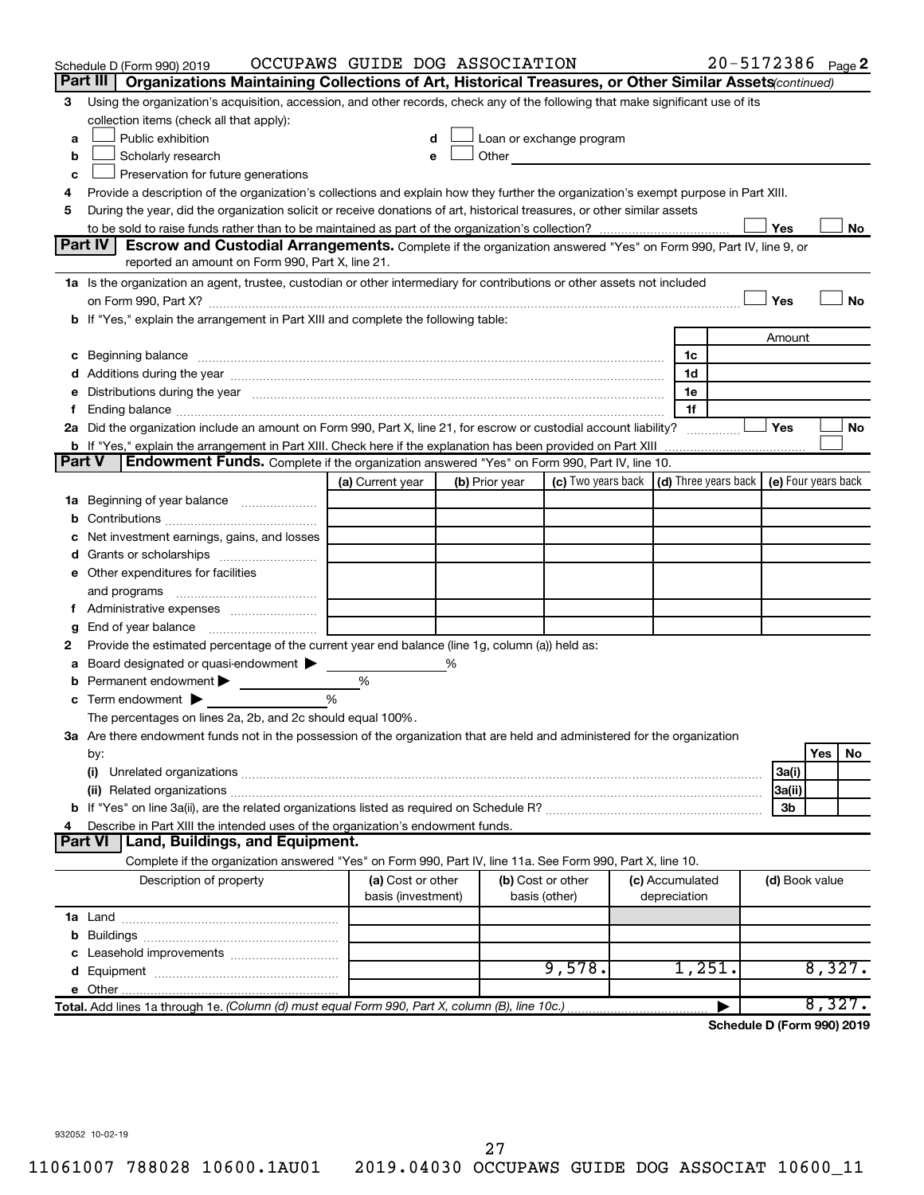|               | Schedule D (Form 990) 2019                                                                                                                                                                                                    | OCCUPAWS GUIDE DOG ASSOCIATION |   |                |                                                                                                                                                                                                                               |                 | 20-5172386 Page 2                                        |                |     |        |
|---------------|-------------------------------------------------------------------------------------------------------------------------------------------------------------------------------------------------------------------------------|--------------------------------|---|----------------|-------------------------------------------------------------------------------------------------------------------------------------------------------------------------------------------------------------------------------|-----------------|----------------------------------------------------------|----------------|-----|--------|
|               | Part III<br>Organizations Maintaining Collections of Art, Historical Treasures, or Other Similar Assets (continued)                                                                                                           |                                |   |                |                                                                                                                                                                                                                               |                 |                                                          |                |     |        |
| З             | Using the organization's acquisition, accession, and other records, check any of the following that make significant use of its                                                                                               |                                |   |                |                                                                                                                                                                                                                               |                 |                                                          |                |     |        |
|               | collection items (check all that apply):                                                                                                                                                                                      |                                |   |                |                                                                                                                                                                                                                               |                 |                                                          |                |     |        |
| а             | Public exhibition                                                                                                                                                                                                             |                                |   |                | Loan or exchange program                                                                                                                                                                                                      |                 |                                                          |                |     |        |
| b             | Scholarly research                                                                                                                                                                                                            | e                              |   |                | Other and the contract of the contract of the contract of the contract of the contract of the contract of the contract of the contract of the contract of the contract of the contract of the contract of the contract of the |                 |                                                          |                |     |        |
| c             | Preservation for future generations                                                                                                                                                                                           |                                |   |                |                                                                                                                                                                                                                               |                 |                                                          |                |     |        |
| 4             | Provide a description of the organization's collections and explain how they further the organization's exempt purpose in Part XIII.                                                                                          |                                |   |                |                                                                                                                                                                                                                               |                 |                                                          |                |     |        |
| 5             | During the year, did the organization solicit or receive donations of art, historical treasures, or other similar assets                                                                                                      |                                |   |                |                                                                                                                                                                                                                               |                 |                                                          |                |     |        |
|               |                                                                                                                                                                                                                               |                                |   |                |                                                                                                                                                                                                                               |                 |                                                          | Yes            |     | No     |
|               | <b>Part IV</b><br><b>Escrow and Custodial Arrangements.</b> Complete if the organization answered "Yes" on Form 990, Part IV, line 9, or                                                                                      |                                |   |                |                                                                                                                                                                                                                               |                 |                                                          |                |     |        |
|               | reported an amount on Form 990, Part X, line 21.                                                                                                                                                                              |                                |   |                |                                                                                                                                                                                                                               |                 |                                                          |                |     |        |
|               | 1a Is the organization an agent, trustee, custodian or other intermediary for contributions or other assets not included                                                                                                      |                                |   |                |                                                                                                                                                                                                                               |                 |                                                          |                |     |        |
|               | on Form 990, Part X? [11] matter continuum matter contract to the contract of the contract of the contract of the contract of the contract of the contract of the contract of the contract of the contract of the contract of |                                |   |                |                                                                                                                                                                                                                               |                 |                                                          | Yes            |     | No     |
|               | b If "Yes," explain the arrangement in Part XIII and complete the following table:                                                                                                                                            |                                |   |                |                                                                                                                                                                                                                               |                 |                                                          |                |     |        |
|               |                                                                                                                                                                                                                               |                                |   |                |                                                                                                                                                                                                                               |                 |                                                          | Amount         |     |        |
|               |                                                                                                                                                                                                                               |                                |   |                |                                                                                                                                                                                                                               | 1c              |                                                          |                |     |        |
|               |                                                                                                                                                                                                                               |                                |   |                |                                                                                                                                                                                                                               | 1d              |                                                          |                |     |        |
| е             | Distributions during the year manufactured and an account of the state of the state of the state of the state o                                                                                                               |                                |   |                |                                                                                                                                                                                                                               | 1e              |                                                          |                |     |        |
| Ť.            |                                                                                                                                                                                                                               |                                |   |                |                                                                                                                                                                                                                               | 1f              |                                                          |                |     |        |
|               | 2a Did the organization include an amount on Form 990, Part X, line 21, for escrow or custodial account liability?                                                                                                            |                                |   |                |                                                                                                                                                                                                                               |                 |                                                          | Yes            |     | No     |
| <b>Part V</b> |                                                                                                                                                                                                                               |                                |   |                |                                                                                                                                                                                                                               |                 |                                                          |                |     |        |
|               | <b>Endowment Funds.</b> Complete if the organization answered "Yes" on Form 990, Part IV, line 10.                                                                                                                            |                                |   |                |                                                                                                                                                                                                                               |                 | $\vert$ (d) Three years back $\vert$ (e) Four years back |                |     |        |
|               |                                                                                                                                                                                                                               | (a) Current year               |   | (b) Prior year | (c) Two years back                                                                                                                                                                                                            |                 |                                                          |                |     |        |
|               | 1a Beginning of year balance                                                                                                                                                                                                  |                                |   |                |                                                                                                                                                                                                                               |                 |                                                          |                |     |        |
| b             |                                                                                                                                                                                                                               |                                |   |                |                                                                                                                                                                                                                               |                 |                                                          |                |     |        |
|               | Net investment earnings, gains, and losses                                                                                                                                                                                    |                                |   |                |                                                                                                                                                                                                                               |                 |                                                          |                |     |        |
|               |                                                                                                                                                                                                                               |                                |   |                |                                                                                                                                                                                                                               |                 |                                                          |                |     |        |
|               | e Other expenditures for facilities                                                                                                                                                                                           |                                |   |                |                                                                                                                                                                                                                               |                 |                                                          |                |     |        |
|               | and programs                                                                                                                                                                                                                  |                                |   |                |                                                                                                                                                                                                                               |                 |                                                          |                |     |        |
|               |                                                                                                                                                                                                                               |                                |   |                |                                                                                                                                                                                                                               |                 |                                                          |                |     |        |
| g             | Provide the estimated percentage of the current year end balance (line 1g, column (a)) held as:                                                                                                                               |                                |   |                |                                                                                                                                                                                                                               |                 |                                                          |                |     |        |
| 2             | Board designated or quasi-endowment                                                                                                                                                                                           |                                | % |                |                                                                                                                                                                                                                               |                 |                                                          |                |     |        |
| а             | Permanent endowment >                                                                                                                                                                                                         | %                              |   |                |                                                                                                                                                                                                                               |                 |                                                          |                |     |        |
| b             | Term endowment $\blacktriangleright$                                                                                                                                                                                          | %                              |   |                |                                                                                                                                                                                                                               |                 |                                                          |                |     |        |
| с             | The percentages on lines 2a, 2b, and 2c should equal 100%.                                                                                                                                                                    |                                |   |                |                                                                                                                                                                                                                               |                 |                                                          |                |     |        |
|               | 3a Are there endowment funds not in the possession of the organization that are held and administered for the organization                                                                                                    |                                |   |                |                                                                                                                                                                                                                               |                 |                                                          |                |     |        |
|               | by:                                                                                                                                                                                                                           |                                |   |                |                                                                                                                                                                                                                               |                 |                                                          |                | Yes | No     |
|               | (i)                                                                                                                                                                                                                           |                                |   |                |                                                                                                                                                                                                                               |                 |                                                          | 3a(i)          |     |        |
|               |                                                                                                                                                                                                                               |                                |   |                |                                                                                                                                                                                                                               |                 |                                                          | 3a(ii)         |     |        |
|               |                                                                                                                                                                                                                               |                                |   |                |                                                                                                                                                                                                                               |                 |                                                          | 3b             |     |        |
| 4             | Describe in Part XIII the intended uses of the organization's endowment funds.                                                                                                                                                |                                |   |                |                                                                                                                                                                                                                               |                 |                                                          |                |     |        |
|               | Land, Buildings, and Equipment.<br><b>Part VI</b>                                                                                                                                                                             |                                |   |                |                                                                                                                                                                                                                               |                 |                                                          |                |     |        |
|               | Complete if the organization answered "Yes" on Form 990, Part IV, line 11a. See Form 990, Part X, line 10.                                                                                                                    |                                |   |                |                                                                                                                                                                                                                               |                 |                                                          |                |     |        |
|               | Description of property                                                                                                                                                                                                       | (a) Cost or other              |   |                | (b) Cost or other                                                                                                                                                                                                             | (c) Accumulated |                                                          | (d) Book value |     |        |
|               |                                                                                                                                                                                                                               | basis (investment)             |   |                | basis (other)                                                                                                                                                                                                                 | depreciation    |                                                          |                |     |        |
|               |                                                                                                                                                                                                                               |                                |   |                |                                                                                                                                                                                                                               |                 |                                                          |                |     |        |
| b             |                                                                                                                                                                                                                               |                                |   |                |                                                                                                                                                                                                                               |                 |                                                          |                |     |        |
| c             | Leasehold improvements                                                                                                                                                                                                        |                                |   |                |                                                                                                                                                                                                                               |                 |                                                          |                |     |        |
| d             |                                                                                                                                                                                                                               |                                |   |                | 9,578.                                                                                                                                                                                                                        | 1,251.          |                                                          |                |     | 8,327. |
|               |                                                                                                                                                                                                                               |                                |   |                |                                                                                                                                                                                                                               |                 |                                                          |                |     |        |
|               | Total. Add lines 1a through 1e. (Column (d) must equal Form 990, Part X, column (B), line 10c.)                                                                                                                               |                                |   |                |                                                                                                                                                                                                                               |                 |                                                          |                |     | 8,327. |
|               |                                                                                                                                                                                                                               |                                |   |                |                                                                                                                                                                                                                               |                 | Schedule D (Form 990) 2019                               |                |     |        |

932052 10-02-19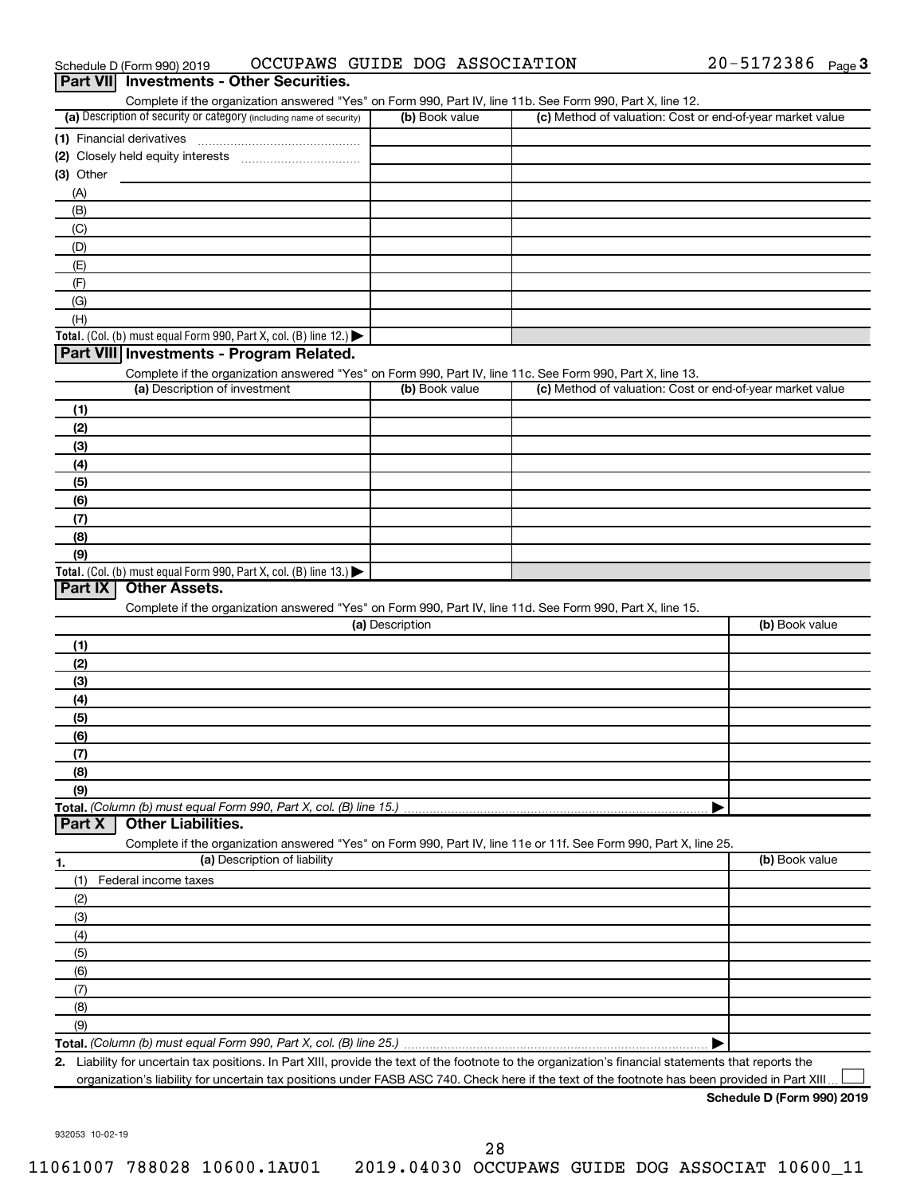| Complete if the organization answered "Yes" on Form 990, Part IV, line 11b. See Form 990, Part X, line 12.<br>(a) Description of security or category (including name of security) | (b) Book value  | (c) Method of valuation: Cost or end-of-year market value |                |
|------------------------------------------------------------------------------------------------------------------------------------------------------------------------------------|-----------------|-----------------------------------------------------------|----------------|
| (1) Financial derivatives                                                                                                                                                          |                 |                                                           |                |
|                                                                                                                                                                                    |                 |                                                           |                |
| $(3)$ Other                                                                                                                                                                        |                 |                                                           |                |
| (A)                                                                                                                                                                                |                 |                                                           |                |
| (B)                                                                                                                                                                                |                 |                                                           |                |
| (C)                                                                                                                                                                                |                 |                                                           |                |
| (D)                                                                                                                                                                                |                 |                                                           |                |
| (E)                                                                                                                                                                                |                 |                                                           |                |
| (F)                                                                                                                                                                                |                 |                                                           |                |
| (G)                                                                                                                                                                                |                 |                                                           |                |
| (H)                                                                                                                                                                                |                 |                                                           |                |
| Total. (Col. (b) must equal Form 990, Part X, col. (B) line 12.)                                                                                                                   |                 |                                                           |                |
| Part VIII Investments - Program Related.                                                                                                                                           |                 |                                                           |                |
| Complete if the organization answered "Yes" on Form 990, Part IV, line 11c. See Form 990, Part X, line 13.                                                                         |                 |                                                           |                |
| (a) Description of investment                                                                                                                                                      | (b) Book value  | (c) Method of valuation: Cost or end-of-year market value |                |
| (1)                                                                                                                                                                                |                 |                                                           |                |
| (2)                                                                                                                                                                                |                 |                                                           |                |
| (3)                                                                                                                                                                                |                 |                                                           |                |
| (4)                                                                                                                                                                                |                 |                                                           |                |
| (5)                                                                                                                                                                                |                 |                                                           |                |
| (6)                                                                                                                                                                                |                 |                                                           |                |
| (7)                                                                                                                                                                                |                 |                                                           |                |
| (8)                                                                                                                                                                                |                 |                                                           |                |
| (9)                                                                                                                                                                                |                 |                                                           |                |
| Total. (Col. (b) must equal Form 990, Part X, col. (B) line 13.)                                                                                                                   |                 |                                                           |                |
| Part IX<br><b>Other Assets.</b>                                                                                                                                                    |                 |                                                           |                |
| Complete if the organization answered "Yes" on Form 990, Part IV, line 11d. See Form 990, Part X, line 15.                                                                         |                 |                                                           |                |
|                                                                                                                                                                                    | (a) Description |                                                           | (b) Book value |
| (1)                                                                                                                                                                                |                 |                                                           |                |
| (2)                                                                                                                                                                                |                 |                                                           |                |
| (3)                                                                                                                                                                                |                 |                                                           |                |
| (4)                                                                                                                                                                                |                 |                                                           |                |
| (5)                                                                                                                                                                                |                 |                                                           |                |
| (6)                                                                                                                                                                                |                 |                                                           |                |
| (7)                                                                                                                                                                                |                 |                                                           |                |
| (8)                                                                                                                                                                                |                 |                                                           |                |
| (9)                                                                                                                                                                                |                 |                                                           |                |
|                                                                                                                                                                                    |                 |                                                           |                |
| <b>Other Liabilities.</b>                                                                                                                                                          |                 |                                                           |                |
|                                                                                                                                                                                    |                 |                                                           |                |
| Complete if the organization answered "Yes" on Form 990, Part IV, line 11e or 11f. See Form 990, Part X, line 25.<br>(a) Description of liability                                  |                 |                                                           | (b) Book value |
| Federal income taxes                                                                                                                                                               |                 |                                                           |                |
| (1)                                                                                                                                                                                |                 |                                                           |                |
| (2)                                                                                                                                                                                |                 |                                                           |                |
| (3)                                                                                                                                                                                |                 |                                                           |                |
| (4)                                                                                                                                                                                |                 |                                                           |                |
| (5)                                                                                                                                                                                |                 |                                                           |                |
| (6)                                                                                                                                                                                |                 |                                                           |                |
| Total. (Column (b) must equal Form 990, Part X, col. (B) line 15.)<br>Part X<br>1.<br>(7)<br>(8)                                                                                   |                 |                                                           |                |

**Total.**  *(Column (b) must equal Form 990, Part X, col. (B) line 25.)*

**2.** Liability for uncertain tax positions. In Part XIII, provide the text of the footnote to the organization's financial statements that reports the organization's liability for uncertain tax positions under FASB ASC 740. Check here if the text of the footnote has been provided in Part XIII.  $\perp$ 

932053 10-02-19

#### Schedule D (Form 990) 2019 OCCUPAWS GUIDE DOG ASSOCIATION 20-5172386 Page

20-5172386 Page 3

## 28

#### 11061007 788028 10600.1AU01 2019.04030 OCCUPAWS GUIDE DOG ASSOCIAT 10600\_11

|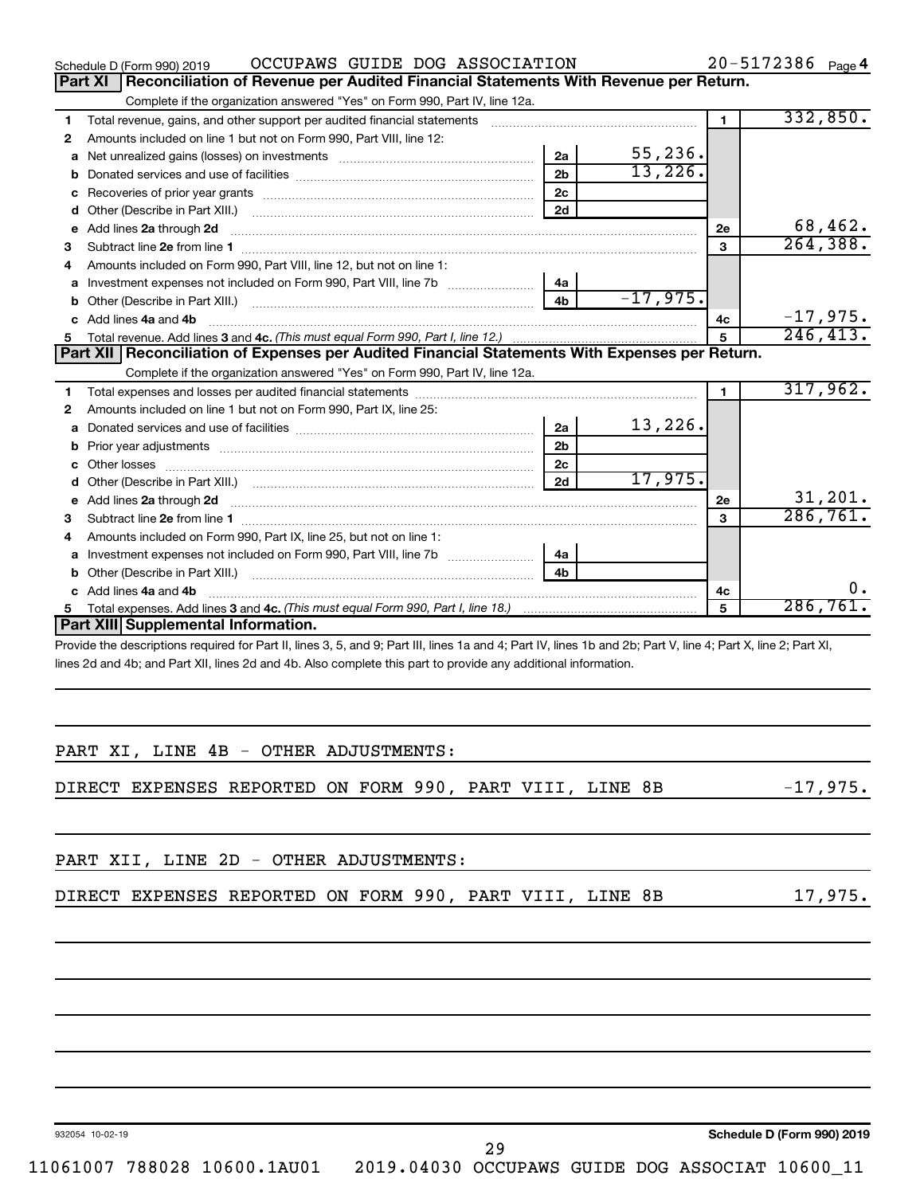|    | OCCUPAWS GUIDE DOG ASSOCIATION<br>Schedule D (Form 990) 2019                                                                                                                                                                        |                |            |                | $20 - 5172386$ Page 4 |            |
|----|-------------------------------------------------------------------------------------------------------------------------------------------------------------------------------------------------------------------------------------|----------------|------------|----------------|-----------------------|------------|
|    | <b>Part XI</b><br>Reconciliation of Revenue per Audited Financial Statements With Revenue per Return.                                                                                                                               |                |            |                |                       |            |
|    | Complete if the organization answered "Yes" on Form 990, Part IV, line 12a.                                                                                                                                                         |                |            |                |                       |            |
| 1  | Total revenue, gains, and other support per audited financial statements                                                                                                                                                            |                |            | $\blacksquare$ |                       | 332,850.   |
| 2  | Amounts included on line 1 but not on Form 990, Part VIII, line 12:                                                                                                                                                                 |                |            |                |                       |            |
| a  |                                                                                                                                                                                                                                     | 2a             | 55, 236.   |                |                       |            |
| b  |                                                                                                                                                                                                                                     | 2 <sub>b</sub> | 13,226.    |                |                       |            |
| с  |                                                                                                                                                                                                                                     | 2 <sub>c</sub> |            |                |                       |            |
| d  | Other (Describe in Part XIII.) <b>Construction Contract Construction</b> Chemical Construction Chemical Chemical Chemical Chemical Chemical Chemical Chemical Chemical Chemical Chemical Chemical Chemical Chemical Chemical Chemic | 2d             |            |                |                       |            |
| е  | Add lines 2a through 2d                                                                                                                                                                                                             |                |            | 2e             |                       | 68,462.    |
| з  |                                                                                                                                                                                                                                     |                |            | 3              |                       | 264, 388.  |
| 4  | Amounts included on Form 990, Part VIII, line 12, but not on line 1:                                                                                                                                                                |                |            |                |                       |            |
| a  |                                                                                                                                                                                                                                     | 4a             |            |                |                       |            |
| b  | Other (Describe in Part XIII.) <b>Construction Contract Construction</b> Chemical Construction Chemical Chemical Chemical Chemical Chemical Chemical Chemical Chemical Chemical Chemical Chemical Chemical Chemical Chemical Chemic | 4 <sub>b</sub> | $-17,975.$ |                |                       |            |
| C. | Add lines 4a and 4b                                                                                                                                                                                                                 |                |            | 4с             |                       | $-17,975.$ |
|    |                                                                                                                                                                                                                                     |                |            | 5              |                       | 246, 413.  |
|    | Part XII Reconciliation of Expenses per Audited Financial Statements With Expenses per Return.                                                                                                                                      |                |            |                |                       |            |
|    | Complete if the organization answered "Yes" on Form 990, Part IV, line 12a.                                                                                                                                                         |                |            |                |                       |            |
| 1  |                                                                                                                                                                                                                                     |                |            | $\blacksquare$ |                       | 317,962.   |
| 2  | Amounts included on line 1 but not on Form 990, Part IX, line 25:                                                                                                                                                                   |                |            |                |                       |            |
| a  |                                                                                                                                                                                                                                     | 2a             | 13,226.    |                |                       |            |
|    |                                                                                                                                                                                                                                     | 2 <sub>b</sub> |            |                |                       |            |
| c  |                                                                                                                                                                                                                                     | 2 <sub>c</sub> |            |                |                       |            |
| d  |                                                                                                                                                                                                                                     | 2d             | 17,975.    |                |                       |            |
| е  |                                                                                                                                                                                                                                     |                |            | 2е             |                       | 31,201.    |
| 3  |                                                                                                                                                                                                                                     |                |            | $\mathbf{3}$   |                       | 286,761.   |
| 4  | Amounts included on Form 990, Part IX, line 25, but not on line 1:                                                                                                                                                                  |                |            |                |                       |            |
| a  |                                                                                                                                                                                                                                     | 4a             |            |                |                       |            |
| b  |                                                                                                                                                                                                                                     | 4b             |            |                |                       |            |
|    | c Add lines 4a and 4b                                                                                                                                                                                                               |                |            | 4с             |                       | 0.         |
| 5. |                                                                                                                                                                                                                                     |                |            | 5              |                       | 286,761.   |
|    | Part XIII Supplemental Information.                                                                                                                                                                                                 |                |            |                |                       |            |
|    | Provide the descriptions required for Part II, lines 3, 5, and 9; Part III, lines 1a and 4; Part IV, lines 1b and 2b; Part V, line 4; Part X, line 2; Part XI,                                                                      |                |            |                |                       |            |
|    | lines 2d and 4b; and Part XII, lines 2d and 4b. Also complete this part to provide any additional information.                                                                                                                      |                |            |                |                       |            |

|  | PART XI, LINE 4B - OTHER ADJUSTMENTS:                 |  |  |  |
|--|-------------------------------------------------------|--|--|--|
|  |                                                       |  |  |  |
|  | DIRECT EXPENSES REPORTED ON FORM 990, PART VIII, LINE |  |  |  |

|  | PART XII, LINE 2D - OTHER ADJUSTMENTS: |  |                                                          |  |         |
|--|----------------------------------------|--|----------------------------------------------------------|--|---------|
|  |                                        |  | DIRECT EXPENSES REPORTED ON FORM 990, PART VIII, LINE 8B |  | 17,975. |

932054 10-02-19

**Schedule D (Form 990) 2019**

 $B$ B -17,975.

11061007 788028 10600.1AU01 2019.04030 OCCUPAWS GUIDE DOG ASSOCIAT 10600\_11

29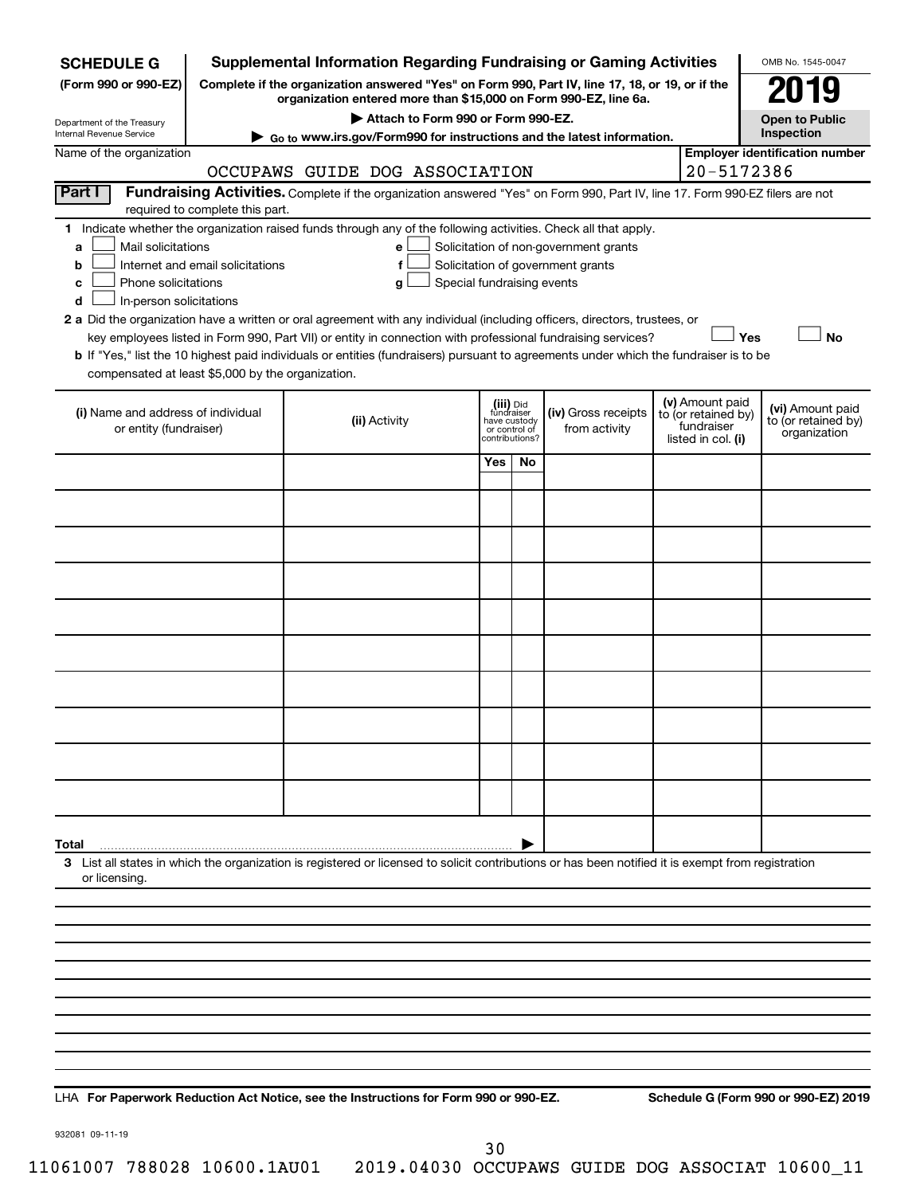| <b>SCHEDULE G</b>                                                                        |                                  | <b>Supplemental Information Regarding Fundraising or Gaming Activities</b>                                                                                                                                                                                                                                                                                                                                |                               |                                           |                                                                            |                                                                            | OMB No. 1545-0047                                       |
|------------------------------------------------------------------------------------------|----------------------------------|-----------------------------------------------------------------------------------------------------------------------------------------------------------------------------------------------------------------------------------------------------------------------------------------------------------------------------------------------------------------------------------------------------------|-------------------------------|-------------------------------------------|----------------------------------------------------------------------------|----------------------------------------------------------------------------|---------------------------------------------------------|
| (Form 990 or 990-EZ)                                                                     |                                  | Complete if the organization answered "Yes" on Form 990, Part IV, line 17, 18, or 19, or if the<br>organization entered more than \$15,000 on Form 990-EZ, line 6a.                                                                                                                                                                                                                                       |                               |                                           |                                                                            |                                                                            | 079                                                     |
| Department of the Treasury                                                               |                                  | Attach to Form 990 or Form 990-EZ.                                                                                                                                                                                                                                                                                                                                                                        |                               |                                           |                                                                            |                                                                            | <b>Open to Public</b>                                   |
| Internal Revenue Service                                                                 |                                  | ► Go to www.irs.gov/Form990 for instructions and the latest information.                                                                                                                                                                                                                                                                                                                                  |                               |                                           |                                                                            |                                                                            | Inspection                                              |
| Name of the organization                                                                 |                                  | OCCUPAWS GUIDE DOG ASSOCIATION                                                                                                                                                                                                                                                                                                                                                                            |                               |                                           |                                                                            | 20-5172386                                                                 | <b>Employer identification number</b>                   |
| Part I                                                                                   | required to complete this part.  | Fundraising Activities. Complete if the organization answered "Yes" on Form 990, Part IV, line 17. Form 990-EZ filers are not                                                                                                                                                                                                                                                                             |                               |                                           |                                                                            |                                                                            |                                                         |
| Mail solicitations<br>a<br>b<br>Phone solicitations<br>c<br>In-person solicitations<br>d | Internet and email solicitations | 1 Indicate whether the organization raised funds through any of the following activities. Check all that apply.<br>е<br>f<br>Special fundraising events<br>g<br>2 a Did the organization have a written or oral agreement with any individual (including officers, directors, trustees, or<br>key employees listed in Form 990, Part VII) or entity in connection with professional fundraising services? |                               |                                           | Solicitation of non-government grants<br>Solicitation of government grants | Yes                                                                        | <b>No</b>                                               |
| compensated at least \$5,000 by the organization.                                        |                                  | b If "Yes," list the 10 highest paid individuals or entities (fundraisers) pursuant to agreements under which the fundraiser is to be                                                                                                                                                                                                                                                                     |                               |                                           |                                                                            |                                                                            |                                                         |
| (i) Name and address of individual<br>or entity (fundraiser)                             |                                  | (ii) Activity                                                                                                                                                                                                                                                                                                                                                                                             | have custody<br>or control of | (iii) Did<br>fundraiser<br>contributions? | (iv) Gross receipts<br>from activity                                       | (v) Amount paid<br>to (or retained by)<br>fundraiser<br>listed in col. (i) | (vi) Amount paid<br>to (or retained by)<br>organization |
|                                                                                          |                                  |                                                                                                                                                                                                                                                                                                                                                                                                           | Yes                           | No                                        |                                                                            |                                                                            |                                                         |
|                                                                                          |                                  |                                                                                                                                                                                                                                                                                                                                                                                                           |                               |                                           |                                                                            |                                                                            |                                                         |
|                                                                                          |                                  |                                                                                                                                                                                                                                                                                                                                                                                                           |                               |                                           |                                                                            |                                                                            |                                                         |
|                                                                                          |                                  |                                                                                                                                                                                                                                                                                                                                                                                                           |                               |                                           |                                                                            |                                                                            |                                                         |
|                                                                                          |                                  |                                                                                                                                                                                                                                                                                                                                                                                                           |                               |                                           |                                                                            |                                                                            |                                                         |
|                                                                                          |                                  |                                                                                                                                                                                                                                                                                                                                                                                                           |                               |                                           |                                                                            |                                                                            |                                                         |
|                                                                                          |                                  |                                                                                                                                                                                                                                                                                                                                                                                                           |                               |                                           |                                                                            |                                                                            |                                                         |
|                                                                                          |                                  |                                                                                                                                                                                                                                                                                                                                                                                                           |                               |                                           |                                                                            |                                                                            |                                                         |
|                                                                                          |                                  |                                                                                                                                                                                                                                                                                                                                                                                                           |                               |                                           |                                                                            |                                                                            |                                                         |
|                                                                                          |                                  |                                                                                                                                                                                                                                                                                                                                                                                                           |                               |                                           |                                                                            |                                                                            |                                                         |
| Total                                                                                    |                                  |                                                                                                                                                                                                                                                                                                                                                                                                           |                               |                                           |                                                                            |                                                                            |                                                         |
| or licensing.                                                                            |                                  | 3 List all states in which the organization is registered or licensed to solicit contributions or has been notified it is exempt from registration                                                                                                                                                                                                                                                        |                               |                                           |                                                                            |                                                                            |                                                         |
|                                                                                          |                                  |                                                                                                                                                                                                                                                                                                                                                                                                           |                               |                                           |                                                                            |                                                                            |                                                         |
|                                                                                          |                                  |                                                                                                                                                                                                                                                                                                                                                                                                           |                               |                                           |                                                                            |                                                                            |                                                         |
|                                                                                          |                                  |                                                                                                                                                                                                                                                                                                                                                                                                           |                               |                                           |                                                                            |                                                                            |                                                         |
|                                                                                          |                                  |                                                                                                                                                                                                                                                                                                                                                                                                           |                               |                                           |                                                                            |                                                                            |                                                         |
|                                                                                          |                                  |                                                                                                                                                                                                                                                                                                                                                                                                           |                               |                                           |                                                                            |                                                                            |                                                         |
|                                                                                          |                                  |                                                                                                                                                                                                                                                                                                                                                                                                           |                               |                                           |                                                                            |                                                                            |                                                         |
|                                                                                          |                                  |                                                                                                                                                                                                                                                                                                                                                                                                           |                               |                                           |                                                                            |                                                                            |                                                         |
|                                                                                          |                                  |                                                                                                                                                                                                                                                                                                                                                                                                           |                               |                                           |                                                                            |                                                                            |                                                         |

**For Paperwork Reduction Act Notice, see the Instructions for Form 990 or 990-EZ. Schedule G (Form 990 or 990-EZ) 2019** LHA

932081 09-11-19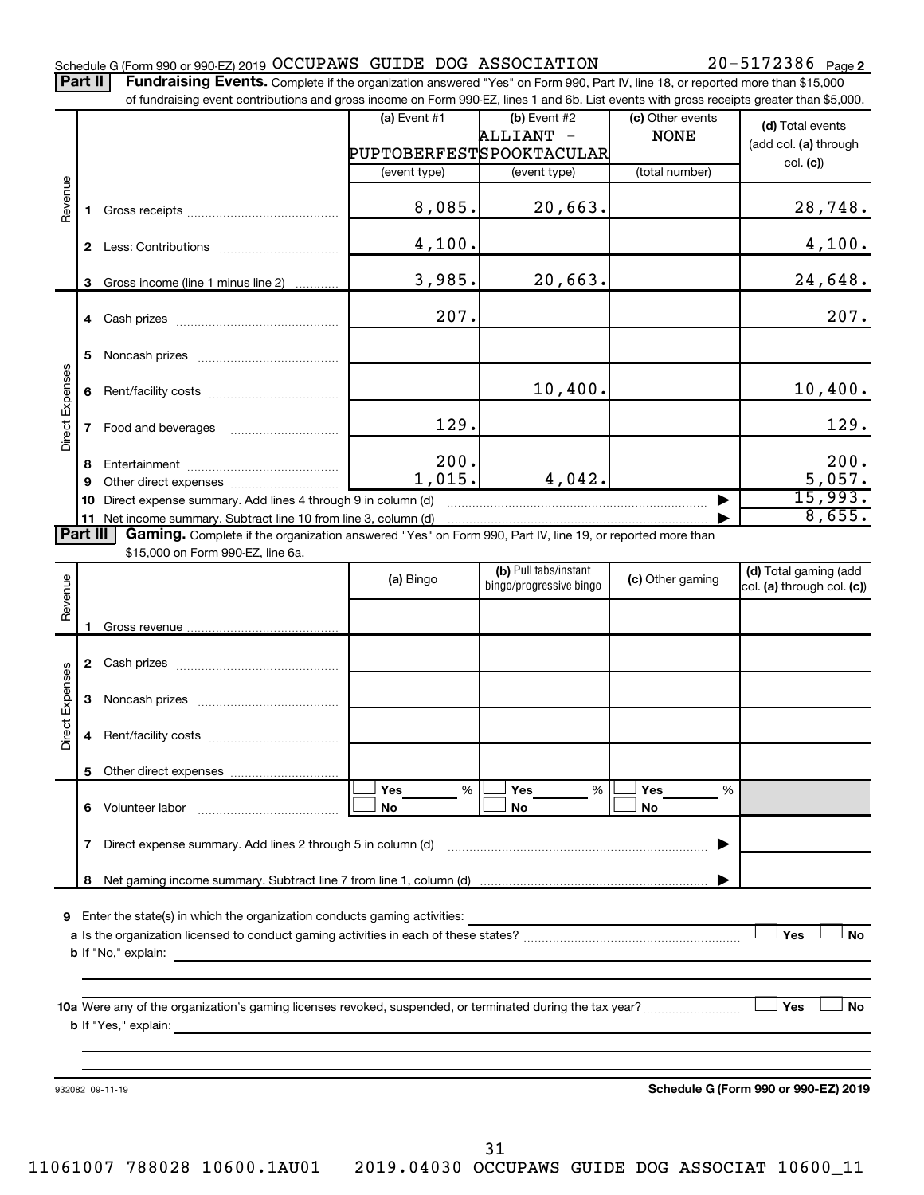Part II | Fundraising Events. Complete if the organization answered "Yes" on Form 990, Part IV, line 18, or reported more than \$15,000 of fundraising event contributions and gross income on Form 990-EZ, lines 1 and 6b. List events with gross receipts greater than \$5,000.

|                 |              |                                                                                                                                                                          | (a) Event #1 | $(b)$ Event #2<br>ALLIANT -<br>PUPTOBERFESTSPOOKTACULAR | (c) Other events<br><b>NONE</b> | (d) Total events<br>(add col. (a) through |
|-----------------|--------------|--------------------------------------------------------------------------------------------------------------------------------------------------------------------------|--------------|---------------------------------------------------------|---------------------------------|-------------------------------------------|
|                 |              |                                                                                                                                                                          | (event type) | (event type)                                            | (total number)                  | col. (c)                                  |
| Revenue         | 1.           |                                                                                                                                                                          | 8,085.       | 20,663.                                                 |                                 | 28,748.                                   |
|                 | $\mathbf{2}$ |                                                                                                                                                                          | 4,100.       |                                                         |                                 | 4,100.                                    |
|                 | 3            | Gross income (line 1 minus line 2)                                                                                                                                       | 3,985.       | 20,663.                                                 |                                 | 24,648.                                   |
|                 |              |                                                                                                                                                                          | 207.         |                                                         |                                 | 207.                                      |
|                 | 5.           |                                                                                                                                                                          |              |                                                         |                                 |                                           |
| Direct Expenses | 6            |                                                                                                                                                                          |              | 10,400.                                                 |                                 | 10,400.                                   |
|                 | $\mathbf{7}$ |                                                                                                                                                                          | 129.         |                                                         |                                 | 129.                                      |
|                 | 8            |                                                                                                                                                                          | 200.         |                                                         |                                 | 200.                                      |
|                 | 9            |                                                                                                                                                                          | 1,015.       | 4,042.                                                  |                                 | 5,057.                                    |
|                 | 10           | Direct expense summary. Add lines 4 through 9 in column (d)                                                                                                              |              |                                                         |                                 | 15,993.                                   |
| <b>Part III</b> | 11           | Net income summary. Subtract line 10 from line 3, column (d)<br>Gaming. Complete if the organization answered "Yes" on Form 990, Part IV, line 19, or reported more than |              |                                                         |                                 | 8,655.                                    |
|                 |              | \$15,000 on Form 990-EZ, line 6a.                                                                                                                                        |              |                                                         |                                 |                                           |
|                 |              |                                                                                                                                                                          | (a) Bingo    | (b) Pull tabs/instant                                   | (c) Other gaming                | (d) Total gaming (add                     |
| Revenue         |              |                                                                                                                                                                          |              | bingo/progressive bingo                                 |                                 | col. (a) through col. (c))                |
|                 |              |                                                                                                                                                                          |              |                                                         |                                 |                                           |
|                 | 1.           |                                                                                                                                                                          |              |                                                         |                                 |                                           |
|                 |              |                                                                                                                                                                          |              |                                                         |                                 |                                           |
|                 | 3            |                                                                                                                                                                          |              |                                                         |                                 |                                           |
| Direct Expenses | 4            |                                                                                                                                                                          |              |                                                         |                                 |                                           |
|                 |              |                                                                                                                                                                          |              |                                                         |                                 |                                           |
|                 |              |                                                                                                                                                                          | Yes<br>%     | Yes<br>%                                                | Yes<br>%                        |                                           |
|                 | 6.           | Volunteer labor                                                                                                                                                          | No           | No                                                      | No                              |                                           |
|                 | 7            | Direct expense summary. Add lines 2 through 5 in column (d)                                                                                                              |              |                                                         |                                 |                                           |
|                 | 8            |                                                                                                                                                                          |              |                                                         |                                 |                                           |
|                 |              |                                                                                                                                                                          |              |                                                         |                                 |                                           |
| 9               |              | Enter the state(s) in which the organization conducts gaming activities:                                                                                                 |              |                                                         |                                 |                                           |
|                 |              |                                                                                                                                                                          |              |                                                         |                                 | Yes<br><b>No</b>                          |
|                 |              | <b>b</b> If "No," explain:                                                                                                                                               |              |                                                         |                                 |                                           |
|                 |              |                                                                                                                                                                          |              |                                                         |                                 |                                           |
|                 |              |                                                                                                                                                                          |              |                                                         |                                 | Yes<br><b>No</b>                          |
|                 |              | <b>b</b> If "Yes," explain:                                                                                                                                              |              |                                                         |                                 |                                           |
|                 |              |                                                                                                                                                                          |              |                                                         |                                 |                                           |
|                 |              |                                                                                                                                                                          |              |                                                         |                                 |                                           |
|                 |              | 932082 09-11-19                                                                                                                                                          |              |                                                         |                                 | Schedule G (Form 990 or 990-EZ) 2019      |
|                 |              |                                                                                                                                                                          |              |                                                         |                                 |                                           |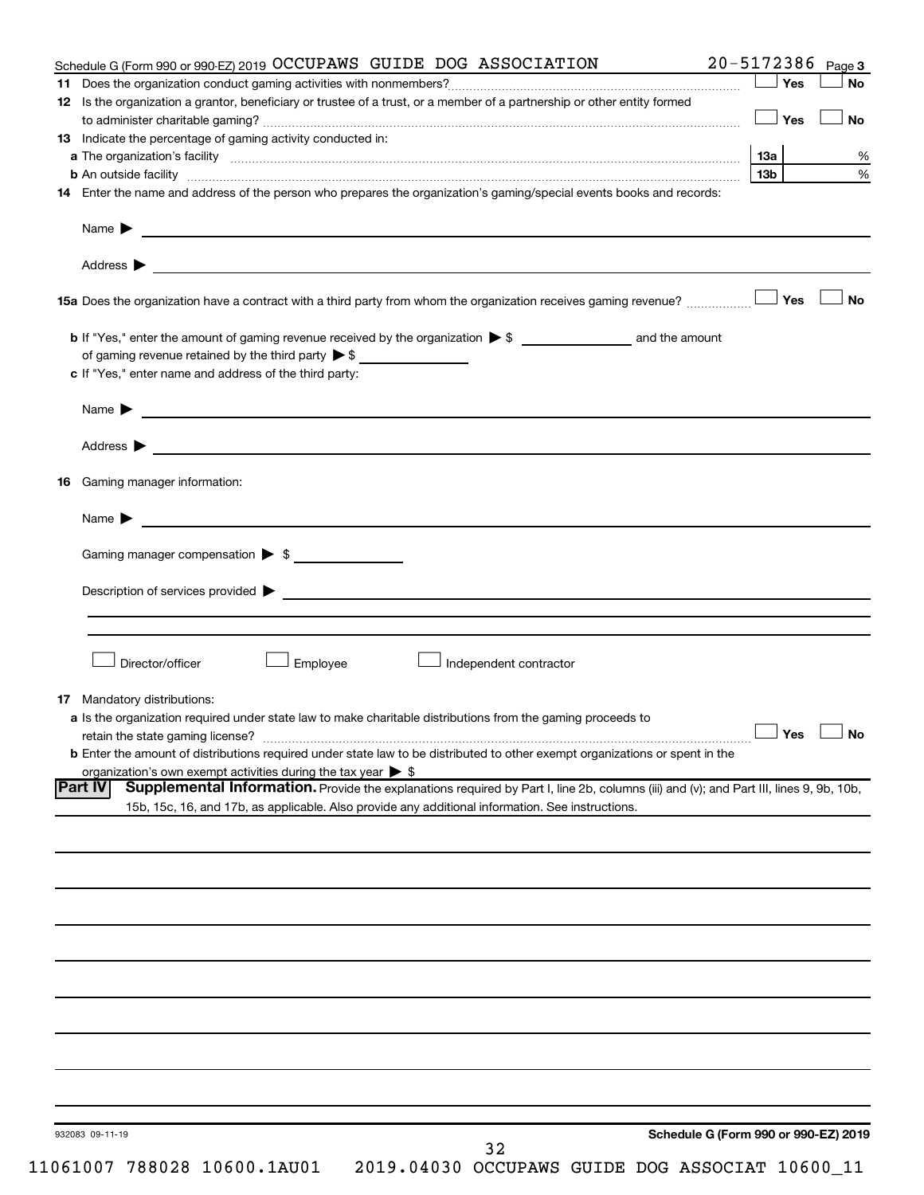|                | Schedule G (Form 990 or 990-EZ) 2019 OCCUPAWS GUIDE DOG ASSOCIATION                                                                                                                                                                                                                                                                                   | 20-5172386 Page 3 |           |
|----------------|-------------------------------------------------------------------------------------------------------------------------------------------------------------------------------------------------------------------------------------------------------------------------------------------------------------------------------------------------------|-------------------|-----------|
|                |                                                                                                                                                                                                                                                                                                                                                       | Yes               | <b>No</b> |
|                | 12 Is the organization a grantor, beneficiary or trustee of a trust, or a member of a partnership or other entity formed                                                                                                                                                                                                                              |                   |           |
|                |                                                                                                                                                                                                                                                                                                                                                       | Yes               | No        |
|                | <b>13</b> Indicate the percentage of gaming activity conducted in:                                                                                                                                                                                                                                                                                    |                   |           |
|                | a The organization's facility www.communication.communications.com/www.communication.com/www.communication                                                                                                                                                                                                                                            | 13a               |           |
|                | <b>b</b> An outside facility <i>www.communically.communically.communically.communically.communically.communically.communically.communically.communically.communically.communically.communically.communically.communically.communicall</i>                                                                                                             | 13 <sub>b</sub>   |           |
|                | 14 Enter the name and address of the person who prepares the organization's gaming/special events books and records:                                                                                                                                                                                                                                  |                   |           |
|                |                                                                                                                                                                                                                                                                                                                                                       |                   |           |
|                |                                                                                                                                                                                                                                                                                                                                                       |                   |           |
|                |                                                                                                                                                                                                                                                                                                                                                       |                   |           |
|                |                                                                                                                                                                                                                                                                                                                                                       | Yes               | <b>No</b> |
|                |                                                                                                                                                                                                                                                                                                                                                       |                   |           |
|                | of gaming revenue retained by the third party $\triangleright$ \$                                                                                                                                                                                                                                                                                     |                   |           |
|                | c If "Yes," enter name and address of the third party:                                                                                                                                                                                                                                                                                                |                   |           |
|                | Name $\blacktriangleright$ $\ldots$ $\ldots$ $\ldots$ $\ldots$ $\ldots$ $\ldots$ $\ldots$ $\ldots$ $\ldots$ $\ldots$ $\ldots$ $\ldots$ $\ldots$ $\ldots$ $\ldots$ $\ldots$ $\ldots$ $\ldots$ $\ldots$ $\ldots$ $\ldots$ $\ldots$ $\ldots$ $\ldots$ $\ldots$ $\ldots$ $\ldots$ $\ldots$ $\ldots$ $\ldots$ $\ldots$ $\ldots$ $\ldots$ $\ldots$ $\ldots$ |                   |           |
|                | Address > Natural Management of the Contract of the Contract of the Contract of the Contract of the Contract of the Contract of the Contract of the Contract of the Contract of the Contract of the Contract of the Contract o                                                                                                                        |                   |           |
| 16             | Gaming manager information:                                                                                                                                                                                                                                                                                                                           |                   |           |
|                |                                                                                                                                                                                                                                                                                                                                                       |                   |           |
|                | Name $\blacktriangleright$ $\blacksquare$                                                                                                                                                                                                                                                                                                             |                   |           |
|                | Gaming manager compensation > \$                                                                                                                                                                                                                                                                                                                      |                   |           |
|                |                                                                                                                                                                                                                                                                                                                                                       |                   |           |
|                | Director/officer<br>Employee<br>Independent contractor                                                                                                                                                                                                                                                                                                |                   |           |
|                |                                                                                                                                                                                                                                                                                                                                                       |                   |           |
|                |                                                                                                                                                                                                                                                                                                                                                       |                   |           |
| 17             | Mandatory distributions:                                                                                                                                                                                                                                                                                                                              |                   |           |
|                | a Is the organization required under state law to make charitable distributions from the gaming proceeds to                                                                                                                                                                                                                                           |                   |           |
|                | retain the state gaming license? $\Box$ No                                                                                                                                                                                                                                                                                                            |                   |           |
|                | <b>b</b> Enter the amount of distributions required under state law to be distributed to other exempt organizations or spent in the                                                                                                                                                                                                                   |                   |           |
|                | organization's own exempt activities during the tax year $\triangleright$ \$                                                                                                                                                                                                                                                                          |                   |           |
|                | Supplemental Information. Provide the explanations required by Part I, line 2b, columns (iii) and (v); and Part III, lines 9, 9b, 10b,                                                                                                                                                                                                                |                   |           |
| <b>Part IV</b> | 15b, 15c, 16, and 17b, as applicable. Also provide any additional information. See instructions.                                                                                                                                                                                                                                                      |                   |           |
|                |                                                                                                                                                                                                                                                                                                                                                       |                   |           |
|                |                                                                                                                                                                                                                                                                                                                                                       |                   |           |
|                |                                                                                                                                                                                                                                                                                                                                                       |                   |           |
|                |                                                                                                                                                                                                                                                                                                                                                       |                   |           |
|                |                                                                                                                                                                                                                                                                                                                                                       |                   |           |
|                |                                                                                                                                                                                                                                                                                                                                                       |                   |           |
|                |                                                                                                                                                                                                                                                                                                                                                       |                   |           |
|                |                                                                                                                                                                                                                                                                                                                                                       |                   |           |
|                |                                                                                                                                                                                                                                                                                                                                                       |                   |           |
|                |                                                                                                                                                                                                                                                                                                                                                       |                   |           |
|                |                                                                                                                                                                                                                                                                                                                                                       |                   |           |
|                |                                                                                                                                                                                                                                                                                                                                                       |                   |           |
|                |                                                                                                                                                                                                                                                                                                                                                       |                   |           |
|                |                                                                                                                                                                                                                                                                                                                                                       |                   |           |
|                | Schedule G (Form 990 or 990-EZ) 2019<br>932083 09-11-19<br>32                                                                                                                                                                                                                                                                                         |                   |           |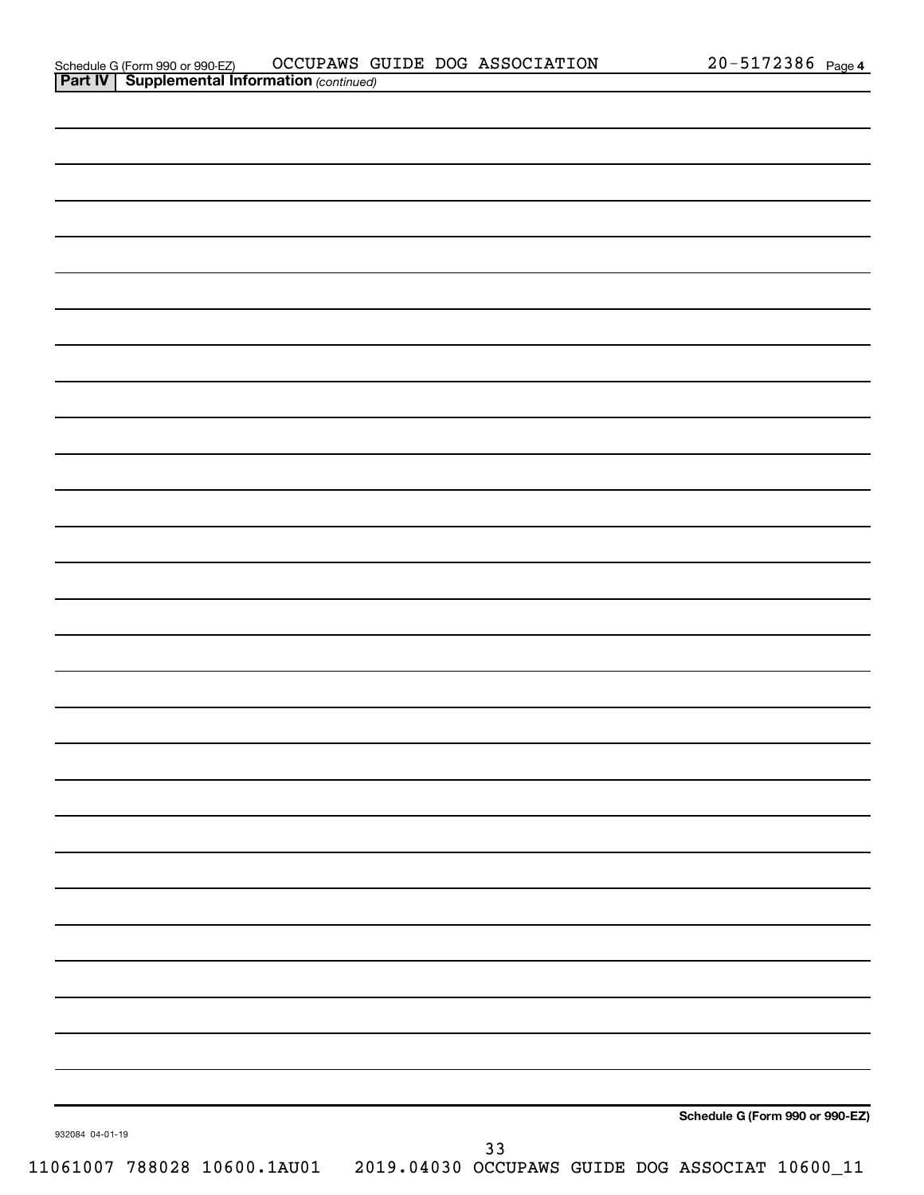|                 |      | Schedule G (Form 990 or 990-EZ) |
|-----------------|------|---------------------------------|
| 932084 04-01-19 | $33$ |                                 |
|                 |      |                                 |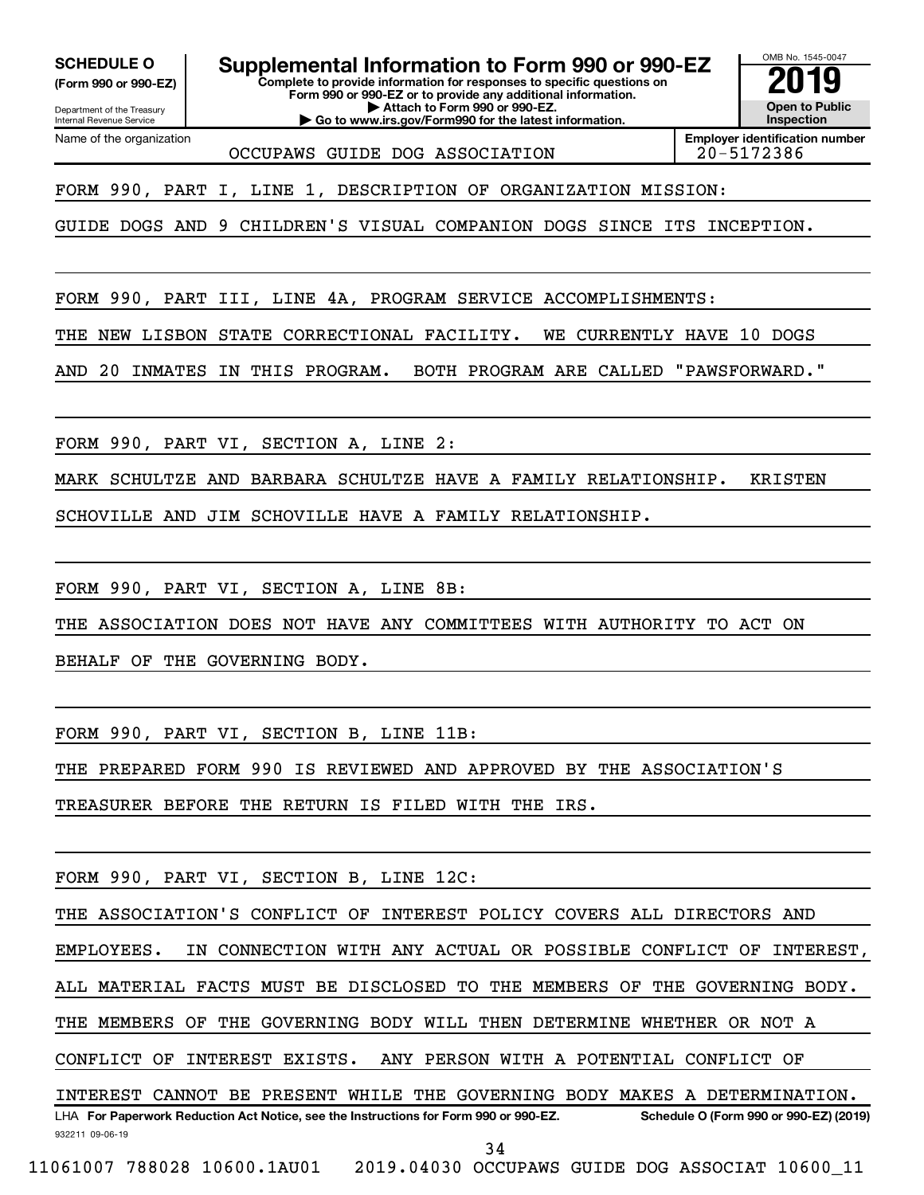**SCHEDULE O Supplemental Information to Form 990 or 990-EZ 2019** 

**(Form 990 or 990-EZ)**

**Form 990 or 990-EZ or to provide any additional information. | Attach to Form 990 or 990-EZ. | Go to www.irs.gov/Form990 for the latest information.**

**Complete to provide information for responses to specific questions on**

Department of the Treasury Internal Revenue Service Name of the organization

OCCUPAWS GUIDE DOG ASSOCIATION

**Employer identification number**

OMB No. 1545-0047

**Open to Public Inspection**

FORM 990, PART I, LINE 1, DESCRIPTION OF ORGANIZATION MISSION:

GUIDE DOGS AND 9 CHILDREN'S VISUAL COMPANION DOGS SINCE ITS INCEPTION.

FORM 990, PART III, LINE 4A, PROGRAM SERVICE ACCOMPLISHMENTS:

THE NEW LISBON STATE CORRECTIONAL FACILITY. WE CURRENTLY HAVE 10 DOGS

AND 20 INMATES IN THIS PROGRAM. BOTH PROGRAM ARE CALLED "PAWSFORWARD."

FORM 990, PART VI, SECTION A, LINE 2:

MARK SCHULTZE AND BARBARA SCHULTZE HAVE A FAMILY RELATIONSHIP. KRISTEN

SCHOVILLE AND JIM SCHOVILLE HAVE A FAMILY RELATIONSHIP.

FORM 990, PART VI, SECTION A, LINE 8B:

THE ASSOCIATION DOES NOT HAVE ANY COMMITTEES WITH AUTHORITY TO ACT ON

BEHALF OF THE GOVERNING BODY.

FORM 990, PART VI, SECTION B, LINE 11B:

THE PREPARED FORM 990 IS REVIEWED AND APPROVED BY THE ASSOCIATION'S

TREASURER BEFORE THE RETURN IS FILED WITH THE IRS.

FORM 990, PART VI, SECTION B, LINE 12C:

THE ASSOCIATION'S CONFLICT OF INTEREST POLICY COVERS ALL DIRECTORS AND

EMPLOYEES. IN CONNECTION WITH ANY ACTUAL OR POSSIBLE CONFLICT OF INTEREST,

ALL MATERIAL FACTS MUST BE DISCLOSED TO THE MEMBERS OF THE GOVERNING BODY.

THE MEMBERS OF THE GOVERNING BODY WILL THEN DETERMINE WHETHER OR NOT A

CONFLICT OF INTEREST EXISTS. ANY PERSON WITH A POTENTIAL CONFLICT OF

932211 09-06-19 LHA For Paperwork Reduction Act Notice, see the Instructions for Form 990 or 990-EZ. Schedule O (Form 990 or 990-EZ) (2019) INTEREST CANNOT BE PRESENT WHILE THE GOVERNING BODY MAKES A DETERMINATION.